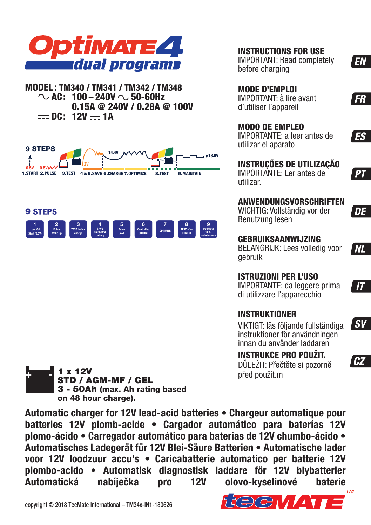

**MODEL: TM340 / TM341 / TM342 / TM348**  $\sim$  AC: 100 – 240V  $\sim$  50-60Hz  **0.15A @ 240V / 0.28A @ 100V**  $=$  DC: 12V  $=$  1A





**INSTRUCTIONS FOR USE**

IMPORTANT: Read completely before charging

### **MODE D'EMPLOI**

IMPORTANT: à lire avant d'utiliser l'appareil

### **MODO DE EMPLEO**

IMPORTANTE: a leer antes de utilizar el aparato

**INSTRUÇÕES DE UTILIZAÇÃO** IMPORTANTE: Ler antes de utilizar.



WICHTIG: Vollständig vor der Benutzung lesen

**DE** 

' NL

**EN** 

**FR** 

**ES** 

PТ

**GEBRUIKSAANWIJZING** BELANGRIJK: Lees volledig voor gebruik

**ISTRUZIONI PER L'USO** IMPORTANTE: da leggere prima di utilizzare l'apparecchio

## $\boldsymbol{I}$

l sv

**CZ**

**INSTRUKTIONER**

VIKTIGT: läs följande fullständiga instruktioner för användningen innan du använder laddaren

## **INSTRUKCE PRO POUŽIT.**

DŮLEŽIT: Přečtěte si pozorně před použit.m



**Automatic charger for 12V lead-acid batteries • Chargeur automatique pour batteries 12V plomb-acide • Cargador automático para baterías 12V plomo-ácido • Carregador automático para baterias de 12V chumbo-ácido • Automatisches Ladegerät für 12V Blei-Säure Batterien • Automatische lader voor 12V loodzuur accu's • Caricabatterie automatico per batterie 12V piombo-acido • Automatisk diagnostisk laddare för 12V blybatterier Automatická nabíječka pro 12V olovo-kyselinové baterie**

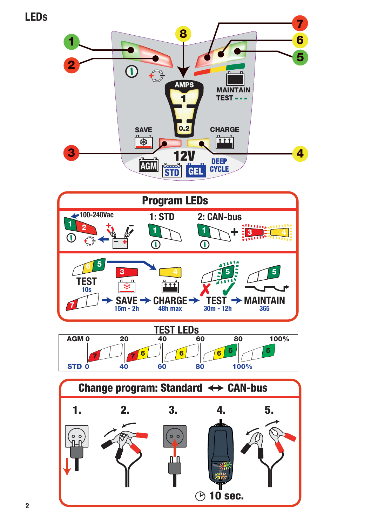**LEDs**





**2**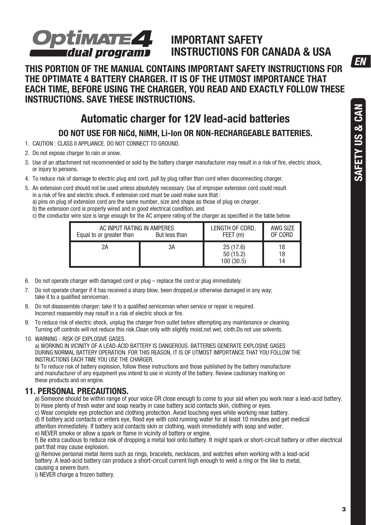**FN** 

# Optimate**4 final dual programs**

## **IMPORTANT SAFETY INSTRUCTIONS FOR CANADA & USA**

**THIS PORTION OF THE MANUAL CONTAINS IMPORTANT SAFETY INSTRUCTIONS FOR THE OPTIMATE 4 BATTERY CHARGER. IT IS OF THE UTMOST IMPORTANCE THAT EACH TIME, BEFORE USING THE CHARGER, YOU READ AND EXACTLY FOLLOW THESE INSTRUCTIONS. SAVE THESE INSTRUCTIONS.** 

## **Automatic charger for 12V lead-acid batteries**

**DO NOT USE FOR NiCd, NiMH, Li-Ion OR NON-RECHARGEABLE BATTERIES.** 

- 1. CAUTION : CLASS II APPLIANCE. DO NOT CONNECT TO GROUND.
- 2. Do not expose charger to rain or snow.
- 3. Use of an attachment not recommended or sold by the battery charger manufacturer may result in a risk of fire, electric shock, or injury to persons.
- 4. To reduce risk of damage to electric plug and cord, pull by plug rather than cord when disconnecting charger.
- 5. An extension cord should not be used unless absolutely necessary. Use of improper extension cord could result in a risk of fire and electric shock. If extension cord must be used make sure that :
	- a) pins on plug of extension cord are the same number, size and shape as those of plug on charger.
	- b) the extension cord is properly wired and in good electrical condition, and
	- c) the conductor wire size is large enough for the AC ampere rating of the charger as specified in the table below.

| AC INPUT RATING IN AMPERES<br>Equal to or greater than<br>But less than |    | LENGTH OF CORD,<br>FEET (m)        | AWG SIZE<br>OF CORD |
|-------------------------------------------------------------------------|----|------------------------------------|---------------------|
| 2Α                                                                      | 3A | 25(17.6)<br>50 (15.2)<br>100(30.5) | 18<br>18            |

- 6. Do not operate charger with damaged cord or plug replace the cord or plug immediately.
- 7. Do not operate charger if it has received a sharp blow, been dropped,or otherwise damaged in any way; take it to a qualified serviceman.
- 8. Do not disassemble charger; take it to a qualified serviceman when service or repair is required. Incorrect reassembly may result in a risk of electric shock or fire.
- 9. To reduce risk of electric shock, unplug the charger from outlet before attempting any maintenance or cleaning. Turning off controls will not reduce this risk.Clean only with slightly moist,not wet, cloth.Do not use solvents.
- 10. WARNING RISK OF EXPLOSIVE GASES.

a) WORKING IN VICINITY OF A LEAD-ACID BATTERY IS DANGEROUS. BATTERIES GENERATE EXPLOSIVE GASES DURING NORMAL BATTERY OPERATION. FOR THIS REASON, IT IS OF UTMOST IMPORTANCE THAT YOU FOLLOW THE INSTRUCTIONS EACH TIME YOU USE THE CHARGER.

b) To reduce risk of battery explosion, follow these instructions and those published by the battery manufacturer and manufacturer of any equipment you intend to use in vicinity of the battery. Review cautionary marking on these products and on engine.

### **11. PERSONAL PRECAUTIONS.**

a) Someone should be within range of your voice OR close enough to come to your aid when you work near a lead-acid battery. b) Have plenty of fresh water and soap nearby in case battery acid contacts skin, clothing or eyes.

c) Wear complete eye protection and clothing protection. Avoid touching eyes while working near battery.

d) If battery acid contacts or enters eye, flood eye with cold running water for at least 10 minutes and get medical

attention immediately. If battery acid contacts skin or clothing, wash immediately with soap and water.

e) NEVER smoke or allow a spark or flame in vicinity of battery or engine.

f) Be extra cautious to reduce risk of dropping a metal tool onto battery. It might spark or short-circuit battery or other electrical part that may cause explosion.

g) Remove personal metal items such as rings, bracelets, necklaces, and watches when working with a lead-acid battery. A lead-acid battery can produce a short-circuit current high enough to weld a ring or the like to metal,

causing a severe burn.

i) NEVER charge a frozen battery.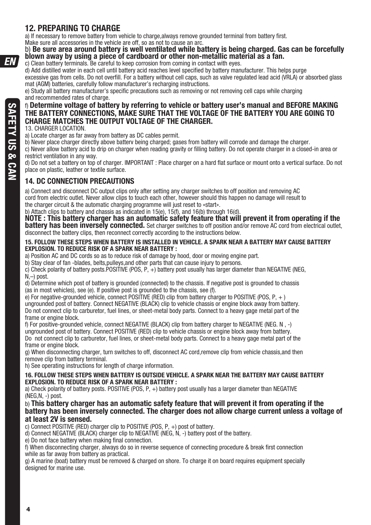### **12. PREPARING TO CHARGE**

a) If necessary to remove battery from vehicle to charge, always remove grounded terminal from battery first. Make sure all accessories in the vehicle are off, so as not to cause an arc.

# b) **Be sure area around battery is well ventilated while battery is being charged. Gas can be forcefully blown away by using a piece of cardboard or other non-metallic material as a fan.**

c) Clean battery terminals. Be careful to keep corrosion from coming in contact with eyes.

d) Add distilled water in each cell until battery acid reaches level specified by battery manufacturer. This helps purge excessive gas from cells. Do not overfill. For a battery without cell caps, such as valve regulated lead acid (VRLA) or absorbed glass mat (AGM) batteries, carefully follow manufacturer's recharging instructions.

e) Study all battery manufacturer's specific precautions such as removing or not removing cell caps while charging and recommended rates of charge.

#### f) **Determine voltage of battery by referring to vehicle or battery user's manual and BEFORE MAKING THE BATTERY CONNECTIONS, MAKE SURE THAT THE VOLTAGE OF THE BATTERY YOU ARE GOING TO CHARGE MATCHES THE OUTPUT VOLTAGE OF THE CHARGER.**

13. CHARGER LOCATION.

a) Locate charger as far away from battery as DC cables permit.

b) Never place charger directly above batterv being charged; gases from battery will corrode and damage the charger.

c) Never allow battery acid to drip on charger when reading gravity or filling battery. Do not operate charger in a closed-in area or restrict ventilation in any way.

d) Do not set a battery on top of charger. IMPORTANT : Place charger on a hard flat surface or mount onto a vertical surface. Do not place on plastic, leather or textile surface.

### **14. DC CONNECTION PRECAUTIONS**

a) Connect and disconnect DC output clips only after setting any charger switches to off position and removing AC cord from electric outlet. Never allow clips to touch each other, however should this happen no damage will result to the charger circuit & the automatic charging programme will just reset to «start».

b) Attach clips to battery and chassis as indicated in 15(e), 15(f), and 16(b) through 16(d).

**NOTE : This battery charger has an automatic safety feature that will prevent it from operating if the battery has been inversely connected.** Set charger switches to off position and/or remove AC cord from electrical outlet, disconnect the battery clips, then reconnect correctly according to the instructions below.

#### **15. FOLLOW THESE STEPS WHEN BATTERY IS INSTALLED IN VEHICLE. A SPARK NEAR A BATTERY MAY CAUSE BATTERY EXPLOSION. TO REDUCE RISK OF A SPARK NEAR BATTERY :**

a) Position AC and DC cords so as to reduce risk of damage by hood, door or moving engine part.

b) Stay clear of fan -blades, belts,pulleys,and other parts that can cause injury to persons.

c) Check polarity of battery posts.POSITIVE (POS, P, +) battery post usually has larger diameter than NEGATIVE (NEG, N,–) post.

d) Determine which post of battery is grounded (connected) to the chassis. If negative post is grounded to chassis (as in most vehicles), see (e). If positive post is grounded to the chassis, see (f).

e) For negative-grounded vehicle, connect POSITIVE (RED) clip from battery charger to POSITIVE (POS,  $P_+$ )

ungrounded post of battery. Connect NEGATIVE (BLACK) clip to vehicle chassis or engine block away from battery. Do not connect clip to carburetor, fuel lines, or sheet-metal body parts. Connect to a heavy gage metal part of the frame or engine block.

f) For positive-grounded vehicle, connect NEGATIVE (BLACK) clip from battery charger to NEGATIVE (NEG. N  $\rightarrow$ ) ungrounded post of battery. Connect POSITIVE (RED) clip to vehicle chassis or engine block away from battery. Do not connect clip to carburetor, fuel lines, or sheet-metal body parts. Connect to a heavy gage metal part of the frame or engine block.

g) When disconnecting charger, turn switches to off, disconnect AC cord,remove clip from vehicle chassis,and then remove clip from battery terminal.

h) See operating instructions for length of charge information.

#### **16. FOLLOW THESE STEPS WHEN BATTERY IS OUTSIDE VEHICLE. A SPARK NEAR THE BATTERY MAY CAUSE BATTERY EXPLOSION. TO REDUCE RISK OF A SPARK NEAR BATTERY :**

a) Check polarity of battery posts. POSITIVE (POS, P, +) battery post usually has a larger diameter than NEGATIVE  $(NEG.N. -)$  post.

#### b) **This battery charger has an automatic safety feature that will prevent it from operating if the battery has been inversely connected. The charger does not allow charge current unless a voltage of at least 2V is sensed.**

c) Connect POSITIVE (RED) charger clip to POSITIVE (POS, P, +) post of battery.

d) Connect NEGATIVE (BLACK) charger clip to NEGATIVE (NEG, N, -) battery post of the battery.

e) Do not face battery when making final connection.

f) When disconnecting charger, always do so in reverse sequence of connecting procedure & break first connection while as far away from battery as practical.

g) A marine (boat) battery must be removed & charged on shore. To charge it on board requires equipment specially designed for marine use.

FN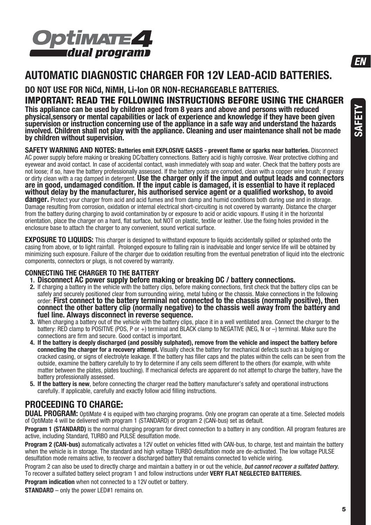

## **AUTOMATIC DIAGNOSTIC CHARGER FOR 12V LEAD-ACID BATTERIES.**

### **DO NOT USE FOR NiCd, NiMH, Li-Ion OR NON-RECHARGEABLE BATTERIES. IMPORTANT: READ THE FOLLOWING INSTRUCTIONS BEFORE USING THE CHARGER**

**This appliance can be used by children aged from 8 years and above and persons with reduced physical,sensory or mental capabilities or lack of experience and knowledge if they have been given supervision or instruction concerning use of the appliance in a safe way and understand the hazards involved. Children shall not play with the appliance. Cleaning and user maintenance shall not be made by children without supervision.**

**SAFETY WARNING AND NOTES: Batteries emit EXPLOSIVE GASES - prevent flame or sparks near batteries.** Disconnect AC power supply before making or breaking DC/battery connections. Battery acid is highly corrosive. Wear protective clothing and eyewear and avoid contact. In case of accidental contact, wash immediately with soap and water. Check that the battery posts are not loose; if so, have the battery professionally assessed. If the battery posts are corroded, clean with a copper wire brush; if greasy or dirty clean with a rag damped in detergent. Use the charger only if the input and are in good, undamaged condition. If the input cable is damaged, it is essential to have it replaced **without delay by the manufacturer, his authorised service agent or a qualified workshop, to avoid danger.** Protect your charger from acid and acid fumes and from damp and humid conditions both during use and in storage. Damage resulting from corrosion, oxidation or internal electrical short-circuiting is not covered by warranty. Distance the charger from the battery during charging to avoid contamination by or exposure to acid or acidic vapours. If using it in the horizontal orientation, place the charger on a hard, flat surface, but NOT on plastic, textile or leather. Use the fixing holes provided in the enclosure base to attach the charger to any convenient, sound vertical surface.

**EXPOSURE TO LIQUIDS:** This charger is designed to withstand exposure to liquids accidentally spilled or splashed onto the casing from above, or to light rainfall. Prolonged exposure to falling rain is inadvisable and longer service life will be obtained by minimizing such exposure. Failure of the charger due to oxidation resulting from the eventual penetration of liquid into the electronic components, connectors or plugs, is not covered by warranty.

#### **CONNECTING THE CHARGER TO THE BATTERY**

**1. Disconnect AC power supply before making or breaking DC / battery connections.** 

- **2.** If charging a battery in the vehicle with the battery clips, before making connections, first check that the battery clips can be safely and securely positioned clear from surrounding wiring, metal tubing or the chassis. Make connections in the following<br>order: First connect to the battery terminal not connected to the chassis (normally positive), th order: **First connect to the battery terminal not connected to the chassis (normally positive), then connect the other battery clip (normally negative) to the chassis well away from the battery and fuel line. Always disconnect in reverse sequence.**
- **3.** When charging a battery out of the vehicle with the battery clips, place it in a well ventilated area. Connect the charger to the battery: RED clamp to POSITIVE (POS, P or +) terminal and BLACK clamp to NEGATIVE (NEG, N or -) terminal. Make sure the connections are firm and secure. Good contact is important.
- **4. If the battery is deeply discharged (and possibly sulphated), remove from the vehicle and inspect the battery before connecting the charger for a recovery attempt.** Visually check the battery for mechanical defects such as a bulging or cracked casing, or signs of electrolyte leakage. If the battery has filler caps and the plates within the cells can be seen from the outside, examine the battery carefully to try to determine if any cells seem different to the others (for example, with white matter between the plates, plates touching). If mechanical defects are apparent do not attempt to charge the battery, have the battery professionally assessed.
- **5. If the battery is new**, before connecting the charger read the battery manufacturer's safety and operational instructions carefully. If applicable, carefully and exactly follow acid filling instructions.

## **PROCEEDING TO CHARGE:**

**DUAL PROGRAM:** OptiMate 4 is equiped with two charging programs. Only one program can operate at a time. Selected models of OptiMate 4 will be delivered with program 1 (STANDARD) or program 2 (CAN-bus) set as default.

**Program 1 (STANDARD)** is the normal charging program for direct connection to a battery in any condition. All program features are active, including Standard, TURBO and PULSE desulfation mode.

**Program 2 (CAN-bus)** automatically activates a 12V outlet on vehicles fitted with CAN-bus, to charge, test and maintain the battery when the vehicle is in storage. The standard and high voltage TURBO desulfation mode are de-activated. The low voltage PULSE desulfation mode remains active, to recover a discharged battery that remains connected to vehicle wiring.

Program 2 can also be used to directly charge and maintain a battery in or out the vehicle, but cannot recover a sulfated battery. To recover a sulfated battery select program 1 and follow instructions under **VERY FLAT NEGLECTED BATTERIES.**

**Program indication** when not connected to a 12V outlet or battery.

**STANDARD** – only the power LED#1 remains on.

**FN**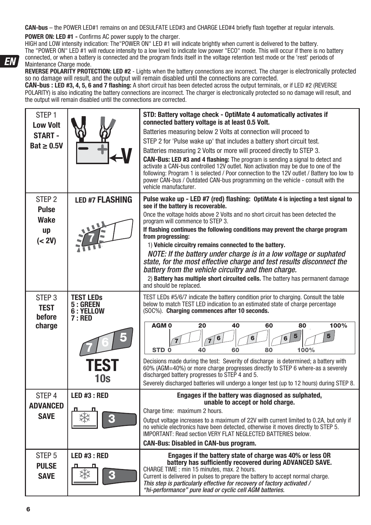**CAN-bus** – the POWER LED#1 remains on and DESULFATE LED#3 and CHARGE LED#4 briefly flash together at regular intervals.

#### **POWER ON: LED #1 -** Confirms AC power supply to the charger.

HIGH and LOW intensity indication: The"POWER ON" LED #1 will indicate brightly when current is delivered to the battery. The "POWER ON" LED #1 will reduce intensity to a low level to indicate low power "ECO" mode. This will occur if there is no battery connected, or when a battery is connected and the program finds itself in the voltage retention test mode or the 'rest' periods of Maintenance Charge mode.

**REVERSE POLARITY PROTECTION: LED #2** - Lights when the battery connections are incorrect. The charger is electronically protected so no damage will result, and the output will remain disabled until the connections are corrected.

**CAN-bus : LED #3, 4, 5, 6 and 7 flashing:** A short circuit has been detected across the output terminals, or if LED #2 (REVERSE POLARITY) is also indicating the battery connections are incorrect. The charger is electronically protected so no damage will result, and the output will remain disabled until the connections are corrected.

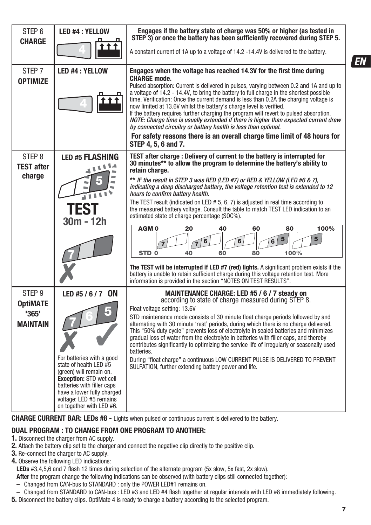| STEP <sub>6</sub><br><b>CHARGE</b>                               | <b>LED #4: YELLOW</b>                                                                                                                                                                                                                                    | Engages if the battery state of charge was 50% or higher (as tested in<br>STEP 3) or once the battery has been sufficiently recovered during STEP 5.                                                                                                                                                                                                                                                                                                                                                                                                                                                                                                                                                                                                                                                                                                                                                                                                                               |
|------------------------------------------------------------------|----------------------------------------------------------------------------------------------------------------------------------------------------------------------------------------------------------------------------------------------------------|------------------------------------------------------------------------------------------------------------------------------------------------------------------------------------------------------------------------------------------------------------------------------------------------------------------------------------------------------------------------------------------------------------------------------------------------------------------------------------------------------------------------------------------------------------------------------------------------------------------------------------------------------------------------------------------------------------------------------------------------------------------------------------------------------------------------------------------------------------------------------------------------------------------------------------------------------------------------------------|
|                                                                  |                                                                                                                                                                                                                                                          | A constant current of 1A up to a voltage of 14.2 -14.4V is delivered to the battery.                                                                                                                                                                                                                                                                                                                                                                                                                                                                                                                                                                                                                                                                                                                                                                                                                                                                                               |
| STEP <sub>7</sub><br><b>OPTIMIZE</b>                             | <b>LED #4: YELLOW</b>                                                                                                                                                                                                                                    | Engages when the voltage has reached 14.3V for the first time during<br><b>CHARGE mode.</b><br>Pulsed absorption: Current is delivered in pulses, varying between 0.2 and 1A and up to<br>a voltage of 14.2 - 14.4V, to bring the battery to full charge in the shortest possible<br>time. Verification: Once the current demand is less than 0.2A the charging voltage is<br>now limited at 13.6V whilst the battery's charge level is verified.<br>If the battery requires further charging the program will revert to pulsed absorption.<br>NOTE: Charge time is usually extended if there is higher than expected current draw<br>by connected circuitry or battery health is less than optimal.<br>For safety reasons there is an overall charge time limit of 48 hours for<br>STEP 4, 5, 6 and 7.                                                                                                                                                                            |
| STEP <sub>8</sub><br><b>TEST after</b><br>charge                 | <b>LED #5 FLASHING</b><br>٦<br>٦<br>$\blacksquare$<br><b>TES1</b><br>$30m - 12h$                                                                                                                                                                         | TEST after charge: Delivery of current to the battery is interrupted for<br>30 minutes** to allow the program to determine the battery's ability to<br>retain charge.<br>** IF the result in STEP 3 was RED (LED #7) or RED & YELLOW (LED #6 & 7),<br>indicating a deep discharged battery, the voltage retention test is extended to 12<br>hours to confirm battery health.<br>The TEST result (indicated on LED # 5, 6, 7) is adjusted in real time according to<br>the measured battery voltage. Consult the table to match TEST LED indication to an<br>estimated state of charge percentage (SOC%).<br>AGM <sub>0</sub><br>100%<br>20<br>40<br>60<br>80<br>5<br>5<br>6<br>STD <sub>0</sub><br>100%<br>40<br>60<br>80<br>The TEST will be interrupted if LED #7 (red) lights. A significant problem exists if the<br>battery is unable to retain sufficient charge during this voltage retention test. More<br>information is provided in the section "NOTES ON TEST RESULTS". |
| STEP <sub>9</sub><br><b>OptiMATE</b><br>'365'<br><b>MAINTAIN</b> | LED #5 / 6 / 7 ON<br>For batteries with a good<br>state of health LED #5<br>(green) will remain on.<br><b>Exception: STD wet cell</b><br>batteries with filler caps<br>have a lower fully charged<br>voltage: LED #5 remains<br>on together with LED #6. | MAINTENANCE CHARGE: LED #5 / 6 / 7 steady on<br>according to state of charge measured during STEP 8.<br>Float voltage setting: 13.6V<br>STD maintenance mode consists of 30 minute float charge periods followed by and<br>alternating with 30 minute 'rest' periods, during which there is no charge delivered.<br>This "50% duty cycle" prevents loss of electrolyte in sealed batteries and minimizes<br>gradual loss of water from the electrolyte in batteries with filler caps, and thereby<br>contributes significantly to optimizing the service life of irregularly or seasonally used<br>batteries.<br>During "float charge" a continuous LOW CURRENT PULSE IS DELIVERED TO PREVENT<br>SULFATION, further extending battery power and life.                                                                                                                                                                                                                              |

**CHARGE CURRENT BAR: LEDs #8 -** Lights when pulsed or continuous current is delivered to the battery.

### **DUAL PROGRAM : TO CHANGE FROM ONE PROGRAM TO ANOTHER:**

- **1.** Disconnect the charger from AC supply.
- **2.** Attach the battery clip set to the charger and connect the negative clip directly to the positive clip.
- **3.** Re-connect the charger to AC supply.
- **4.** Observe the following LED indications:

**LEDs** #3,4,5,6 and 7 flash 12 times during selection of the alternate program (5x slow, 5x fast, 2x slow).

- **After** the program change the following indications can be observed (with battery clips still connected together):
- Changed from CAN-bus to STANDARD : only the POWER LED#1 remains on.
- Changed from STANDARD to CAN-bus : LED #3 and LED #4 flash together at regular intervals with LED #8 immediately following.
- **5.** Disconnect the battery clips. OptiMate 4 is ready to charge a battery according to the selected program.

**FN**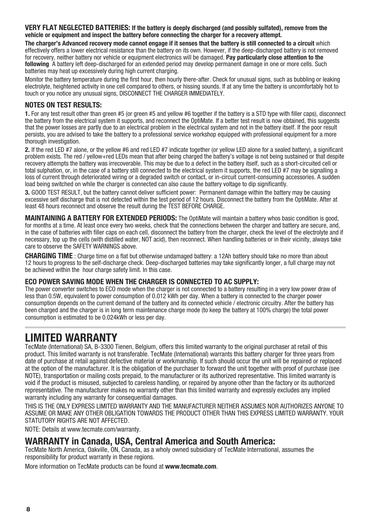**VERY FLAT NEGLECTED BATTERIES: If the battery is deeply discharged (and possibly sulfated), remove from the vehicle or equipment and inspect the battery before connecting the charger for a recovery attempt.** 

The charger's Advanced recovery mode cannot engage if it senses that the battery is still connected to a circuit which effectively offers a lower electrical resistance than the battery on its own. However, if the deep-discharged battery is not removed for recovery, neither battery nor vehicle or equipment electronics will be damaged. **Pay particularly close attention to the following** A battery left deep-discharged for an extended period may develop permanent damage in one or more cells. Such batteries may heat up excessively during high current charging.

Monitor the battery temperature during the first hour, then hourly there-after. Check for unusual signs, such as bubbling or leaking electrolyte, heightened activity in one cell compared to others, or hissing sounds. If at any time the battery is uncomfortably hot to touch or you notice any unusual signs, DISCONNECT THE CHARGER IMMEDIATELY.

#### **NOTES ON TEST RESULTS:**

**1.** For any test result other than green #5 (or green #5 and yellow #6 together if the battery is a STD type with filler caps), disconnect the battery from the electrical system it supports, and reconnect the OptiMate. If a better test result is now obtained, this suggests that the power losses are partly due to an electrical problem in the electrical system and not in the battery itself. If the poor result persists, you are advised to take the battery to a professional service workshop equipped with professional equipment for a more thorough investigation.

**2.** If the red LED #7 alone, or the yellow #6 and red LED #7 indicate together (or yellow LED alone for a sealed battery), a significant problem exists. The red / yellow+red LEDs mean that after being charged the battery's voltage is not being sustained or that despite recovery attempts the battery was irrecoverable. This may be due to a defect in the battery itself, such as a short-circuited cell or total sulphation, or, in the case of a battery still connected to the electrical system it supports, the red LED #7 may be signalling a loss of current through deteriorated wiring or a degraded switch or contact, or in-circuit current-consuming accessories. A sudden load being switched on while the charger is connected can also cause the battery voltage to dip significantly.

**3.** GOOD TEST RESULT, but the battery cannot deliver sufficient power: Permanent damage within the battery may be causing excessive self discharge that is not detected within the test period of 12 hours. Disconnect the battery from the OptiMate. After at least 48 hours reconnect and observe the result during the TEST BEFORE CHARGE.

**MAINTAINING A BATTERY FOR EXTENDED PERIODS:** The OptiMate will maintain a battery whos basic condition is good, for months at a time. At least once every two weeks, check that the connections between the charger and battery are secure, and, in the case of batteries with filler caps on each cell, disconnect the battery from the charger, check the level of the electrolyte and if necessary, top up the cells (with distilled water, NOT acid), then reconnect. When handling batteries or in their vicinity, always take care to observe the SAFETY WARNINGS above.

**CHARGING TIME** : Charge time on a flat but otherwise undamaged battery: a 12Ah battery should take no more than about 12 hours to progress to the self-discharge check. Deep-discharged batteries may take significantly longer, a full charge may not be achieved within the hour charge safety limit. In this case.

#### **ECO POWER SAVING MODE WHEN THE CHARGER IS CONNECTED TO AC SUPPLY:**

The power converter switches to ECO mode when the charger is not connected to a battery resulting in a very low power draw of less than 0.5W, equivalent to power consumption of 0.012 kWh per day. When a battery is connected to the charger power consumption depends on the current demand of the battery and its connected vehicle / electronic circuitry. After the battery has been charged and the charger is in long term maintenance charge mode (to keep the battery at 100% charge) the total power consumption is estimated to be 0.024kWh or less per day.

## **LIMITED WARRANTY**

TecMate (International) SA, B-3300 Tienen, Belgium, offers this limited warranty to the original purchaser at retail of this product. This limited warranty is not transferable. TecMate (International) warrants this battery charger for three years from date of purchase at retail against defective material or workmanship. If such should occur the unit will be repaired or replaced at the option of the manufacturer. It is the obligation of the purchaser to forward the unit together with proof of purchase (see NOTE), transportation or mailing costs prepaid, to the manufacturer or its authorized representative. This limited warranty is void if the product is misused, subjected to careless handling, or repaired by anyone other than the factory or its authorized representative. The manufacturer makes no warranty other than this limited warranty and expressly excludes any implied warranty including any warranty for consequential damages.

THIS IS THE ONLY EXPRESS LIMITED WARRANTY AND THE MANUFACTURER NEITHER ASSUMES NOR AUTHORIZES ANYONE TO ASSUME OR MAKE ANY OTHER OBLIGATION TOWARDS THE PRODUCT OTHER THAN THIS EXPRESS LIMITED WARRANTY. YOUR STATUTORY RIGHTS ARE NOT AFFECTED.

NOTE: Details at www.tecmate.com/warranty.

### **WARRANTY in Canada, USA, Central America and South America:**

TecMate North America, Oakville, ON, Canada, as a wholy owned subsidiary of TecMate International, assumes the responsibility for product warranty in these regions.

More information on TecMate products can be found at **www.tecmate.com**.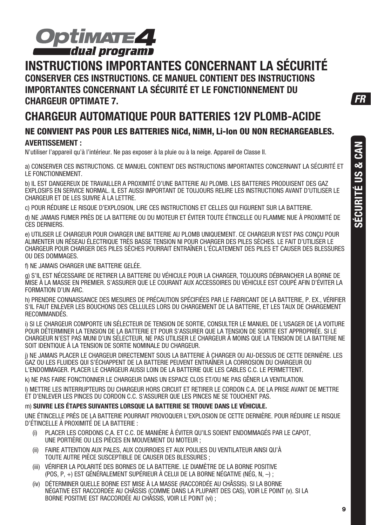

## **INSTRUCTIONS IMPORTANTES CONCERNANT LA SÉCURITÉ CONSERVER CES INSTRUCTIONS. CE MANUEL CONTIENT DES INSTRUCTIONS IMPORTANTES CONCERNANT LA SÉCURITÉ ET LE FONCTIONNEMENT DU CHARGEUR OPTIMATE 7.**

## **CHARGEUR AUTOMATIQUE POUR BATTERIES 12V PLOMB-ACIDE NE CONVIENT PAS POUR LES BATTERIES NiCd, NiMH, Li-Ion OU NON RECHARGEABLES. AVERTISSEMENT :**

N'utiliser l'appareil qu'à l'intérieur. Ne pas exposer à la pluie ou à la neige. Appareil de Classe II.

a) CONSERVER CES INSTRUCTIONS. CE MANUEL CONTIENT DES INSTRUCTIONS IMPORTANTES CONCERNANT LA SÉCURITÉ ET LE FONCTIONNEMENT.

b) IL EST DANGEREUX DE TRAVAILLER A PROXIMITÉ D'UNE BATTERIE AU PLOMB. LES BATTERIES PRODUISENT DES GAZ EXPLOSIFS EN SERVICE NORMAL. IL EST AUSSI IMPORTANT DE TOUJOURS RELIRE LES INSTRUCTIONS AVANT D'UTILISER LE CHARGEUR ET DE LES SUIVRE À LA LETTRE.

c) POUR RÉDUIRE LE RISQUE D'EXPLOSION, LIRE CES INSTRUCTIONS ET CELLES QUI FIGURENT SUR LA BATTERIE.

d) NE JAMAIS FUMER PRÈS DE LA BATTERIE OU DU MOTEUR ET ÉVITER TOUTE ÉTINCELLE OU FLAMME NUE À PROXIMITÉ DE CES DERNIERS.

e) UTILISER LE CHARGEUR POUR CHARGER UNE BATTERIE AU PLOMB UNIQUEMENT. CE CHARGEUR N'EST PAS CONÇU POUR ALIMENTER UN RÉSEAU ÉLECTRIQUE TRÈS BASSE TENSION NI POUR CHARGER DES PILES SÈCHES. LE FAIT D'UTILISER LE CHARGEUR POUR CHARGER DES PILES SÈCHES POURRAIT ENTRAÎNER L'ÉCLATEMENT DES PILES ET CAUSER DES BLESSURES OU DES DOMMAGES.

f) NE JAMAIS CHARGER UNE BATTERIE GELÉE.

g) S'IL EST NÉCESSAIRE DE RETIRER LA BATTERIE DU VÉHICULE POUR LA CHARGER, TOUJOURS DÉBRANCHER LA BORNE DE MISE À LA MASSE EN PREMIER. S'ASSURER QUE LE COURANT AUX ACCESSOIRES DU VÉHICULE EST COUPÉ AFIN D'ÉVITER LA FORMATION D'UN ARC.

h) PRENDRE CONNAISSANCE DES MESURES DE PRÉCAUTION SPÉCIFIÉES PAR LE FABRICANT DE LA BATTERIE, P. EX., VÉRIFIER S'IL FAUT ENLEVER LES BOUCHONS DES CELLULES LORS DU CHARGEMENT DE LA BATTERIE, ET LES TAUX DE CHARGEMENT RECOMMANDÉS.

i) SI LE CHARGEUR COMPORTE UN SÉLECTEUR DE TENSION DE SORTIE, CONSULTER LE MANUEL DE L'USAGER DE LA VOITURE POUR DÉTERMINER LA TENSION DE LA BATTERIE ET POUR S'ASSURER QUE LA TENSION DE SORTIE EST APPROPRIÉE. SI LE CHARGEUR N'EST PAS MUNI D'UN SÉLECTEUR, NE PAS UTILISER LE CHARGEUR À MOINS QUE LA TENSION DE LA BATTERIE NE SOIT IDENTIQUE À LA TENSION DE SORTIE NOMINALE DU CHARGEUR.

j) NE JAMAIS PLACER LE CHARGEUR DIRECTEMENT SOUS LA BATTERIE À CHARGER OU AU-DESSUS DE CETTE DERNIÈRE. LES GAZ OU LES FLUIDES QUI S'ÉCHAPPENT DE LA BATTERIE PEUVENT ENTRAÎNER LA CORROSION DU CHARGEUR OU L'ENDOMMAGER. PLACER LE CHARGEUR AUSSI LOIN DE LA BATTERIE QUE LES CABLES C.C. LE PERMETTENT.

k) NE PAS FAIRE FONCTIONNER LE CHARGEUR DANS UN ESPACE CLOS ET/OU NE PAS GÊNER LA VENTILATION.

l) METTRE LES INTERRUPTEURS DU CHARGEUR HORS CIRCUIT ET RETIRER LE CORDON C.A. DE LA PRISE AVANT DE METTRE ET D'ENLEVER LES PINCES DU CORDON C.C. S'ASSURER QUE LES PINCES NE SE TOUCHENT PAS.

#### m) **SUIVRE LES ÉTAPES SUIVANTES LORSQUE LA BATTERIE SE TROUVE DANS LE VÉHICULE.**

UNE ÉTINCELLE PRÈS DE LA BATTERIE POURRAIT PROVOQUER L'EXPLOSION DE CETTE DERNIÈRE. POUR RÉDUIRE LE RISQUE D'ÉTINCELLE À PROXIMITÉ DE LA BATTERIE :

- (i) PLACER LES CORDONS C.A. ET C.C. DE MANIÈRE À ÉVITER QU'ILS SOIENT ENDOMMAGÉS PAR LE CAPOT, UNE PORTIÈRE OU LES PIÈCES EN MOUVEMENT DU MOTEUR ;
- (ii) FAIRE ATTENTION AUX PALES, AUX COURROIES ET AUX POULIES DU VENTILATEUR AINSI QU'À TOUTE AUTRE PIÈCE SUSCEPTIBLE DE CAUSER DES BLESSURES :
- (iii) VÉRIFIER LA POLARITÉ DES BORNES DE LA BATTERIE. LE DIAMÈTRE DE LA BORNE POSITIVE (POS, P, +) EST GÉNÉRALEMENT SUPÉRIEUR À CELUI DE LA BORNE NÉGATIVE (NÉG, N, –) ;
- (iv) DÉTERMINER QUELLE BORNE EST MISE À LA MASSE (RACCORDÉE AU CHÂSSIS). SI LA BORNE NÉGATIVE EST RACCORDÉE AU CHÂSSIS (COMME DANS LA PLUPART DES CAS), VOIR LE POINT (v). SI LA BORNE POSITIVE EST RACCORDÉE AU CHÂSSIS, VOIR LE POINT (vi) ;

FR

**SÉCURITÉ US & CAN**

**SÉCURITÉ US & CAN**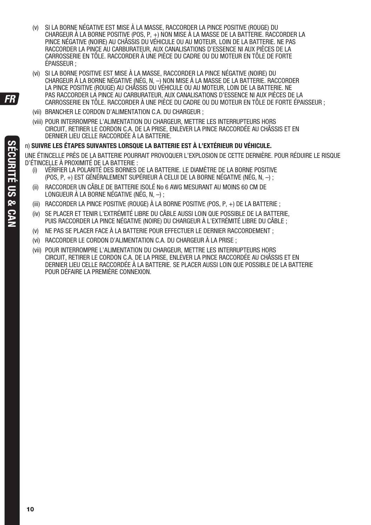- (v) SI LA BORNE NÉGATIVE EST MISE À LA MASSE, RACCORDER LA PINCE POSITIVE (ROUGE) DU CHARGEUR À LA BORNE POSITIVE (POS, P, +) NON MISE À LA MASSE DE LA BATTERIE. RACCORDER LA PINCE NÉGATIVE (NOIRE) AU CHÂSSIS DU VÉHICULE OU AU MOTEUR, LOIN DE LA BATTERIE. NE PAS RACCORDER LA PINCE AU CARBURATEUR, AUX CANALISATIONS D'ESSENCE NI AUX PIÈCES DE LA CARROSSERIE EN TÔLE. RACCORDER À UNE PIÈCE DU CADRE OU DU MOTEUR EN TÔLE DE FORTE ÉPAISSEUR ;
- (vi) SI LA BORNE POSITIVE EST MISE À LA MASSE, RACCORDER LA PINCE NÉGATIVE (NOIRE) DU CHARGEUR À LA BORNE NÉGATIVE (NÉG, N, –) NON MISE À LA MASSE DE LA BATTERIE. RACCORDER LA PINCE POSITIVE (ROUGE) AU CHÂSSIS DU VÉHICULE OU AU MOTEUR, LOIN DE LA BATTERIE. NE PAS RACCORDER LA PINCE AU CARBURATEUR, AUX CANALISATIONS D'ESSENCE NI AUX PIÈCES DE LA CARROSSERIE EN TÔLE. RACCORDER À UNE PIÈCE DU CADRE OU DU MOTEUR EN TÔLE DE FORTE ÉPAISSEUR ;
- (vii) BRANCHER LE CORDON D'ALIMENTATION C.A. DU CHARGEUR ;
- (viii) POUR INTERROMPRE L'ALIMENTATION DU CHARGEUR, METTRE LES INTERRUPTEURS HORS CIRCUIT, RETIRER LE CORDON C.A. DE LA PRISE, ENLEVER LA PINCE RACCORDÉE AU CHÂSSIS ET EN DERNIER LIEU CELLE RACCORDÉE À LA BATTERIE.

#### n) **SUIVRE LES ÉTAPES SUIVANTES LORSQUE LA BATTERIE EST À L'EXTÉRIEUR DU VÉHICULE.**

UNE ÉTINCELLE PRÈS DE LA BATTERIE POURRAIT PROVOQUER L'EXPLOSION DE CETTE DERNIÈRE. POUR RÉDUIRE LE RISQUE D'ÉTINCELLE À PROXIMITÉ DE LA BATTERIE :

- (i) VÉRIFIER LA POLARITÉ DES BORNES DE LA BATTERIE. LE DIAMÈTRE DE LA BORNE POSITIVE (POS, P, +) EST GÉNÉRALEMENT SUPÉRIEUR À CELUI DE LA BORNE NÉGATIVE (NÉG, N, –) ;
- (ii) RACCORDER UN CÂBLE DE BATTERIE ISOLÉ No 6 AWG MESURANT AU MOINS 60 CM DE LONGUEUR À LA BORNE NÉGATIVE (NÉG, N, –) ;
- (iii) RACCORDER LA PINCE POSITIVE (ROUGE) À LA BORNE POSITIVE (POS, P, +) DE LA BATTERIE ;
- (iv) SE PLACER ET TENIR L'EXTRÉMITÉ LIBRE DU CÂBLE AUSSI LOIN QUE POSSIBLE DE LA BATTERIE, PUIS RACCORDER LA PINCE NÉGATIVE (NOIRE) DU CHARGEUR À L'EXTRÉMITÉ LIBRE DU CÂBLE ;
- (v) NE PAS SE PLACER FACE À LA BATTERIE POUR EFFECTUER LE DERNIER RACCORDEMENT ;
- (vi) RACCORDER LE CORDON D'ALIMENTATION C.A. DU CHARGEUR À LA PRISE ;
- (vii) POUR INTERROMPRE L'ALIMENTATION DU CHARGEUR, METTRE LES INTERRUPTEURS HORS CIRCUIT, RETIRER LE CORDON C.A. DE LA PRISE, ENLEVER LA PINCE RACCORDÉE AU CHÂSSIS ET EN DERNIER LIEU CELLE RACCORDÉE À LA BATTERIE. SE PLACER AUSSI LOIN QUE POSSIBLE DE LA BATTERIE POUR DÉFAIRE LA PREMIÈRE CONNEXION.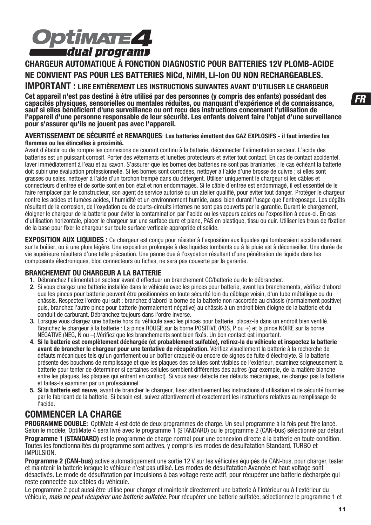

### **CHARGEUR AUTOMATIQUE À FONCTION DIAGNOSTIC POUR BATTERIES 12V PLOMB-ACIDE NE CONVIENT PAS POUR LES BATTERIES NiCd, NiMH, Li-Ion OU NON RECHARGEABLES. IMPORTANT : LIRE ENTIÈREMENT LES INSTRUCTIONS SUIVANTES AVANT D'UTILISER LE CHARGEUR**

**Cet appareil n'est pas destiné à être utilisé par des personnes (y compris des enfants) possédant des capacités physiques, sensorielles ou mentales réduites, ou manquant d'expérience et de connaissance, sauf si elles bénéficient d'une surveillance ou ont reçu des instructions concernant l'utilisation de l'appareil d'une personne responsable de leur sécurité. Les enfants doivent faire l'objet d'une surveillance pour s'assurer qu'ils ne jouent pas avec l'appareil.**

#### **AVERTISSEMENT DE SÉCURITÉ et REMARQUES**: **Les batteries émettent des GAZ EXPLOSIFS - il faut interdire les flammes ou les étincelles à proximité.**

Avant d'établir ou de rompre les connexions de courant continu à la batterie, déconnecter l'alimentation secteur. L'acide des batteries est un puissant corrosif. Porter des vêtements et lunettes protecteurs et éviter tout contact. En cas de contact accidentel, laver immédiatement à l'eau et au savon. S'assurer que les bornes des batteries ne sont pas branlantes ; le cas échéant la batterie doit subir une évaluation professionnelle. Si les bornes sont corrodées, nettoyer à l'aide d'une brosse de cuivre ; si elles sont grasses ou sales, nettoyer à l'aide d'un torchon trempé dans du détergent. Utiliser uniquement le chargeur si les câbles et connecteurs d'entrée et de sortie sont en bon état et non endommagés. Si le câble d'entrée est endommagé, il est essentiel de le faire remplacer par le constructeur, son agent de service autorisé ou un atelier qualifié, pour éviter tout danger. Protéger le chargeur contre les acides et fumées acides, l'humidité et un environnement humide, aussi bien durant l'usage que l'entreposage. Les dégâts résultant de la corrosion, de l'oxydation ou de courts-circuits internes ne sont pas couverts par la garantie. Durant le chargement, éloigner le chargeur de la batterie pour éviter la contamination par l'acide ou les vapeurs acides ou l'exposition à ceux-ci. En cas d'utilisation horizontale, placer le chargeur sur une surface dure et plane, PAS en plastique, tissu ou cuir. Utiliser les trous de fixation de la base pour fixer le chargeur sur toute surface verticale appropriée et solide.

**EXPOSITION AUX LIQUIDES :** Ce chargeur est conçu pour résister à l'exposition aux liquides qui tomberaient accidentellement sur le boîtier, ou à une pluie légère. Une exposition prolongée à des liquides tombants ou à la pluie est à déconseiller. Une durée de vie supérieure résultera d'une telle précaution. Une panne due à l'oxydation résultant d'une pénétration de liquide dans les composants électroniques, bloc connecteurs ou fiches, ne sera pas couverte par la garantie.

#### **BRANCHEMENT DU CHARGEUR A LA BATTERIE**

**1.** Débranchez l'alimentation secteur avant d'effectuer un branchement CC/batterie ou de le débrancher.

- **2.** Si vous chargez une batterie installée dans le véhicule avec les pinces pour batterie, avant les branchements, vérifiez d'abord que les pinces pour batterie peuvent être positionnées en toute sécurité loin du câblage voisin, d'un tube métallique ou du châssis. Respectez l'ordre qui suit : branchez d'abord la borne de la batterie non raccordée au châssis (normalement positive) puis, branchez l'autre pince pour batterie (normalement négative) au châssis à un endroit bien éloigné de la batterie et du conduit de carburant. Débranchez toujours dans l'ordre inverse.
- **3.** Lorsque vous chargez une batterie hors du véhicule avec les pinces pour batterie, placez-la dans un endroit bien ventilé. Branchez le chargeur à la batterie : La pince ROUGE sur la borne POSITIVE (POS, P ou +) et la pince NOIRE sur la borne NÉGATIVE (NEG, N ou –).Vérifiez que les branchements sont bien fixés. Un bon contact est important.
- **4. Si la batterie est complètement déchargée (et probablement sulfatée), retirez-la du véhicule et inspectez la batterie avant de brancher le chargeur pour une tentative de récupération.** Vérifiez visuellement la batterie à la recherche de défauts mécaniques tels qu'un gonflement ou un boîtier craquelé ou encore de signes de fuite d'électrolyte. Si la batterie présente des bouchons de remplissage et que les plaques des cellules sont visibles de l'extérieur, examinez soigneusement la batterie pour tenter de déterminer si certaines cellules semblent différentes des autres (par exemple, de la matière blanche entre les plaques, les plaques qui entrent en contact). Si vous avez détecté des défauts mécaniques, ne chargez pas la batterie et faites-la examiner par un professionnel.
- **5. Si la batterie est neuve**, avant de brancher le chargeur, lisez attentivement les instructions d'utilisation et de sécurité fournies par le fabricant de la batterie. Si besoin est, suivez attentivement et exactement les instructions relatives au remplissage de l'acide**.**

### **COMMENCER LA CHARGE**

**PROGRAMME DOUBLE:** OptiMate 4 est doté de deux programmes de charge. Un seul programme à la fois peut être lancé. Selon le modèle, OptiMate 4 sera livré avec le programme 1 (STANDARD) ou le programme 2 (CAN-bus) sélectionné par défaut. **Programme 1 (STANDARD)** est le programme de charge normal pour une connexion directe à la batterie en toute condition. Toutes les fonctionnalités du programme sont actives, y compris les modes de désulfatation Standard, TURBO et IMPULSION.

**Programme 2 (CAN-bus)** active automatiquement une sortie 12 V sur les véhicules équipés de CAN-bus, pour charger, tester et maintenir la batterie lorsque le véhicule n'est pas utilisé. Les modes de désulfatation Avancée et haut voltage sont désactivés. Le mode de désulfatation par impulsions à bas voltage reste actif, pour récupérer une batterie déchargée qui reste connectée aux câbles du véhicule.

Le programme 2 peut aussi être utilisé pour charger et maintenir directement une batterie à l'intérieur ou à l'extérieur du véhicule, mais ne peut récupérer une batterie sulfatée. Pour récupérer une batterie sulfatée, sélectionnez le programme 1 et  $FR$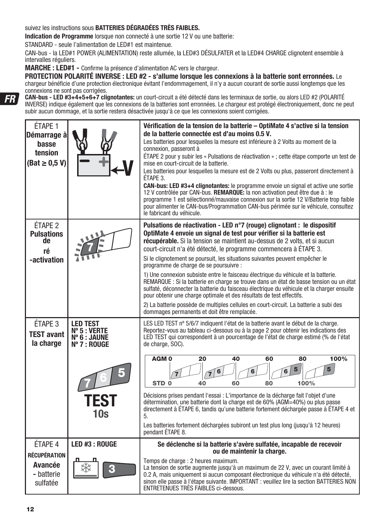suivez les instructions sous **BATTERIES DÉGRADÉES TRÈS FAIBLES.**

**Indication de Programme** lorsque non connecté à une sortie 12 V ou une batterie:

STANDARD - seule l'alimentation de LED#1 est maintenue.

CAN-bus - la LED#1 POWER (ALIMENTATION) reste allumée, la LED#3 DÉSULFATER et la LED#4 CHARGE clignotent ensemble à intervalles réguliers.

**MARCHE : LED#1 -** Confirme la présence d'alimentation AC vers le chargeur.

**PROTECTION POLARITÉ INVERSE : LED #2 - s'allume lorsque les connexions à la batterie sont erronnées.** Le chargeur bénéficie d'une protection électronique évitant l'endommagement, il n'y a aucun courant de sortie aussi longtemps que les connexions ne sont pas corrigées.

**CAN-bus - LED #3+4+5+6+7 clignotantes:** un court-circuit a été détecté dans les terminaux de sortie, ou alors LED #2 (POLARITÉ INVERSE) indique également que les connexions de la batteries sont erronnées. Le chargeur est protégé électroniquement, donc ne peut subir aucun dommage, et la sortie restera désactivée jusqu'à ce que les connexions soient corrigées.

| ÉTAPE 1<br>Démarrage à<br>basse<br>tension<br>$\text{(Bat } \geq 0.5 \text{ V)}$ |                                                                                         | Vérification de la tension de la batterie - OptiMate 4 s'active si la tension<br>de la batterie connectée est d'au moins 0.5 V.<br>Les batteries pour lesquelles la mesure est inférieure à 2 Volts au moment de la<br>connexion, passeront à<br>ÉTAPE 2 pour y subir les « Pulsations de réactivation » ; cette étape comporte un test de<br>mise en court-circuit de la batterie.<br>Les batteries pour lesquelles la mesure est de 2 Volts ou plus, passeront directement à<br>ETAPE 3.<br><b>CAN-bus: LED #3+4 clignotantes:</b> le programme envoie un signal et active une sortie<br>12 V contrôlée par CAN-bus. REMARQUE: la non activation peut être due à : le<br>programme 1 est sélectionné/mauvaise connexion sur la sortie 12 V/Batterie trop faible<br>pour alimenter le CAN-bus/Programmation CAN-bus périmée sur le véhicule, consultez<br>le fabricant du véhicule.                                     |
|----------------------------------------------------------------------------------|-----------------------------------------------------------------------------------------|--------------------------------------------------------------------------------------------------------------------------------------------------------------------------------------------------------------------------------------------------------------------------------------------------------------------------------------------------------------------------------------------------------------------------------------------------------------------------------------------------------------------------------------------------------------------------------------------------------------------------------------------------------------------------------------------------------------------------------------------------------------------------------------------------------------------------------------------------------------------------------------------------------------------------|
| ÉTAPE <sub>2</sub><br><b>Pulsations</b><br>de<br>ré<br>-activation               |                                                                                         | Pulsations de réactivation - LED n°7 (rouge) clignotant : le dispositif<br>OptiMate 4 envoie un signal de test pour vérifier si la batterie est<br>récupérable. Si la tension se maintient au-dessus de 2 volts, et si aucun<br>court-circuit n'a été détecté, le programme commencera à ÉTAPE 3.<br>Si le clignotement se poursuit, les situations suivantes peuvent empêcher le<br>programme de charge de se poursuivre :<br>1) Une connexion subsiste entre le faisceau électrique du véhicule et la batterie.<br>REMARQUE : Si la batterie en charge se trouve dans un état de basse tension ou un état<br>sulfaté, déconnecter la batterie du faisceau électrique du véhicule et la charger ensuite<br>pour obtenir une charge optimale et des résultats de test effectifs.<br>2) La batterie possède de multiples cellules en court-circuit. La batterie a subi des<br>dommages permanents et doit être remplacée. |
| ÉTAPE 3<br><b>TEST avant</b><br>la charge                                        | <b>LED TEST</b><br>$N^{\circ}$ 5 : VERTE<br>Nº 6 : JAUNE<br>Nº 7 : ROUGE<br>TEST<br>10s | LES LED TEST nº 5/6/7 indiquent l'état de la batterie avant le début de la charge.<br>Reportez-vous au tableau ci-dessous ou à la page 2 pour obtenir les indications des<br>LED TEST qui correspondent à un pourcentage de l'état de charge estimé (% de l'état<br>de charge, SOC).<br>AGM <sub>0</sub><br>20<br>100%<br>40<br>60<br>80<br>5<br>6<br>STD <sub>0</sub><br>100%<br>40<br>60<br>80<br>Décisions prises pendant l'essai : L'importance de la décharge fait l'objet d'une<br>détermination, une batterie dont la charge est de 60% (AGM=40%) ou plus passe<br>directement à ÉTAPE 6, tandis qu'une batterie fortement déchargée passe à ÉTAPE 4 et<br>5.<br>Les batteries fortement déchargées subiront un test plus long (jusqu'à 12 heures)<br>pendant ÉTAPE 8.                                                                                                                                            |
| ÉTAPE 4<br><b>RÉCUPÉRATION</b><br>Avancée<br>- batterie<br>sulfatée              | LED #3 : ROUGE<br>G                                                                     | Se déclenche si la batterie s'avère sulfatée, incapable de recevoir<br>ou de maintenir la charge.<br>Temps de charge : 2 heures maximum.<br>La tension de sortie augmente jusqu'à un maximum de 22 V, avec un courant limité à<br>0.2 A, mais uniquement si aucun composant électronique du véhicule n'a été détecté,<br>sinon elle passe à l'étape suivante. IMPORTANT : veuillez lire la section BATTERIES NON<br>ENTRETENUES TRÈS FAIBLES ci-dessous.                                                                                                                                                                                                                                                                                                                                                                                                                                                                 |

FR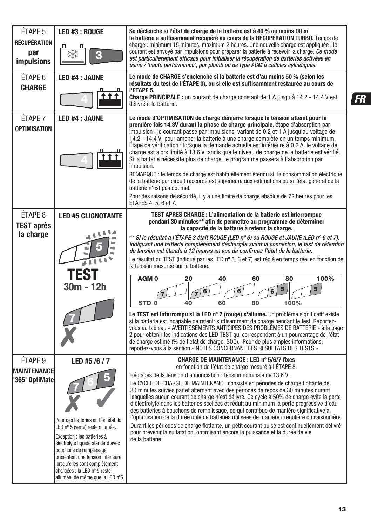| ÉTAPE 5<br>RÉCUPÉRATION<br>par<br><b>impulsions</b>        | LED #3 : ROUGE<br>¢                                                                                                                                                                                                                                                                                                              | Se déclenche si l'état de charge de la batterie est à 40 % ou moins OU si<br>la batterie a suffisamment récupéré au cours de la RÉCUPÉRATION TURBO. Temps de<br>charge : minimum 15 minutes, maximum 2 heures. Une nouvelle charge est appliquée ; le<br>courant est envoyé par impulsions pour préparer la batterie à recevoir la charge. Ce mode<br>est particulièrement efficace pour initialiser la récupération de batteries activées en<br>usine / 'haute performance', pur plomb ou de type AGM à cellules cylindiques.                                                                                                                                                                                                                                                                                                                                                                                                                                                                                                                                                                                                                                                                                                                                                       |    |
|------------------------------------------------------------|----------------------------------------------------------------------------------------------------------------------------------------------------------------------------------------------------------------------------------------------------------------------------------------------------------------------------------|--------------------------------------------------------------------------------------------------------------------------------------------------------------------------------------------------------------------------------------------------------------------------------------------------------------------------------------------------------------------------------------------------------------------------------------------------------------------------------------------------------------------------------------------------------------------------------------------------------------------------------------------------------------------------------------------------------------------------------------------------------------------------------------------------------------------------------------------------------------------------------------------------------------------------------------------------------------------------------------------------------------------------------------------------------------------------------------------------------------------------------------------------------------------------------------------------------------------------------------------------------------------------------------|----|
| ÉTAPE 6<br><b>CHARGE</b>                                   | LED #4 : JAUNE<br>t t t                                                                                                                                                                                                                                                                                                          | Le mode de CHARGE s'enclenche si la batterie est d'au moins 50 % (selon les<br>résultats du test de l'ÉTAPE 3), ou si elle est suffisamment restaurée au cours de<br>l'ÉTAPE 5.<br><b>Charge PRINCIPALE:</b> un courant de charge constant de 1 A jusqu'à 14.2 - 14.4 V est<br>délivré à la batterie.                                                                                                                                                                                                                                                                                                                                                                                                                                                                                                                                                                                                                                                                                                                                                                                                                                                                                                                                                                                | FR |
| étape 7<br><b>OPTIMISATION</b>                             | <b>LED #4 : JAUNE</b>                                                                                                                                                                                                                                                                                                            | Le mode d'OPTIMISATION de charge démarre lorsque la tension atteint pour la<br>première fois 14.3V durant la phase de charge principale. étape d'absorption par<br>impulsion : le courant passe par impulsions, variant de 0.2 et 1 A jusqu'au voltage de<br>14.2 - 14.4 V, pour amener la batterie à une charge complète en un temps minimum.<br>Étape de vérification : lorsque la demande actuelle est inférieure à 0.2 A, le voltage de<br>charge est alors limité à 13.6 V tandis que le niveau de charge de la batterie est vérifié.<br>Si la batterie nécessite plus de charge, le programme passera à l'absorption par<br>impulsion.<br>REMARQUE : le temps de charge est habituellement étendu si la consommation électrique<br>de la batterie par circuit raccordé est supérieure aux estimations ou si l'état général de la<br>batterie n'est pas optimal.<br>Pour des raisons de sécurité, il y a une limite de charge absolue de 72 heures pour les<br>ÉTAPES 4, 5, 6 et 7.                                                                                                                                                                                                                                                                                             |    |
| ÉTAPE 8<br><b>TEST après</b><br>la charge                  | <b>LED #5 CLIGNOTANTE</b><br><b>TEST</b><br>30m - 12h                                                                                                                                                                                                                                                                            | TEST APRES CHARGE : L'alimentation de la batterie est interrompue<br>pendant 30 minutes** afin de permettre au programme de déterminer<br>la capacité de la batterie à retenir la charge.<br>** SI le résultat à l'ÉTAPE 3 était ROUGE (LED n° 6) ou ROUGE et JAUNE (LED n° 6 et 7),<br>indiquant une batterie complètement déchargée avant la connexion. le test de rétention<br>de tension est étendu à 12 heures en vue de confirmer l'état de la batterie.<br>Le résultat du TEST (indiqué par les LED n° 5, 6 et 7) est réglé en temps réel en fonction de<br>la tension mesurée sur la batterie.<br>AGM <sub>0</sub><br>20<br>40<br>60<br>100%<br>80<br>5<br>5<br>$\bf 6$<br>6<br>6<br>7<br>STD <sub>0</sub><br>40<br>60<br>80<br>100%<br>Le TEST est interrompu si la LED nº 7 (rouge) s'allume. Un problème significatif existe<br>si la batterie est incapable de retenir suffisamment de charge pendant le test. Reportez-<br>vous au tableau « AVERTISSEMENTS ANTICIPÉS DES PROBLÈMES DE BATTERIE » à la page<br>2 pour obtenir les indications des LED TEST qui correspondent à un pourcentage de l'état<br>de charge estimé (% de l'état de charge, SOC). Pour de plus amples informations,<br>reportez-vous à la section « NOTES CONCERNANT LES RÉSULTATS DES TESTS ». |    |
| ÉTAPE <sub>9</sub><br><b>MAINTENANCE</b><br>'365' OptiMate | LED #5 /6 / 7<br>Pour des batteries en bon état, la<br>LED nº 5 (verte) reste allumée.<br>Exception : les batteries à<br>électrolyte liquide standard avec<br>bouchons de remplissage<br>présentent une tension inférieure<br>lorsqu'elles sont complètement<br>chargées : la LED nº 5 reste<br>allumée, de même que la LED nº6. | <b>CHARGE DE MAINTENANCE : LED nº 5/6/7 fixes</b><br>en fonction de l'état de charge mesuré à l'ÉTAPE 8.<br>Réglages de la tension d'annonciation : tension nominale de 13,6 V.<br>Le CYCLE DE CHARGE DE MAINTENANCE consiste en périodes de charge flottante de<br>30 minutes suivies par et alternant avec des périodes de repos de 30 minutes durant<br>lesquelles aucun courant de charge n'est délivré. Ce cycle à 50% de charge évite la perte<br>d'électrolyte dans les batteries scellées et réduit au minimum la perte progressive d'eau<br>des batteries à bouchons de remplissage, ce qui contribue de manière significative à<br>l'optimisation de la durée utile de batteries utilisées de manière irréqulière ou saisonnière.<br>Durant les périodes de charge flottante, un petit courant pulsé est continuellement délivré<br>pour prévenir la sulfatation, optimisant encore la puissance et la durée de vie<br>de la batterie.                                                                                                                                                                                                                                                                                                                                     |    |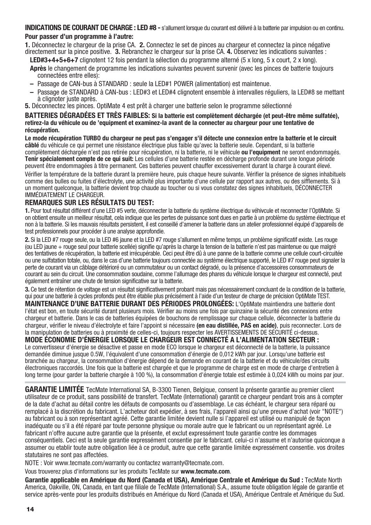#### **INDICATIONS DE COURANT DE CHARGE : LED #8 -** s'allument lorsque du courant est délivré à la batterie par impulsion ou en continu. **Pour passer d'un programme à l'autre:**

**1.** Déconnectez le chargeur de la prise CA. **2.** Connectez le set de pinces au chargeur et connectez la pince négative directement sur la pince positive. **3.** Rebranchez le chargeur sur la prise CA. **4.** Observez les indications suivantes :

- **LED#3+4+5+6+7** clignotent 12 fois pendant la sélection du programme alterné (5 x long, 5 x court, 2 x long). **Après** le changement de programme les indications suivantes peuvent survenir (avec les pinces de batterie toujours connectées entre elles):
- Passage de CAN-bus à STANDARD : seule la LED#1 POWER (alimentation) est maintenue.
- Passage de STANDARD à CAN-bus : LED#3 et LED#4 clignotent ensemble à intervalles réguliers, la LED#8 se mettant à clignoter juste après.
- **5.** Déconnectez les pinces. OptiMate 4 est prêt à charger une batterie selon le programme sélectionné

#### **BATTERIES DÉGRADÉES ET TRÈS FAIBLES: Si la batterie est complètement déchargée (et peut-être même sulfatée), retirez-la du véhicule ou de 'equipment et examinez-la avant de la connecter au chargeur pour une tentative de récupération.**

**Le mode récupération TURBO du chargeur ne peut pas s'engager s'il détecte une connexion entre la batterie et le circuit câblé** du véhicule ce qui permet une résistance électrique plus faible qu'avec la batterie seule. Cependant, si la batterie complètement déchargée n'est pas retirée pour récupération, ni la batterie, ni le véhicule **ou l'equipment** ne seront endommagés. **Tenir spécialement compte de ce qui suit:** Les cellules d'une batterie restée en décharge profonde durant une longue période peuvent être endommagées à titre permanent. Ces batteries peuvent chauffer excessivement durant la charge à courant élevé.

Vérifier la température de la batterie durant la première heure, puis chaque heure suivante. Vérifier la présence de signes inhabituels comme des bulles ou fuites d'électrolyte, une activité plus importante d'une cellule par rapport aux autres, ou des sifflements. Si à un moment quelconque, la batterie devient trop chaude au toucher ou si vous constatez des signes inhabituels, DÉCONNECTER IMMÉDIATEMENT LE CHARGEUR.

### **REMARQUES SUR LES RÉSULTATS DU TEST:**

**1.** Pour tout résultat différent d'une LED #5 verte, déconnecter la batterie du système électrique du véhivcule et reconnecter l'OptiMate. Si on obtient ensuite un meilleur résultat, cela indique que les pertes de puissance sont dues en partie à un problème du système électrique et non à la batterie. Si les mauvais résultats persistent, il est conseillé d'amener la batterie dans un atelier professionnel équipé d'appareils de test professionnels pour procéder à une analyse approfondie.

**2.** Si la LED #7 rouge seule, ou la LED #6 jaune et la LED #7 rouge s'allument en même temps, un problème significatif existe. Les rouge (ou LED jaune + rouge seul pour batterie scellée) signifie qu'après la charge la tension de la batterie n'est pas maintenue ou que malgré des tentatives de récupération, la batterie est irrécupérable. Ceci peut être dû à une panne de la batterie comme une cellule court-circuitée ou une sulfatation totale, ou, dans le cas d'une batterie toujours connectée au système électrique supporté, le LED #7 rouge peut signaler la perte de courant via un câblage détérioré ou un commutateur ou un contact dégradé, ou la présence d'accessoires consommateurs de courant au sein du circuit. Une consommation soudaine, comme l'allumage des phares du véhicule lorsque le chargeur est connecté, peut également entraîner une chute de tension significative sur la batterie.

3. Ce test de rétention de voltage est un résultat significativement probant mais pas nécessairement concluant de la condition de la batterie, qui pour une batterie à cycles profonds peut être établie plus précisément à l'aide d'un testeur de charge de précision OptiMate TEST.

**MAINTENANCE D'UNE BATTERIE DURANT DES PÉRIODES PROLONGÉES:** L'OptiMate maintiendra une batterie dont l'état est bon, en toute sécurité durant plusieurs mois. Vérifier au moins une fois par quinzaine la sécurité des connexions entre chargeur et batterie. Dans le cas de batteries équipées de bouchons de remplissage sur chaque cellule, déconnecter la batterie du chargeur, vérifier le niveau d'électrolyte et faire l'appoint si nécessaire **(en eau distillée, PAS en acide)**, puis reconnecter. Lors de la manipulation de batteries ou à proximité de celles-ci, toujours respecter les AVERTISSEMENTS DE SÉCURITÉ ci-dessus.

### **MODE ÉCONOMIE D'ÉNERGIE LORSQUE LE CHARGEUR EST CONNECTÉ A L'ALIMENTATION SECTEUR :**

Le convertisseur d'énergie se désactive et passe en mode ECO lorsque le chargeur est déconnecté de la batterie, la puissance demandée diminue jusque 0.5W, l'équivalent d'une consommation d'énergie de 0,012 kWh par jour. Lorsqu'une batterie est branchée au chargeur, la consommation d'énergie dépend de la demande en courant de la batterie et du véhicule/des circuits électroniques raccordés. Une fois que la batterie est chargée et que le programme de charge est en mode de charge d'entretien à long terme (pour garder la batterie chargée à 100 %), la consommation d'énergie totale est estimée à 0,024 kWh ou moins par jour.

**GARANTIE LIMITÉE** TecMate International SA, B-3300 Tienen, Belgique, consent la présente garantie au premier client utilisateur de ce produit, sans possibilité de transfert. TecMate (International) garantit ce chargeur pendant trois ans à compter de la date d'achat au détail contre les défauts de composants ou d'assemblage. Le cas échéant, le chargeur sera réparé ou remplacé à la discrétion du fabricant. L'acheteur doit expédier, à ses frais, l'appareil ainsi qu'une preuve d'achat (voir "NOTE") au fabricant ou à son représentant agréé. Cette garantie limitée devient nulle si l'appareil est utilisé ou manipulé de façon inadéquate ou s'il a été réparé par toute personne physique ou morale autre que le fabricant ou un représentant agréé. Le fabricant n'offre aucune autre garantie que la présente, et exclut expressément toute garantie contre les dommages conséquentiels. Ceci est la seule garantie expressément consentie par le fabricant. celui-ci n'assume et n'autorise quiconque a assumer ou etablir toute autre obligation liée à ce produit, autre que cette garantie limitée expressément consentie. vos droites statutaires ne sont pas affectées.

NOTE : Voir www.tecmate.com/warranty ou contactez warranty@tecmate.com.

Vous trouverez plus d'informations sur les produits TecMate sur **www.tecmate.com**.

Garantie applicable en Amérique du Nord (Canada et USA), Amérique Centrale et Amérique du Sud : TecMate North America, Oakville, ON, Canada, en tant que filiale de TecMate (International) S.A., assume toute obligation légale de garantie et service après-vente pour les produits distribués en Amérique du Nord (Canada et USA), Amérique Centrale et Amérique du Sud.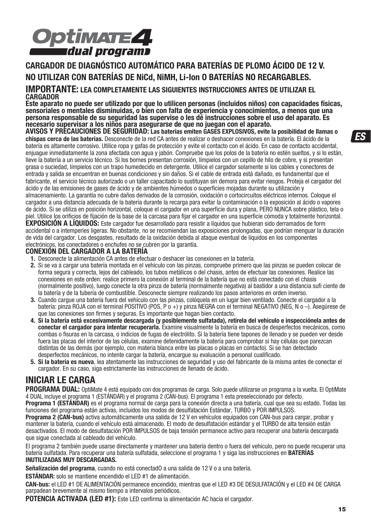

### **CARGADOR DE DIAGNÓSTICO AUTOMÁTICO PARA BATERÍAS DE PLOMO ÁCIDO DE 12 V. NO UTILIZAR CON BATERÍAS DE NiCd, NiMH, Li-Ion O BATERÍAS NO RECARGABLES.**

#### **IMPORTANTE: LEA COMPLETAMENTE LAS SIGUIENTES INSTRUCCIONES ANTES DE UTILIZAR EL CARGADOR**

**Este aparato no puede ser utilizado por que lo utilicen personas (incluidos niños) con capacidades físicas, sensoriales o mentales disminuidas, o bien con falta de experiencia y conocimientos, a menos que una persona responsable de su seguridad las supervise o les dé instrucciones sobre el uso del aparato. Es necesario supervisar a los niños para asegurarse de que no juegan con el aparato.**

**AVISOS Y PRECAUCIONES DE SEGURIDAD: Las baterías emiten GASES EXPLOSIVOS, evite la posibilidad de llamas o chispas cerca de las baterías.** Desconecte de la red CA antes de realizar o deshacer conexiones en la batería. El ácido de la batería es altamente corrosivo. Utilice ropa y gafas de protección y evite el contacto con el ácido. En caso de contacto accidental, enjuague inmediatamente la zona afectada con agua y jabón. Compruebe que los polos de la batería no estén sueltos, y si lo están, lleve la batería a un servicio técnico. Si los bornes presentan corrosión, límpielos con un cepillo de hilo de cobre, y si presentan grasa o suciedad, límpielos con un trapo humedecido en detergente. Utilice el cargador solamente si los cables y conectores de entrada y salida se encuentran en buenas condiciones y sin daños. Si el cable de entrada está dañado, es fundamental que el fabricante, el servicio técnico autorizado o un taller capacitado lo sustituyan sin demora para evitar riesgos. Proteja el cargador del ácido y de las emisiones de gases de ácido y de ambientes húmedos o superficies mojadas durante su utilización y almacenamiento. La garantía no cubre daños derivados de la corrosión, oxidación o cortocircuitos eléctricos internos. Coloque el cargador a una distancia adecuada de la batería durante la recarga para evitar la contaminación o la exposición al ácido o vapores de ácido. Si se utiliza en posición horizontal, coloque el cargador en una superficie dura y plana, PERO NUNCA sobre plástico, tela o piel. Utilice los orificios de fijación de la base de la carcasa para fijar el cargador en una superficie cómoda y totalmente horizontal. **EXPOSICIÓN A LÍQUIDOS:** Este cargador fue desarrollado para resistir a líquidos que hubieran sido derramados de form accidental o a intemperies ligeras. No obstante, no se recomiendan las exposiciones prolongadas, que podrían menguar la duración de vida del cargador. Los desgastes, resultado de la oxidación debida al ataque eventual de líquidos en los componentes

electrónicos, los conectadores o enchufes no se cubren por la garantía.

### **CONEXIÓN DEL CARGADOR A LA BATERÍA**

- **1.** Desconecte la alimentación CA antes de efectuar o deshacer las conexiones en la batería.
- **2.** Si se va a cargar una batería montada en el vehículo con las pinzas, compruebe primero que las pinzas se pueden colocar de forma segura y correcta, lejos del cableado, los tubos metálicos o del chasis, antes de efectuar las conexiones. Realice las conexiones en este orden: realice primero la conexión al terminal de la batería que no está conectado con el chasis (normalmente positivo), luego conecte la otra pinza de batería (normalmente negativa) al bastidor a una distancia sufi ciente de la batería y de la tubería de combustible. Desconecte siempre realizando los pasos anteriores en orden inverso.
- **3.** Cuando cargue una batería fuera del vehículo con las pinzas, colóquela en un lugar bien ventilado. Conecte el cargador a la batería: pinza ROJA con el terminal POSITIVO (POS, P o +) y pinza NEGRA con el terminal NEGATIVO (NEG, N o -). Asegúrese de que las conexiones son firmes y seguras. Es importante que hagan bien contacto.
- **4. Si la batería está excesivamente descargada (y posiblemente sulfatada), retírela del vehículo e inspecciónela antes de conectar el cargador para intentar recuperarla.** Examine visualmente la batería en busca de desperfectos mecánicos, como combas o fisuras en la carcasa, o indicios de fugas de electrólito. Si la batería tiene tapones de llenado y se pueden ver desde fuera las placas del interior de las células, examine detenidamente la batería para comprobar si hay células que parezcan distintas de las demás (por ejemplo, con materia blanca entre las placas o placas en contacto). Si se han detectado desperfectos mecánicos, no intente cargar la batería, encargue su evaluación a personal cualificado.
- **5. Si la batería es nueva**, lea atentamente las instrucciones de seguridad y uso del fabricante de la misma antes de conectar el cargador. En su caso, siga estrictamente las instrucciones de llenado de ácido.

## **INICIAR LE CARGA**

**PROGRAMA DUAL:** OptiMate 4 está equipado con dos programas de carga. Solo puede utilizarse un programa a la vuelta. El OptiMate 4 DUAL incluye el programa 1 (ESTÁNDAR) y el programa 2 (CAN-bus). El programa 1 esta preseleccionado por defecto.

**Programa 1 (ESTÁNDAR)** es el programa normal de carga para la conexión directa a una batería, cual que sea su estado. Todas las funciones del programa están activas, incluidos los modos de desulfatación Estándar, TURBO y POR IMPULSOS.

**Programa 2 (CAN-bus)** activa automáticamente una salida de 12 V en vehículos equipados con CAN-bus para cargar, probar y mantener la batería, cuando el vehículo está almacenado. El modo de desulfatación estándar y el TURBO de alta tensión están desactivados. El modo de desulfatación POR IMPULSOS de baja tensión permanece activo para recuperar una batería descargada que sigue conectada al cableado del vehículo.

El programa 2 también puede usarse directamente y mantener una batería dentro o fuera del vehículo, pero no puede recuperar una batería sulfatada. Para recuperar una batería sulfatada, seleccione el programa 1 y siga las instrucciones en **BATERÍAS INUTILIZADAS MUY DESCARGADAS.**

**Señalización del programa**, cuando no está conectadO a una salida de 12 V o a una batería.

**ESTÁNDAR:** solo se mantiene encendido el LED #1 de alimentación.

**CAN-bus:** el LED #1 DE ALIMENTACIÓN permanece encendido, mientras que el LED #3 DE DESULFATACIÓN y el LED #4 DE CARGA parpadean brevemente al mismo tiempo a intervalos periódicos.

**POTENCIA ACTIVADA (LED #1):** Este LED confirma la alimentación AC hacia el cargador.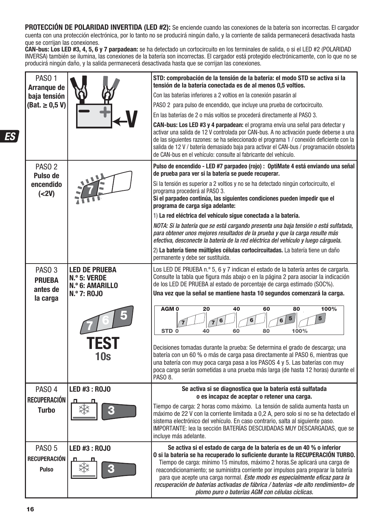**PROTECCIÓN DE POLARIDAD INVERTIDA (LED #2):** Se enciende cuando las conexiones de la batería son incorrectas. El cargador cuenta con una protección electrónica, por lo tanto no se producirá ningún daño, y la corriente de salida permanecerá desactivada hasta que se corrijan las conexiones.

**CAN-bus: Los LED #3, 4, 5, 6 y 7 parpadean:** se ha detectado un cortocircuito en los terminales de salida, o si el LED #2 (POLARIDAD INVERSA) también se ilumina, las conexiones de la batería son incorrectas. El cargador está protegido electrónicamente, con lo que no se producirá ningún daño, y la salida permanecerá desactivada hasta que se corrijan las conexiones.

| PASO <sub>1</sub><br>Arranque de<br>baja tensión<br>$(Bat. \ge 0.5 V)$ |                                                                                              | STD: comprobación de la tensión de la batería: el modo STD se activa si la<br>tensión de la batería conectada es de al menos 0.5 voltios.<br>Con las baterías inferiores a 2 voltios en la conexión pasarán al<br>PASO 2 para pulso de encendido, que incluye una prueba de cortocircuito.<br>En las baterías de 2 o más voltios se procederá directamente al PASO 3.<br>CAN-bus: Los LED #3 y 4 parpadean: el programa envía una señal para detectar y<br>activar una salida de 12 V controlada por CAN-bus. A no activación puede deberse a una<br>de las siguientes razones: se ha seleccionado el programa 1 / conexión deficiente con la<br>salida de 12 V / batería demasiado baja para activar el CAN-bus / programación obsoleta<br>de CAN-bus en el vehículo: consulte al fabricante del vehículo.                                |
|------------------------------------------------------------------------|----------------------------------------------------------------------------------------------|--------------------------------------------------------------------------------------------------------------------------------------------------------------------------------------------------------------------------------------------------------------------------------------------------------------------------------------------------------------------------------------------------------------------------------------------------------------------------------------------------------------------------------------------------------------------------------------------------------------------------------------------------------------------------------------------------------------------------------------------------------------------------------------------------------------------------------------------|
| PASO <sub>2</sub><br>Pulso de<br>encendido<br>(<2V)                    |                                                                                              | Pulso de encendido - LED #7 parpadeo (rojo) : OptiMate 4 está enviando una señal<br>de prueba para ver si la batería se puede recuperar.<br>Si la tensión es superior a 2 voltios y no se ha detectado ningún cortocircuito, el<br>programa procederá al PASO 3.<br>Si el parpadeo continúa, las siguientes condiciones pueden impedir que el<br>programa de carga siga adelante:<br>1) La red eléctrica del vehículo sigue conectada a la batería.<br>NOTA: Si la batería que se está cargando presenta una baja tensión o está sulfatada,<br>para obtener unos mejores resultados de la prueba y que la carga resulte más<br>efectiva, desconecte la batería de la red eléctrica del vehículo y luego cárguela.<br>2) La batería tiene múltiples células cortocircuitadas. La batería tiene un daño<br>permanente y debe ser sustituida. |
| PASO <sub>3</sub><br><b>PRUEBA</b><br>antes de<br>la carga             | <b>LED DE PRUEBA</b><br>N.º 5: VERDE<br>N.º 6: AMARILLO<br><b>N.º 7: ROJO</b><br>TEST<br>10s | Los LED DE PRUEBA n.º 5, 6 y 7 indican el estado de la batería antes de cargarla.<br>Consulte la tabla que figura más abajo o en la página 2 para asociar la indicación<br>de los LED DE PRUEBA al estado de porcentaje de carga estimado (SOC%).<br>Una vez que la señal se mantiene hasta 10 segundos comenzará la carga.<br>100%<br>AGM <sub>0</sub><br>20<br>40<br>60<br>80<br>5<br>5<br>6<br>6<br>6<br>60<br>80<br>STD <sub>0</sub><br>40<br>100%<br>Decisiones tomadas durante la prueba. Se determina el grado de descarga, una<br>batería con un 60 % o más de carga pasa directamente al PASO 6, mientras que<br>una batería con muy poca carga pasa a los PASOS 4 y 5. Las baterías con muy<br>poca carga serán sometidas a una prueba más larga (de hasta 12 horas) durante el<br>PASO 8.                                       |
| PASO <sub>4</sub><br><b>RECUPERACIÓN</b><br><b>Turbo</b>               | LED #3 : ROJO                                                                                | Se activa si se diagnostica que la batería está sulfatada<br>o es incapaz de aceptar o retener una carga.<br>Tiempo de carga: 2 horas como máximo. La tensión de salida aumenta hasta un<br>máximo de 22 V con la corriente limitada a 0,2 A, pero solo si no se ha detectado el<br>sistema electrónico del vehículo. En caso contrario, salta al siguiente paso.<br>IMPORTANTE: lea la sección BATERIAS DESCUIDADAS MUY DESCARGADAS, que se<br>incluve más adelante.                                                                                                                                                                                                                                                                                                                                                                      |
| PASO <sub>5</sub><br>RECUPERACIÓN<br><b>Pulso</b>                      | LED #3 : ROJO                                                                                | Se activa si el estado de carga de la batería es de un 40 % o inferior<br>O si la batería se ha recuperado lo suficiente durante la RECUPERACIÓN TURBO.<br>Tiempo de carga: mínimo 15 minutos, máximo 2 horas. Se aplicará una carga de<br>reacondicionamiento; se suministra corriente por impulsos para preparar la batería<br>para que acepte una carga normal. Este modo es especialmente eficaz para la<br>recuperación de baterías activadas de fábrica / baterías «de alto rendimiento» de<br>plomo puro o baterías AGM con células cíclicas.                                                                                                                                                                                                                                                                                       |

ES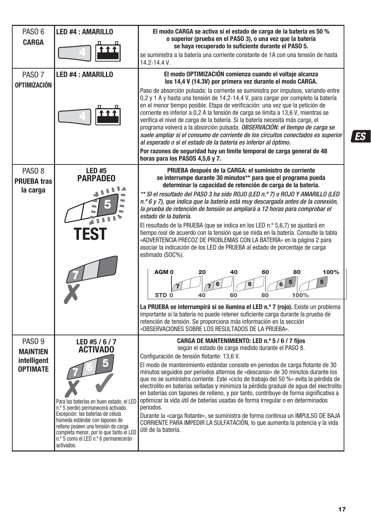| PASO <sub>6</sub><br><b>CARGA</b><br>PASO <sub>7</sub><br>OPTIMIZACIÓN | <b>LED #4: AMARILLO</b><br><b>LED #4: AMARILLO</b>                                                                                                                                                                                                                                                                           | El modo CARGA se activa si el estado de carga de la batería es 50 %<br>o superior (prueba en el PASO 3), o una vez que la batería<br>se haya recuperado lo suficiente durante el PASO 5.<br>se suministra a la batería una corriente constante de 1A con una tensión de hasta<br>14.2-14.4 V.<br>El modo OPTIMIZACIÓN comienza cuando el voltaje alcanza<br>los 14,4 V (14.3V) por primera vez durante el modo CARGA.<br>Paso de absorción pulsada; la corriente se suministra por impulsos, variando entre<br>0,2 y 1 A y hasta una tensión de 14,2-14,4 V, para cargar por completo la batería<br>en el menor tiempo posible. Etapa de verificación: una vez que la petición de<br>corriente es inferior a 0,2 A la tensión de carga se limita a 13,6 V, mientras se<br>verifica el nivel de carga de la batería. Si la batería necesita más carga, el<br>programa volverá a la absorción pulsada. OBSERVACIÓN: el tiempo de carga se<br>suele ampliar si el consumo de corriente de los circuitos conectados es superior<br>al esperado o si el estado de la batería es inferior al óptimo.<br>Por razones de seguridad hay un límite temporal de carga general de 48                                                                                                   |
|------------------------------------------------------------------------|------------------------------------------------------------------------------------------------------------------------------------------------------------------------------------------------------------------------------------------------------------------------------------------------------------------------------|----------------------------------------------------------------------------------------------------------------------------------------------------------------------------------------------------------------------------------------------------------------------------------------------------------------------------------------------------------------------------------------------------------------------------------------------------------------------------------------------------------------------------------------------------------------------------------------------------------------------------------------------------------------------------------------------------------------------------------------------------------------------------------------------------------------------------------------------------------------------------------------------------------------------------------------------------------------------------------------------------------------------------------------------------------------------------------------------------------------------------------------------------------------------------------------------------------------------------------------------------------------------------|
| PASO <sub>8</sub><br><b>PRUEBA tras</b><br>la carga                    | <b>LED#5</b><br>PARPADEO                                                                                                                                                                                                                                                                                                     | horas para los PASOS 4,5,6 y 7.<br>PRUEBA después de la CARGA: el suministro de corriente<br>se interrumpe durante 30 minutos** para que el programa pueda<br>determinar la capacidad de retención de carga de la batería.<br>** SI el resultado del PASO 3 ha sido ROJO (LED n.º 7) o ROJO Y AMARILLO (LED<br>n.º 6 y 7), que indica que la batería está muy descargada antes de la conexión,<br>la prueba de retención de tensión se ampliará a 12 horas para comprobar el<br>estado de la batería.<br>El resultado de la PRUEBA (que se indica en los LED n.º 5,6,7) se ajustará en<br>tiempo real de acuerdo con la tensión que se mida en la batería. Consulte la tabla<br>«ADVERTENCIA PRECOZ DE PROBLEMAS CON LA BATERÍA» en la página 2 para<br>asociar la indicación de los LED de PRUEBA al estado de porcentaje de carga<br>estimado (SOC%).<br>100%<br>40<br>60<br><b>AGMO</b><br>20<br>80<br>5<br>5<br>6<br>6<br>STD <sub>0</sub><br>40<br>60<br>80<br>100%<br>La PRUEBA se interrumpirá si se ilumina el LED n.º 7 (rojo). Existe un problema<br>importante si la batería no puede retener suficiente carga durante la prueba de<br>retención de tensión. Se proporciona más información en la sección<br>«OBSERVACIONES SOBRE LOS RESULTADOS DE LA PRUEBA». |
| PASO <sub>9</sub><br><b>MAINTIEN</b><br>intelligent<br><b>OPTIMATE</b> | LED #5 / 6 / 7<br>ACTIVADO<br>Para las baterías en buen estado, el LED<br>n.º 5 (verde) permanecerá activado.<br>Excepción: las baterías de célula<br>húmeda estándar con tapones de<br>relleno poseen una tensión de carga<br>completa menor, por lo que tanto el LED<br>n.º 5 como el LED n.º 6 permanecerán<br>activados. | CARGA DE MANTENIMIENTO: LED n.º 5 / 6 / 7 filos<br>según el estado de carga medido durante el PASO 8.<br>Configuración de tensión flotante: 13,6 V.<br>El modo de mantenimiento estándar consiste en periodos de carga flotante de 30<br>minutos seguidos por periodos alternos de «descanso» de 30 minutos durante los<br>que no se suministra corriente. Este «ciclo de trabajo del 50 %» evita la pérdida de<br>electrolito en baterías selladas y minimiza la pérdida gradual de agua del electrolito<br>en baterías con tapones de relleno, y por tanto, contribuye de forma significativa a<br>optimizar la vida útil de baterías usadas de forma irregular o en determinados<br>periodos.<br>Durante la «carga flotante», se suministra de forma continua un IMPULSO DE BAJA<br>CORRIENTE PARA IMPEDIR LA SULFATACIÓN, lo que aumenta la potencia y la vida<br>útil de la batería.                                                                                                                                                                                                                                                                                                                                                                                  |

**ES**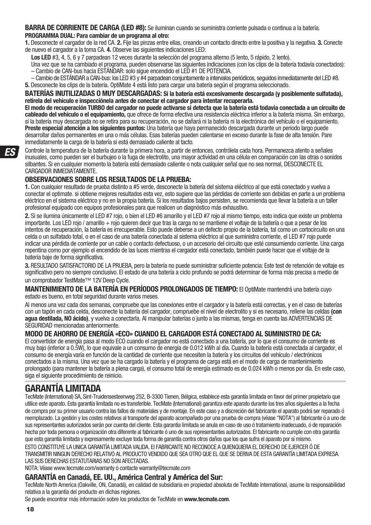**BARRA DE CORRIENTE DE CARGA (LED #8):** Se iluminan cuando se suministra corriente pulsada o continua a la batería.

#### **PROGRAMMA DUAL: Para cambiar de un programa al otro:**

**1.** Desconecte el cargador de la red CA. **2.** Fije las pinzas entre ellas, creando un contacto directo entre la positiva y la negativa. **3.** Conecte de nuevo el cargador a la toma CA. **4.** Observe las siguientes indicaciones LED:

**Los LED** #3, 4, 5, 6 y 7 parpadean 12 veces durante la selección del programa alterno (5 lento, 5 rápido, 2 lento).

- Una vez que se ha cambiado el programa, pueden observarse las siguientes indicaciones (con los clips de la batería todavía conectados): – Cambio de CAN-bus hacia ESTÁNDAR: solo sigue encendido el LED #1 DE POTENCIA.
- Cambio de ESTÁNDAR a CAN-bus: los LED #3 y #4 parpadean conjuntamente a intervalos periódicos, seguidos inmediatamente del LED #8. **5.** Desconecte los clips de la batería. OptiMate 4 está listo para cargar una batería según el programa seleccionado.

#### **BATERÍAS INUTILIZADAS O MUY DESCARGADAS: Si la batería está excesivamente descargada (y posiblemente sulfatada), retírela del vehículo e inspecciónela antes de conectar el cargador para intentar recuperarla.**

**El modo de recuperación TURBO del cargador no puede activarse si detecta que la batería está todavía conectada a un circuito de cableado del vehículo o el equipamiento,** que ofrece de forma efectiva una resistencia eléctrica inferior a la batería misma. Sin embargo, si la batería muy descargada no se retira para su recuperación, no se dañará ni la batería ni la electrónica del vehículo o el equipamiento. **Preste especial atención a los siguientes puntos:** Una batería que haya permanecido descargada durante un periodo largo puede desarrollar daños permanentes en una o más células. Esas baterías pueden calentarse en exceso durante la fase de alta tensión. Pare inmediatamente la carga de la batería si está demasiado caliente al tacto.

Controle la temperatura de la batería durante la primera hora, a partir de entonces, contrólela cada hora. Permanezca atento a señales inusuales, como pueden ser el burbujeo o la fuga de electrolito, una mayor actividad en una célula en comparación con las otras o sonidos silbantes. Si en cualquier momento la batería está demasiado caliente o nota cualquier señal que no sea normal, DESCONECTE EL CARGADOR INMEDIATAMENTE.

### **OBSERVACIONES SOBRE LOS RESULTADOS DE LA PRUEBA:**

**1.** Con cualquier resultado de prueba distinto a #5 verde, desconecte la batería del sistema eléctrico al que está conectado y vuelva a conectar el optimate. si obtiene mejores resultados esta vez, esto sugiere que las pérdidas de corriente son debidas en parte a un problema eléctrico en el sistema eléctrico y no en la propia batería. Si los resultados bajos persisten, se recomienda que llevar la batería a un taller profesional equipado con equipos profesionales para que realicen un diagnóstico más exhaustivo.

**2.** Si se ilumina únicamente el LED #7 rojo, o bien el LED #6 amarillo y el LED #7 rojo al mismo tiempo, esto indica que existe un problema importante. Los LED rojo / amarillo + rojo quieren decir que tras la carga no se mantiene el voltaje de la batería o que a pesar de los intentos de recuperación, la batería es irrecuperable. Esto puede deberse a un defecto propio de la batería, tal como un cortocircuito en una celda o un sulfatado total, o en el caso de una batería conectada al sistema eléctrico al que suministra corriente, el LED #7 rojo puede indicar una pérdida de corriente por un cable o contacto defectuoso, o un accesorio del circuito que esté consumiendo corriente. Una carga repentina como por ejemplo el encendido de las luces mientras el cargador está conectado, también puede hacer que el voltaje de la batería baje de forma significativa.

3. RESULTADO SATISFACTORIO DE LA PRUEBA, pero la batería no puede suministrar suficiente potencia: Este test de retención de voltaje es significativo pero no siempre conclusivo. El estado de una batería a ciclo profundo se podrá determinar de forma más precisa a medio de un comprobador TestMate™ 12V Deep Cycle.

**MANTENIMIENTO DE LA BATERÍA EN PERÍODOS PROLONGADOS DE TIEMPO:** El OptiMate mantendrá una batería cuyo estado es bueno, en total seguridad durante varios meses.

Al menos una vez cada dos semanas, compruebe que las conexiones entre el cargador y la batería está correctas, y en el caso de baterías con un tapón en cada celda, desconecte la batería del cargador, compruebe el nivel de electrolito y si es necesario, rellene las celdas **(con agua destilada, NO ácido)**, y vuelva a conectarla. Al manipular baterías o junto a las mismas, tenga en cuenta las ADVERTENCIAS DE SEGURIDAD mencionadas anteriormente.

### **MODO DE AHORRO DE ENERGÍA «ECO» CUANDO EL CARGADOR ESTÁ CONECTADO AL SUMINISTRO DE CA:**

El convertidor de energía pasa al modo ECO cuando el cargador no está conectado a una batería, por lo que el consumo de corriente es muy bajo (inferior a 0.5W), lo que equivale a un consumo de energía de 0.012 kWh al día. Cuando la batería está conectada al cargador, el consumo de energía varía en función de la cantidad de corriente que necesiten la batería y los circuitos del vehículo / electrónicos conectados a la misma. Una vez que se ha cargado la batería y el programa de carga está en el modo de carga de mantenimiento prolongado (para mantener la batería a plena carga), el consumo total de energía estimado es de 0.024 kWh o menos por día. En este caso, siga el siguiente procedimiento de reinicio.

## **GARANTÍA LIMITADA**

TecMate (International) SA, Sint-Truidensesteenweg 252, B-3300 Tienen, Bélgica, establece esta garantía limitada en favor del primer propietario que utilice este aparato. Esta garantía limitada no es transferible. TecMate (International) garantiza este aparato durante los tres años siguientes a la fecha de compra por su primer usuario contra las fallos de materiales y de montaje. En este caso y a discreción del fabricante el aparato podrá ser reparado ó reemplazado. La gestión y los costes relativos al transporte del aparato acompañado por una prueba de compra (véase "NOTA") al fabricante ó a uno de sus representantes autorizados serán por cuenta del cliente. Esta garantía limitada se anula en caso de uso ó tratamiento inadecuado, ó de reparación hecha por toda persona o organización otra diferente al fabricante ó uno de sus representantes autorizados. El fabricante no cumple con otra garantía que esta garantía limitada y expresamente excluye toda forma de garantía contra otros daños que los que sufra el aparato por sí mismo. ESTO CONSTITUYE LA UNICA GARANTÍA LIMITADA VALIDA. El FABRICANTE NO RECONOCE A QUIENQUIERA EL DERECHO DE EJERCER Ó DE

TRANSMITIR NINGUN DERECHO RELATIVO AL PRODUCTO VENDIDO QUE SEA OTRO QUE EL QUE SE DERIVA DE ESTA GARANTÍA LIMITADA EXPRESA. LAS SUS DERECHAS ESTATUTARIAS NO SON AFECTADAS.

NOTA: Véase www.tecmate.com/warranty ó contacte warranty@tecmate.com

#### **GARANTÍA en Canadá, EE. UU., América Central y América del Sur:**

TecMate North America (Oakville, ON, Canadá), en calidad de subsidiaria en propiedad absoluta de TecMate International, asume la responsabilidad relativa a la garantía del producto en dichas regiones.

Se puede encontrar más información sobre los productos de TecMate en **www.tecmate.com**.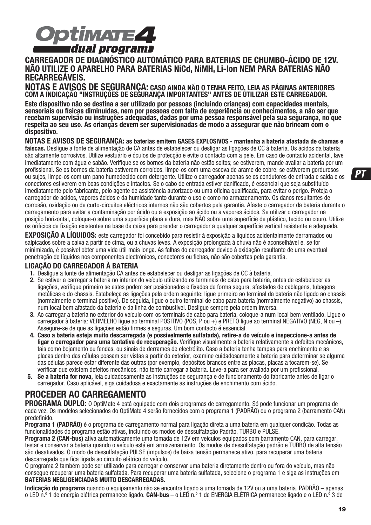

## **CARREGADOR DE DIAGNÓSTICO AUTOMÁTICO PARA BATERIAS DE CHUMBO-ÁCIDO DE 12V. NÃO UTILIZE O APARELHO PARA BATERIAS NiCd, NiMH, Li-Ion NEM PARA BATERIAS NÃO**  RECARREGÁVEIS.<br>NOTAS E AVISOS DE SEGURANCA: caso ainda não o tenha feito. Leia as páginas anteriores

COM A INDICAÇÃO "INSTRUÇÕES DE SEGURANÇA IMPORTANTES" ANTES DE ÚTILIZAR ESTE CARREGADOR.

**Este dispositivo não se destina a ser utilizado por pessoas (incluindo crianças) com capacidades mentais, sensoriais ou físicas diminuídas, nem por pessoas com falta de experiência ou conhecimentos, a não ser que recebam supervisão ou instruções adequadas, dadas por uma pessoa responsável pela sua segurança, no que respeita ao seu uso. As crianças devem ser supervisionadas de modo a assegurar que não brincam com o dispositivo.**

**NOTAS E AVISOS DE SEGURANÇA: as baterias emitem GASES EXPLOSIVOS - mantenha a bateria afastada de chamas e faíscas.** Desligue a fonte de alimentação de CA antes de estabelecer ou desligar as ligações de CC à bateria. Os ácidos da bateria são altamente corrosivos. Utilize vestuário e óculos de protecção e evite o contacto com a pele. Em caso de contacto acidental, lave imediatamente com água e sabão. Verifique se os bornes da bateria não estão soltos; se estiverem, mande avaliar a bateria por um profissional. Se os bornes da bateria estiverem corroídos, limpe-os com uma escova de arame de cobre; se estiverem gordurosos ou sujos, limpe-os com um pano humedecido com detergente. Utilize o carregador apenas se os condutores de entrada e saída e os conectores estiverem em boas condições e intactos. Se o cabo de entrada estiver danificado, é essencial que seja substituído imediatamente pelo fabricante, pelo agente de assistência autorizado ou uma oficina qualificada, para evitar o perigo. Proteja o carregador de ácidos, vapores ácidos e da humidade tanto durante o uso e como no armazenamento. Os danos resultantes de corrosão, oxidação ou de curto-circuitos eléctricos internos não são cobertos pela garantia. Afaste o carregador da bateria durante o carregamento para evitar a contaminação por ácido ou a exposição ao ácido ou a vapores ácidos. Se utilizar o carregador na posição horizontal, coloque-o sobre uma superfície plana e dura, mas NÃO sobre uma superfície de plástico, tecido ou couro. Utilize os orifícios de fixação existentes na base de caixa para prender o carregador a qualquer superfície vertical resistente e adequada.

**EXPOSIÇÃO A LÍQUIDOS:** este carregador foi concebido para resistir à exposição a líquidos acidentalmente derramados ou salpicados sobre a caixa a partir de cima, ou a chuvas leves. A exposição prolongada à chuva não é aconselhável e, se for minimizada, é possível obter uma vida útil mais longa. As falhas do carregador devido à oxidação resultante de uma eventual penetração de líquidos nos componentes electrónicos, conectores ou fichas, não são cobertas pela garantia.

#### **LIGAÇÃO DO CARREGADOR À BATERIA**

- **1.** Desligue a fonte de alimentação CA antes de estabelecer ou desligar as ligações de CC à bateria.
- **2.** Se estiver a carregar a bateria no interior do veículo utilizando os terminais de cabo para bateria, antes de estabelecer as ligações, verifique primeiro se estes podem ser posicionados e fixados de forma segura, afastados de cablagens, tubagens metálicas e do chassis. Estabeleça as ligações pela ordem seguinte: ligue primeiro ao terminal da bateria não ligado ao chassis (normalmente o terminal positivo). De seguida, ligue o outro terminal de cabo para bateria (normalmente negativo) ao chassis, num local bem afastado da bateria e da linha de combustível. Desligue sempre pela ordem inversa.
- **3.** Ao carregar a bateria no exterior do veículo com os terminais de cabo para bateria, coloque-a num local bem ventilado. Ligue o carregador à bateria: VERMELHO ligue ao terminal POSITIVO (POS, P ou +) e PRETO ligue ao terminal NEGATIVO (NEG, N ou –). Assegure-se de que as ligações estão firmes e seguras. Um bom contacto é essencial.
- **4. Caso a bateria esteja muito descarregada (e possivelmente sulfatada), retire-a do veículo e inspeccione-a antes de ligar o carregador para uma tentativa de recuperação.** Verifique visualmente a bateria relativamente a defeitos mecânicos, tais como bojamento ou fendas, ou sinais de derrames de electrólito. Caso a bateria tenha tampas para enchimento e as placas dentro das células possam ser vistas a partir do exterior, examine cuidadosamente a bateria para determinar se alguma das células parece estar diferente das outras (por exemplo, depósitos brancos entre as placas, placas a tocarem-se). Se verificar que existem defeitos mecânicos, não tente carregar a bateria. Leve-a para ser avaliada por um profissional.
- **5. Se a bateria for nova,** leia cuidadosamente as instruções de segurança e de funcionamento do fabricante antes de ligar o carregador. Caso aplicável, siga cuidadosa e exactamente as instruções de enchimento com ácido.

## **PROCEDER AO CARREGAMENTO**

**PROGRAMA DUPLO:** O OptiMate 4 está equipado com dois programas de carregamento. Só pode funcionar um programa de cada vez. Os modelos selecionados do OptiMate 4 serão fornecidos com o programa 1 (PADRÃO) ou o programa 2 (barramento CAN) predefinido.

**Programa 1 (PADRÃO)** é o programa de carregamento normal para ligação direta a uma bateria em qualquer condição. Todas as funcionalidades do programa estão ativas, incluindo os modos de dessulfatação Padrão, TURBO e PULSE.

**Programa 2 (CAN-bus)** ativa automaticamente uma tomada de 12V em veículos equipados com barramento CAN, para carregar, testar e conservar a bateria quando o veículo está em armazenamento. Os modos de dessulfatação padrão e TURBO de alta tensão são desativados. O modo de dessulfatação PULSE (impulsos) de baixa tensão permanece ativo, para recuperar uma bateria descarregada que fica ligada ao circuito elétrico do veículo.

O programa 2 também pode ser utilizado para carregar e conservar uma bateria diretamente dentro ou fora do veículo, mas não consegue recuperar uma bateria sulfatada. Para recuperar uma bateria sulfatada, selecione o programa 1 e siga as instruções em **BATERIAS NEGLIGENCIADAS MUITO DESCARREGADAS**.

**Indicação do programa** quando o equipamento não se encontra ligado a uma tomada de 12V ou a uma bateria. PADRÃO – apenas o LED n.º 1 de energia elétrica permanece ligado. **CAN-bus** – o LED n.º 1 de ENERGIA ELÉTRICA permanece ligado e o LED n.º 3 de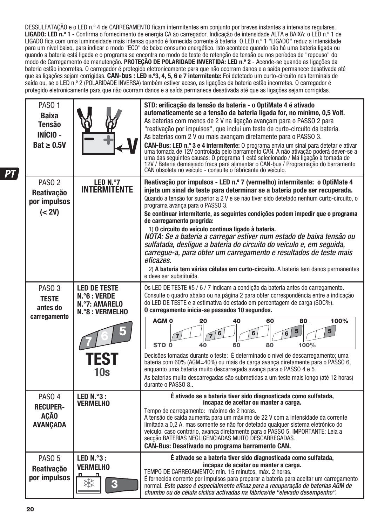DESSULFATAÇÃO e o LED n.º 4 de CARREGAMENTO ficam intermitentes em conjunto por breves instantes a intervalos regulares. **LIGADO: LED n.º 1 -** Confirma o fornecimento de energia CA ao carregador. Indicação de intensidade ALTA e BAIXA: o LED n.º 1 de LIGADO fica com uma luminosidade mais intensa quando é fornecida corrente à bateria. O LED n.º 1 "LIGADO" reduz a intensidade para um nível baixo, para indicar o modo "ECO" de baixo consumo energético. Isto acontece quando não há uma bateria ligada ou quando a bateria está ligada e o programa se encontra no modo de teste de retenção de tensão ou nos períodos de "repouso" do modo de Carregamento de manutenção. **PROTEÇÃO DE POLARIDADE INVERTIDA: LED n.º 2** - Acende-se quando as ligações da bateria estão incorretas. O carregador é protegido eletronicamente para que não ocorram danos e a saída permanece desativada até que as ligações sejam corrigidas. **CAN-bus : LED n.º3, 4, 5, 6 e 7 intermitente:** Foi detetado um curto-circuito nos terminais de saída ou, se o LED n.º 2 (POLARIDADE INVERSA) também estiver aceso, as ligações da bateria estão incorretas. O carregador é protegido eletronicamente para que não ocorram danos e a saída permanece desativada até que as ligações sejam corrigidas.

| <b>PASO 1</b><br><b>Baixa</b><br><b>Tensão</b><br><b>INÍCIO -</b><br>$Bat \geq 0.5V$ |                                                                                               | STD: erificação da tensão da bateria - o OptiMate 4 é ativado<br>automaticamente se a tensão da bateria ligada for, no mínimo, 0,5 Volt.<br>As baterias com menos de 2 V na ligação avançam para o PASSO 2 para<br>"reativação por impulsos", que inclui um teste de curto-circuito da bateria.<br>As baterias com 2 V ou mais avançam diretamente para o PASSO 3.<br><b>CAN-Bus: LED n.º 3 e 4 intermitente:</b> O programa envia um sinal para detetar e ativar uma tomada de 12V controlada pelo barramento CAN. A não ativação poderá dever-se a uma das seguintes causas: O programa 1 está selecion<br>CAN obsoleta no veículo - consulte o fabricante do veículo.                                                                                                                                      |
|--------------------------------------------------------------------------------------|-----------------------------------------------------------------------------------------------|---------------------------------------------------------------------------------------------------------------------------------------------------------------------------------------------------------------------------------------------------------------------------------------------------------------------------------------------------------------------------------------------------------------------------------------------------------------------------------------------------------------------------------------------------------------------------------------------------------------------------------------------------------------------------------------------------------------------------------------------------------------------------------------------------------------|
| PASO <sub>2</sub><br><b>Reativação</b><br>por impulsos<br>(< 2V)                     | LED N.º7<br><b>INTERMITENTE</b>                                                               | Reativação por impulsos - LED n.º 7 (vermelho) intermitente: o OptiMate 4<br>injeta um sinal de teste para determinar se a bateria pode ser recuperada.<br>Quando a tensão for superior a 2 V e se não tiver sido detetado nenhum curto-circuito, o<br>programa avanca para o PASSO 3.<br>Se continuar intermitente, as seguintes condições podem impedir que o programa<br>de carregamento progrida:<br>1) O circuito do veículo continua ligado à bateria.<br>NOTA: Se a bateria a carregar estiver num estado de baixa tensão ou<br>sulfatada, desligue a bateria do circuito do veículo e, em seguida,<br>carregue-a, para obter um carregamento e resultados de teste mais<br>eficazes.<br>2) A bateria tem várias células em curto-circuito. A bateria tem danos permanentes<br>e deve ser substituída. |
| PASO <sub>3</sub><br><b>TESTE</b><br>antes do<br>carregamento                        | <b>LED DE TESTE</b><br>N.°6 : VERDE<br>N.º7: AMARELO<br><b>N.°8 : VERMELHO</b><br>TEST<br>10s | Os LED DE TESTE #5 / 6 / 7 indicam a condição da bateria antes do carregamento.<br>Consulte o quadro abaixo ou na página 2 para obter correspondência entre a indicação<br>do LED DE TESTE e a estimativa do estado em percentagem de carga (SOC%).<br>O carregamento inicia-se passados 10 segundos.<br>40<br>AGM <sub>0</sub><br>20<br>60<br>80<br>100%<br>5<br>5<br>100%<br>STD <sub>0</sub><br>40<br>60<br>80<br>Decisões tomadas durante o teste: É determinado o nível de descarregamento; uma<br>bateria com 60% (AGM=40%) ou mais de carga avanca diretamente para o PASSO 6,<br>enquanto uma bateria muito descarregada avança para o PASSO 4 e 5.<br>As baterias muito descarregadas são submetidas a um teste mais longo (até 12 horas)<br>durante o PASSO 8                                       |
| PASO 4<br><b>RECUPER-</b><br>AÇÃO<br><b>AVANÇADA</b>                                 | LED $N.^{\circ}3$ :<br><b>VERMELHO</b>                                                        | É ativado se a bateria tiver sido diagnosticada como sulfatada,<br>incapaz de aceitar ou manter a carga.<br>Tempo de carregamento: máximo de 2 horas.<br>A tensão de saída aumenta para um máximo de 22 V com a intensidade da corrente<br>limitada a 0,2 A, mas somente se não for detetado qualquer sistema eletrónico do<br>veículo, caso contrário, avança diretamente para o PASSO 5. IMPORTANTE: Leia a<br>secção BATERIAS NEGLIGENCIADAS MUITO DESCARREGADAS.<br><b>CAN-Bus: Desativado no programa barramento CAN.</b>                                                                                                                                                                                                                                                                                |
| PASO <sub>5</sub><br>Reativação<br>por impulsos                                      | LED $N.^{\circ}3$ :<br><b>VERMELHO</b>                                                        | É ativado se a bateria tiver sido diagnosticada como sulfatada,<br>incapaz de aceitar ou manter a carga.<br>TEMPO DE CARREGAMENTO: mín. 15 minutos, máx. 2 horas.<br>É fornecida corrente por impulsos para preparar a bateria para aceitar um carregamento<br>normal. Este passo é especialmente eficaz para a recuperação de baterias AGM de<br>chumbo ou de célula cíclica activadas na fábrica/de "elevado desempenho".                                                                                                                                                                                                                                                                                                                                                                                   |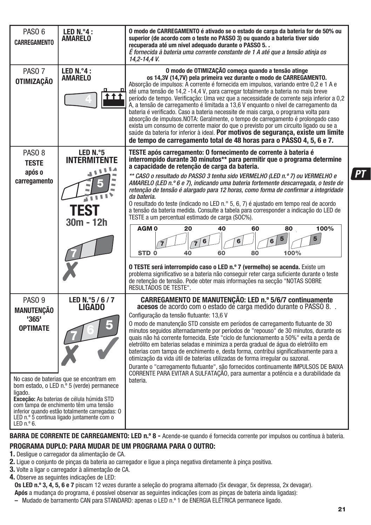| PASO <sub>6</sub><br><b>CARREGAMENTO</b>                                                                                                                                                                                                                                                    | LED N.º4 :<br><b>AMARELO</b>          | O modo de CARREGAMENTO é ativado se o estado de carga da bateria for de 50% ou<br>superior (de acordo com o teste no PASSO 3) ou quando a bateria tiver sido<br>recuperada até um nível adequado durante o PASSO 5<br>É fornecida à bateria uma corrente constante de 1 A até que a tensão atinja os<br>14,2-14,4 V.                                                                                                                                                                                                                                                                                                                                                                                                                                                                                                                                                                                                     |
|---------------------------------------------------------------------------------------------------------------------------------------------------------------------------------------------------------------------------------------------------------------------------------------------|---------------------------------------|--------------------------------------------------------------------------------------------------------------------------------------------------------------------------------------------------------------------------------------------------------------------------------------------------------------------------------------------------------------------------------------------------------------------------------------------------------------------------------------------------------------------------------------------------------------------------------------------------------------------------------------------------------------------------------------------------------------------------------------------------------------------------------------------------------------------------------------------------------------------------------------------------------------------------|
| PASO <sub>7</sub><br><b>OTIMIZAÇÃO</b>                                                                                                                                                                                                                                                      | LED $N.^{\circ}4$ :<br><b>AMARELO</b> | O modo de OTIMIZAÇÃO começa quando a tensão atinge<br>os 14,3V (14,7V) pela primeira vez durante o modo de CARREGAMENTO.<br>Absorção de impulsos: A corrente é fornecida em impulsos, variando entre 0,2 e 1 A e<br>até uma tensão de 14,2 -14,4 V, para carregar totalmente a bateria no mais breve<br>período de tempo. Verificação: Uma vez que a necessidade de corrente seja inferior a 0,2<br>A, a tensão de carregamento é limitada a 13,6 V enguanto o nível de carregamento da<br>bateria é verificado. Caso a bateria necessite de mais carga, o programa volta para<br>absorção de impulsos. NOTA: Geralmente, o tempo de carregamento é prolongado caso<br>exista um consumo de corrente maior do que o previsto por um circuito ligado ou se a<br>saúde da bateria for inferior à ideal. Por motivos de segurança, existe um limite<br>de tempo de carregamento total de 48 horas para o PASSO 4, 5, 6 e 7. |
| PASO <sub>8</sub><br><b>TESTE</b>                                                                                                                                                                                                                                                           | LED N.º5<br>INTERMITENTE<br>٦         | TESTE após carregamento: O fornecimento de corrente à bateria é<br>interrompido durante 30 minutos** para permitir que o programa determine<br>a capacidade de retenção de carga da bateria.                                                                                                                                                                                                                                                                                                                                                                                                                                                                                                                                                                                                                                                                                                                             |
| após o<br>carregamento                                                                                                                                                                                                                                                                      | <b>TES</b><br>$30m - 12h$             | ** CASO o resultado do PASSO 3 tenha sido VERMELHO (LED n.º 7) ou VERMELHO e<br>AMARELO (LED n.º 6 e 7), indicando uma bateria fortemente descarregada, o teste de<br>retenção de tensão é alargado para 12 horas, como forma de confirmar a integridade<br>da bateria.<br>O resultado do teste (indicado no LED n.º 5, 6, 7) é ajustado em tempo real de acordo<br>a tensão da bateria medida. Consulte a tabela para corresponder a indicação do LED de<br>TESTE a um percentual estimado de carga (SOC%).<br>AGM <sub>0</sub><br>20<br>40<br>80<br>100%<br>60<br>5<br>6<br>6<br>6<br>STD <sub>0</sub><br>60<br>100%<br>40<br>80<br>O TESTE será interrompido caso o LED n.º 7 (vermelho) se acenda. Existe um<br>problema significativo se a bateria não conseguir reter carga suficiente durante o teste<br>de retenção de tensão. Pode obter mais informações na secção "NOTAS SOBRE<br>RESULTADOS DE TESTE".       |
| PASO <sub>9</sub><br>MANUTENÇÃO<br>'365'<br><b>OPTIMATE</b><br>ligado.                                                                                                                                                                                                                      | LED N.º5 / 6 / 7<br><b>LIGADO</b>     | CARREGAMENTO DE MANUTENÇÃO: LED n.º 5/6/7 continuamente<br>acesos de acordo com o estado de carga medido durante o PASSO 8<br>Configuração da tensão flutuante: 13,6 V<br>O modo de manutenção STD consiste em períodos de carregamento flutuante de 30<br>minutos seguidos alternadamente por períodos de "repouso" de 30 minutos, durante os<br>quais não há corrente fornecida. Este "ciclo de funcionamento a 50%" evita a perda de<br>eletrólito em baterias seladas e minimiza a perda gradual de água do eletrólito em<br>baterias com tampa de enchimento e, desta forma, contribui significativamente para a<br>otimização da vida útil de baterias utilizadas de forma irregular ou sazonal.<br>Durante o "carregamento flutuante", são fornecidos continuamente IMPULSOS DE BAIXA<br>CORRENTE PARA EVITAR A SULFATACÃO, para aumentar a potência e a durabilidade da<br>bateria.                              |
| No caso de baterias que se encontram em<br>bom estado, o LED n.º 5 (verde) permanece<br>Exceção: As baterias de célula húmida STD<br>com tampa de enchimento têm uma tensão<br>inferior quando estão totalmente carregadas: 0<br>LED n.º 5 continua ligado juntamente com o<br>LED $n.°6$ . |                                       |                                                                                                                                                                                                                                                                                                                                                                                                                                                                                                                                                                                                                                                                                                                                                                                                                                                                                                                          |

## BARRA DE CORRENTE DE CARREGAMENTO: LED n.º 8 - Acende-se quando é fornecida corrente por impulsos ou contínua à bateria.

### **PROGRAMA DUPLO: PARA MUDAR DE UM PROGRAMA PARA O OUTRO:**

- **1.** Desligue o carregador da alimentação de CA.
- **2.** Ligue o conjunto de pinças da bateria ao carregador e ligue a pinça negativa diretamente à pinça positiva.
- **3.** Volte a ligar o carregador à alimentação de CA.
- **4.** Observe as seguintes indicações de LED:

**Os LED n.º 3, 4, 5, 6 e 7** piscam 12 vezes durante a seleção do programa alternado (5x devagar, 5x depressa, 2x devagar).

**Após** a mudança do programa, é possível observar as seguintes indicações (com as pinças de bateria ainda ligadas): **–** Mudado de barramento CAN para STANDARD: apenas o LED n.º 1 de ENERGIA ELÉTRICA permanece ligado.

PТ

**21**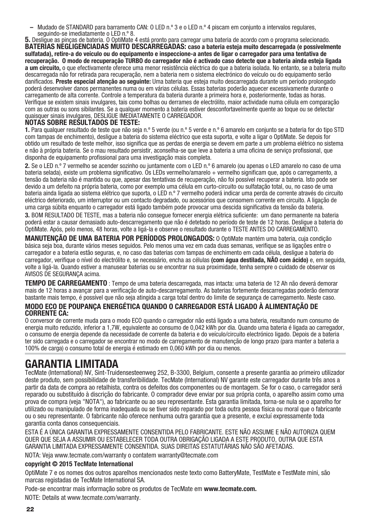**–** Mudado de STANDARD para barramento CAN: O LED n.º 3 e o LED n.º 4 piscam em conjunto a intervalos regulares,

**5.** Desligue as pincas de bateria. O OptiMate 4 está pronto para carregar uma bateria de acordo com o programa selecionado. **BATERIAS NEGLIGENCIADAS MUITO DESCARREGADAS: caso a bateria esteja muito descarregada (e possivelmente sulfatada), retire-a do veículo ou do equipamento e inspeccione-a antes de ligar o carregador para uma tentativa de recuperação. O modo de recuperação TURBO do carregador não é activado caso detecte que a bateria ainda esteja ligada a um circuito,** o que efectivamente oferece uma menor resistência eléctrica do que a bateria isolada. No entanto, se a bateria muito descarregada não for retirada para recuperação, nem a bateria nem o sistema electrónico do veículo ou do equipamento serão danificados. **Preste especial atenção ao seguinte:** Uma bateria que esteja muito descarregada durante um período prolongado poderá desenvolver danos permanentes numa ou em várias células. Essas baterias poderão aquecer excessivamente durante o carregamento de alta corrente. Controle a temperatura da bateria durante a primeira hora e, posteriormente, todas as horas. Verifique se existem sinais invulgares, tais como bolhas ou derrames de electrólito, maior actividade numa célula em comparação com as outras ou sons sibilantes. Se a qualquer momento a bateria estiver desconfortavelmente quente ao toque ou se detectar quaisquer sinais invulgares, DESLIGUE IMEDIATAMENTE O CARREGADOR.

#### **NOTAS SOBRE RESULTADOS DE TESTE:**

**1.** Para qualquer resultado de teste que não seja n.º 5 verde (ou n.º 5 verde e n.º 6 amarelo em conjunto se a bateria for do tipo STD com tampas de enchimento), desligue a bateria do sistema eléctrico que esta suporta, e volte a ligar o OptiMate. Se depois for obtido um resultado de teste melhor, isso significa que as perdas de energia se devem em parte a um problema elétrico no sistema e não à própria bateria. Se o mau resultado persistir, aconselha-se que leve a bateria a uma oficina de serviço profissional, que disponha de equipamento profissional para uma investigação mais completa.

**2.** Se o LED n.º 7 vermelho se acender sozinho ou juntamente com o LED n.º 6 amarelo (ou apenas o LED amarelo no caso de uma bateria selada), existe um problema significativo. Os LEDs vermelho/amarelo + vermelho significam que, após o carregamento, a tensão da bateria não é mantida ou que, apesar das tentativas de recuperação, não foi possível recuperar a bateria. Isto pode ser devido a um defeito na própria bateria, como por exemplo uma célula em curto-circuito ou sulfatação total, ou, no caso de uma bateria ainda ligada ao sistema elétrico que suporta, o LED n.º 7 vermelho poderá indicar uma perda de corrente através do circuito eléctrico deteriorado, um interruptor ou um contacto degradado, ou acessórios que consomem corrente em circuito. A ligação de uma carga súbita enquanto o carregador está ligado também pode provocar uma descida significativa da tensão da bateria. **3.** BOM RESULTADO DE TESTE, mas a bateria não consegue fornecer energia elétrica suficiente: um dano permanente na bateria poderá estar a causar demasiado auto-descarregamento que não é detetado no período de teste de 12 horas. Desligue a bateria do OptiMate. Após, pelo menos, 48 horas, volte a ligá-la e observe o resultado durante o TESTE ANTES DO CARREGAMENTO.

**MANUTENÇÃO DE UMA BATERIA POR PERÍODOS PROLONGADOS:** O OptiMate mantém uma bateria, cuja condição básica seja boa, durante vários meses seguidos. Pelo menos uma vez em cada duas semanas, verifique se as ligações entre o carregador e a bateria estão seguras, e, no caso das baterias com tampas de enchimento em cada célula, desligue a bateria do carregador, verifique o nível do electrólito e, se necessário, encha as células **(com água destilada, NÃO com ácido)** e, em seguida, volte a ligá-la. Quando estiver a manusear baterias ou se encontrar na sua proximidade, tenha sempre o cuidado de observar os AVISOS DE SEGURANÇA acima.

**TEMPO DE CARREGAMENTO** : Tempo de uma bateria descarregada, mas intacta: uma bateria de 12 Ah não deverá demorar mais de 12 horas a avançar para a verificação de auto-descarregamento. As baterias fortemente descarregadas poderão demorar bastante mais tempo, é possível que não seja atingida a carga total dentro do limite de segurança de carregamento. Neste caso.

#### **MODO ECO DE POUPANÇA ENERGÉTICA QUANDO O CARREGADOR ESTÁ LIGADO À ALIMENTAÇÃO DE CORRENTE CA:**

O conversor de corrente muda para o modo ECO quando o carregador não está ligado a uma bateria, resultando num consumo de energia muito reduzido, inferior a 1,7W, equivalente ao consumo de 0,042 kWh por dia. Quando uma bateria é ligada ao carregador, o consumo de energia depende da necessidade de corrente da bateria e do veículo/circuito electrónico ligado. Depois de a bateria ter sido carregada e o carregador se encontrar no modo de carregamento de manutenção de longo prazo (para manter a bateria a 100% de carga) o consumo total de energia é estimado em 0,060 kWh por dia ou menos.

## **GARANTIA LIMITADA**

TecMate (International) NV, Sint-Truidensesteenweg 252, B-3300, Belgium, consente a presente garantia ao primeiro utilizador deste produto, sem possibilidade de transferibilidade. TecMate (International) NV garante este carregador durante três anos a partir da data de compra ao retalhista, contra os defeitos dos componentes ou de montagem. Se for o caso, o carregador será reparado ou substituído à discrição do fabricante. O comprador deve enviar por sua própria conta, o aparelho assim como uma prova de compra (veja "NOTA"), ao fabricante ou ao seu representante. Esta garantia limitada, torna-se nula se o aparelho for utilizado ou manipulado de forma inadequada ou se tiver sido reparado por toda outra pessoa física ou moral que o fabricante ou o seu representante. O fabricante não oferece nenhuma outra garantia que a presente, e excluí expressamente toda garantia conta danos consequenciais.

ESTA É A ÚNICA GARANTIA EXPRESSAMENTE CONSENTIDA PELO FABRICANTE. ESTE NÃO ASSUME E NÃO AUTORIZA QUEM QUER QUE SEJA A ASSUMIR OU ESTABELECER TODA OUTRA OBRIGAÇÃO LIGADA A ESTE PRODUTO, OUTRA QUE ESTA GARANTIA LIMITADA EXPRESSAMENTE CONSENTIDA. SUAS DIREITAS ESTATUTÁRIAS NÃO SÃO AFETADAS.

NOTA: Veja www.tecmate.com/warranty o contatem warranty@tecmate.com

#### **copyright © 2015 TecMate International**

OptiMate 7 e os nomes dos outros aparelhos mencionados neste texto como BatteryMate, TestMate e TestMate mini, são marcas registadas de TecMate International SA.

Pode-se encontrar mais informação sobre os produtos de TecMate em **www.tecmate.com.**

NOTE: Details at www.tecmate.com/warranty.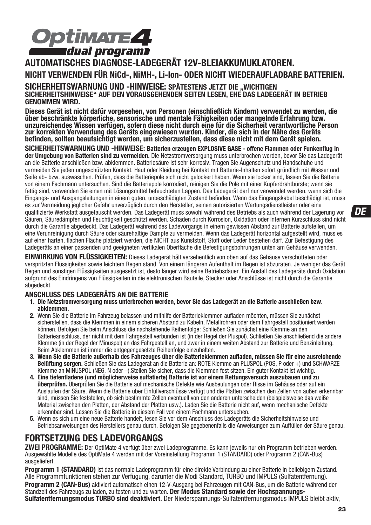

**AUTOMATISCHES DIAGNOSE-LADEGERÄT 12V-BLEIAKKUMUKLATOREN. NICHT VERWENDEN FÜR NiCd-, NiMH-, Li-Ion- ODER NICHT WIEDERAUFLADBARE BATTERIEN.** SICHERHEITSWARNUNG UND -HINWEISE: SPÄTESTENS JETZT DIE "WICHTIGEN<br>SICHERHEITSHINWEISE" AUF DEN VORAUSGEHENDEN SEITEN LESEN, EHE DAS LADEGERÄT IN BETRIEB **GENOMMEN WIRD.**

**Dieses Gerät ist nicht dafür vorgesehen, von Personen (einschließlich Kindern) verwendet zu werden, die über beschränkte körperliche, sensorische und mentale Fähigkeiten oder mangelnde Erfahrung bzw. unzureichendes Wissen verfügen, sofern diese nicht durch eine für die Sicherheit verantwortliche Person zur korrekten Verwendung des Geräts eingewiesen wurden. Kinder, die sich in der Nähe des Geräts befinden, sollten beaufsichtigt werden, um sicherzustellen, dass diese nicht mit dem Gerät spielen.**

**SICHERHEITSWARNUNG UND -HINWEISE: Batterien erzeugen EXPLOSIVE GASE - offene Flammen oder Funkenflug in der Umgebung von Batterien sind zu vermeiden.** Die Netzstromversorgung muss unterbrochen werden, bevor Sie das Ladegerät an die Batterie anschließen bzw. abklemmen. Batteriesäure ist sehr korrosiv. Tragen Sie Augenschutz und Handschuhe und vermeiden Sie jeden ungeschützten Kontakt. Haut oder Kleidung bei Kontakt mit Batterie-Inhalten sofort gründlich mit Wasser und Seife ab- bzw. auswaschen. Prüfen, dass die Batteriepole sich nicht gelockert haben. Wenn sie locker sind, lassen Sie die Batterie von einem Fachmann untersuchen. Sind die Batteriepole korrodiert, reinigen Sie die Pole mit einer Kupferdrahtbürste; wenn sie fettig sind, verwenden Sie einen mit Lösungsmittel befeuchteten Lappen. Das Ladegerät darf nur verwendet werden, wenn sich die Eingangs- und Ausgangsleitungen in einem guten, unbeschädigten Zustand befinden. Wenn das Eingangskabel beschädigt ist, muss es zur Vermeidung jeglicher Gefahr unverzüglich durch den Hersteller, seinen autorisierten Wartungsdienstleister oder eine qualifizierte Werkstatt ausgetauscht werden. Das Ladegerät muss sowohl während des Betriebs als auch während der Lagerung vor Säuren, Säuredämpfen und Feuchtigkeit geschützt werden. Schäden durch Korrosion, Oxidation oder internen Kurzschluss sind nicht durch die Garantie abgedeckt. Das Ladegerät während des Ladevorgangs in einem gewissen Abstand zur Batterie aufstellen, um eine Verunreinigung durch Säure oder säurehaltige Dämpfe zu vermeiden. Wenn das Ladegerät horizontal aufgestellt wird, muss es auf einer harten, flachen Fläche platziert werden, die NICHT aus Kunststoff, Stoff oder Leder bestehen darf. Zur Befestigung des Ladegeräts an einer passenden und geeigneten vertikalen Oberfläche die Befestigungsbohrungen unten am Gehäuse verwenden.

**EINWIRKUNG VON FLÜSSIGKEITEN:** Dieses Ladegerät hält versehentlich von oben auf das Gehäuse verschütteten oder verspritzten Flüssigkeiten sowie leichtem Regen stand. Von einem längeren Aufenthalt im Regen ist abzuraten. Je weniger das Gerät Regen und sonstigen Flüssigkeiten ausgesetzt ist, desto länger wird seine Betriebsdauer. Ein Ausfall des Ladegeräts durch Oxidation aufgrund des Eindringens von Flüssigkeiten in die elektronischen Bauteile, Stecker oder Anschlüsse ist nicht durch die Garantie abgedeckt.

#### **ANSCHLUSS DES LADEGERÄTS AN DIE BATTERIE**

- **1. Die Netzstromversorgung muss unterbrochen werden, bevor Sie das Ladegerät an die Batterie anschließen bzw. abklemmen.**
- **2.** Wenn Sie die Batterie im Fahrzeug belassen und mithilfe der Batterieklemmen aufladen möchten, müssen Sie zunächst sicherstellen, dass die Klemmen in einem sicheren Abstand zu Kabeln, Metallrohren oder dem Fahrgestell positioniert werden können. Befolgen Sie beim Anschluss die nachstehende Reihenfolge: Schließen Sie zunächst eine Klemme an den Batterieanschluss, der nicht mit dem Fahrgestell verbunden ist (in der Regel der Pluspol). Schließen Sie anschließend die andere Klemme (in der Regel der Minuspol) an das Fahrgestell an, und zwar in einem weiten Abstand zur Batterie und Benzinleitung. Beim Abklemmen ist immer die entgegengesetzte Reihenfolge einzuhalten.
- **3. Wenn Sie die Batterie außerhalb des Fahrzeuges über die Batterieklemmen aufladen, müssen Sie für eine ausreichende Belüftung sorgen.** Schließen Sie das Ladegerät an die Batterie an: ROTE Klemme an PLUSPOL (POS, P oder +) und SCHWARZE Klemme an MINUSPOL (NEG, N oder –).Stellen Sie sicher, dass die Klemmen fest sitzen. Ein guter Kontakt ist wichtig.
- **4. Eine tiefentladene (und möglicherweise sulfatierte) Batterie ist vor einem Rettungsversuch auszubauen und zu überprüfen.** Überprüfen Sie die Batterie auf mechanische Defekte wie Ausbeulungen oder Risse im Gehäuse oder auf ein Auslaufen der Säure. Wenn die Batterie über Einfüllverschlüsse verfügt und die Platten zwischen den Zellen von außen erkennbar sind, müssen Sie feststellen, ob sich bestimmte Zellen eventuell von den anderen unterscheiden (beispielsweise das weiße Material zwischen den Platten, der Abstand der Platten usw.). Laden Sie die Batterie nicht auf, wenn mechanische Defekte erkennbar sind. Lassen Sie die Batterie in diesem Fall von einem Fachmann untersuchen.
- **5.** Wenn es sich um eine neue Batterie handelt, lesen Sie vor dem Anschluss des Ladegeräts die Sicherheitshinweise und Betriebsanweisungen des Herstellers genau durch. Befolgen Sie gegebenenfalls die Anweisungen zum Auffüllen der Säure genau.

### **FORTSETZUNG DES LADEVORGANGS**

**ZWEI PROGRAMME:** Der OptiMate 4 verfügt über zwei Ladeprogramme. Es kann jeweils nur ein Programm betrieben werden. Ausgewählte Modelle des OptiMate 4 werden mit der Voreinstellung Programm 1 (STANDARD) oder Programm 2 (CAN-Bus) ausgeliefert.

**Programm 1 (STANDARD)** ist das normale Ladeprogramm für eine direkte Verbindung zu einer Batterie in beliebigem Zustand. Alle Programmfunktionen stehen zur Verfügung, darunter die Modi Standard, TURBO und IMPULS (Sulfatentfernung).

**Programm 2 (CAN-Bus)** aktiviert automatisch einen 12-V-Ausgang bei Fahrzeugen mit CAN-Bus, um die Batterie während der Standzeit des Fahrzeugs zu laden, zu testen und zu warten. **Der Modus Standard sowie der Hochspannungs-Sulfatentfernungsmodus TURBO sind deaktiviert.** Der Niederspannungs-Sulfatentfernungsmodus IMPULS bleibt aktiv,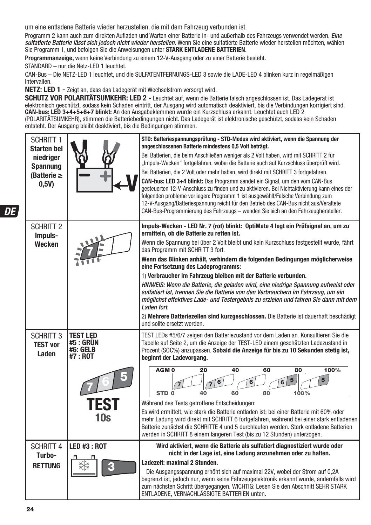um eine entladene Batterie wieder herzustellen, die mit dem Fahrzeug verbunden ist.

Programm 2 kann auch zum direkten Aufladen und Warten einer Batterie in- und außerhalb des Fahrzeugs verwendet werden. Eine sulfatierte Batterie lässt sich jedoch nicht wieder herstellen. Wenn Sie eine sulfatierte Batterie wieder herstellen möchten, wählen Sie Programm 1, und befolgen Sie die Anweisungen unter **STARK ENTLADENE BATTERIEN**.

**Programmanzeige,** wenn keine Verbindung zu einem 12-V-Ausgang oder zu einer Batterie besteht.

STANDARD – nur die Netz-LED 1 leuchtet.

CAN-Bus – Die NETZ-LED 1 leuchtet, und die SULFATENTFERNUNGS-LED 3 sowie die LADE-LED 4 blinken kurz in regelmäßigen Intervallen.

**NETZ: LED 1 - Zeigt an, dass das Ladegerät mit Wechselstrom versorgt wird.** 

**SCHUTZ VOR POLARITÄTSUMKEHR: LED 2 -** Leuchtet auf, wenn die Batterie falsch angeschlossen ist. Das Ladegerät ist elektronisch geschützt, sodass kein Schaden eintritt, der Ausgang wird automatisch deaktiviert, bis die Verbindungen korrigiert sind. **CAN-bus: LED 3+4+5+6+7 blinkt:** An den Ausgabeklemmen wurde ein Kurzschluss erkannt. Leuchtet auch LED 2 (POLARITÄTSUMKEHR), stimmen die Batteriebedingungen nicht. Das Ladegerät ist elektronische geschützt, sodass kein Schaden entsteht. Der Ausgang bleibt deaktiviert, bis die Bedingungen stimmen.

| <b>SCHRITT 1</b><br><b>Starten bei</b><br>niedriaer<br><b>Spannung</b><br>(Batterie $\geq$<br>0,5V) |                                                                                   | STD: Batteriespannungsprüfung - STD-Modus wird aktiviert, wenn die Spannung der<br>angeschlossenen Batterie mindestens 0,5 Volt beträgt.<br>Bei Batterien, die beim Anschließen weniger als 2 Volt haben, wird mit SCHRITT 2 für<br>"Impuls-Wecken" fortgefahren, wobei die Batterie auch auf Kurzschluss überprüft wird.<br>Bei Batterien, die 2 Volt oder mehr haben, wird direkt mit SCHRITT 3 fortgefahren.<br><b>CAN-bus: LED 3+4 blinkt:</b> Das Programm sendet ein Signal, um den vom CAN-Bus<br>gesteuerten 12-V-Anschluss zu finden und zu aktivieren. Bei Nichtaktivierung kann eines der<br>folgenden probleme vorliegen: Programm 1 ist ausgewählt/Falsche Verbindung zum<br>12-V-Ausgang/Batteriespannung reicht für den Betrieb des CAN-Bus nicht aus/Veraltete<br>CAN-Bus-Programmierung des Fahrzeugs - wenden Sie sich an den Fahrzeughersteller. |
|-----------------------------------------------------------------------------------------------------|-----------------------------------------------------------------------------------|---------------------------------------------------------------------------------------------------------------------------------------------------------------------------------------------------------------------------------------------------------------------------------------------------------------------------------------------------------------------------------------------------------------------------------------------------------------------------------------------------------------------------------------------------------------------------------------------------------------------------------------------------------------------------------------------------------------------------------------------------------------------------------------------------------------------------------------------------------------------|
| <b>SCHRITT 2</b><br>Impuls-<br>Wecken                                                               |                                                                                   | Impuls-Wecken - LED Nr. 7 (rot) blinkt: OptiMate 4 legt ein Prüfsignal an, um zu<br>ermitteln, ob die Batterie zu retten ist.<br>Wenn die Spannung bei über 2 Volt bleibt und kein Kurzschluss festgestellt wurde, fährt<br>das Programm mit SCHRITT 3 fort.<br>Wenn das Blinken anhält, verhindern die folgenden Bedingungen möglicherweise<br>eine Fortsetzung des Ladeprogramms:<br>1) Verbraucher im Fahrzeug bleiben mit der Batterie verbunden.<br>HINWEIS: Wenn die Batterie, die geladen wird, eine niedrige Spannung aufweist oder<br>sulfatiert ist, trennen Sie die Batterie von den Verbrauchern im Fahrzeug, um ein<br>möglichst effektives Lade- und Testergebnis zu erzielen und fahren Sie dann mit dem<br>Laden fort.<br>2) Mehrere Batteriezellen sind kurzgeschlossen. Die Batterie ist dauerhaft beschädigt<br>und sollte ersetzt werden.       |
| <b>SCHRITT 3</b><br><b>TEST vor</b><br>Laden                                                        | <b>TEST LED</b><br><b>#5 : GRÜN</b><br><b>#6: GELB</b><br>#7 : ROT<br>TEST<br>10s | TEST LEDs #5/6/7 zeigen den Batteriezustand vor dem Laden an. Konsultieren Sie die<br>Tabelle auf Seite 2, um die Anzeige der TEST-LED einem geschätzten Ladezustand in<br>Prozent (SOC%) anzupassen. Sobald die Anzeige für bis zu 10 Sekunden stetig ist,<br>beginnt der Ladevorgang.<br>AGM <sub>0</sub><br>20<br>40<br>60<br>100%<br>80<br>5<br>5<br>6<br>6<br>6<br>7.<br>STD <sub>0</sub><br>100%<br>40<br>60<br>80<br>Während des Tests getroffene Entscheidungen:<br>Es wird ermittelt, wie stark die Batterie entladen ist; bei einer Batterie mit 60% oder<br>mehr Ladung wird direkt mit SCHRITT 6 fortgefahren, während bei einer stark entladenen<br>Batterie zunächst die SCHRITTE 4 und 5 durchlaufen werden. Stark entladene Batterien<br>werden in SCHRITT 8 einem längeren Test (bis zu 12 Stunden) unterzogen.                                    |
| <b>SCHRITT 4</b><br>Turbo-<br><b>RETTUNG</b>                                                        | <b>LED #3: ROT</b><br>G                                                           | Wird aktiviert, wenn die Batterie als sulfatiert diagnostiziert wurde oder<br>nicht in der Lage ist, eine Ladung anzunehmen oder zu halten.<br>Ladezeit: maximal 2 Stunden.<br>Die Ausgangsspannung erhöht sich auf maximal 22V, wobei der Strom auf 0,2A<br>begrenzt ist, jedoch nur, wenn keine Fahrzeugelektronik erkannt wurde, andernfalls wird<br>zum nächsten Schritt übergegangen. WICHTIG: Lesen Sie den Abschnitt SEHR STARK<br>ENTLADENE. VERNACHLÄSSIGTE BATTERIEN unten.                                                                                                                                                                                                                                                                                                                                                                               |

**DF**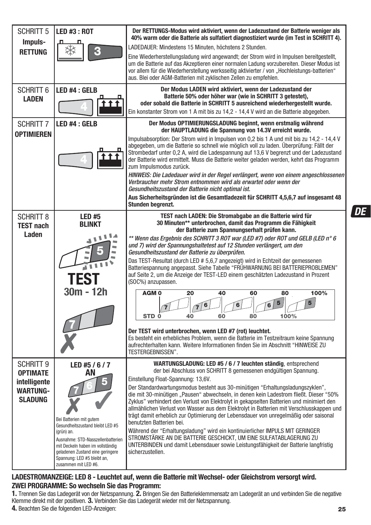| <b>SCHRITT 5</b>                                                                  | <b>LED #3: ROT</b>                                                                                                                                                                                                                                               | Der RETTUNGS-Modus wird aktiviert, wenn der Ladezustand der Batterie weniger als<br>40% warm oder die Batterie als sulfatiert diagnostiziert wurde (im Test in SCHRITT 4).                                                                                                                                                                                                                                                                                                                                                                                                                                                                                                                                                                                                                                                                                                                                                                                                                                                                     |
|-----------------------------------------------------------------------------------|------------------------------------------------------------------------------------------------------------------------------------------------------------------------------------------------------------------------------------------------------------------|------------------------------------------------------------------------------------------------------------------------------------------------------------------------------------------------------------------------------------------------------------------------------------------------------------------------------------------------------------------------------------------------------------------------------------------------------------------------------------------------------------------------------------------------------------------------------------------------------------------------------------------------------------------------------------------------------------------------------------------------------------------------------------------------------------------------------------------------------------------------------------------------------------------------------------------------------------------------------------------------------------------------------------------------|
| Impuls-                                                                           |                                                                                                                                                                                                                                                                  | LADEDAUER: Mindestens 15 Minuten, höchstens 2 Stunden.                                                                                                                                                                                                                                                                                                                                                                                                                                                                                                                                                                                                                                                                                                                                                                                                                                                                                                                                                                                         |
| <b>RETTUNG</b>                                                                    |                                                                                                                                                                                                                                                                  | Eine Wiederherstellungsladung wird angewandt; der Strom wird in Impulsen bereitgestellt,<br>um die Batterie auf das Akzeptieren einer normalen Ladung vorzubereiten. Dieser Modus ist<br>vor allem für die Wiederherstellung werksseitig aktivierter / von "Hochleistungs-batterien"<br>aus. Blei oder AGM-Batterien mit zyklischen Zellen zu empfehlen.                                                                                                                                                                                                                                                                                                                                                                                                                                                                                                                                                                                                                                                                                       |
| SCHRITT 6<br><b>LADEN</b>                                                         | LED #4 : GELB                                                                                                                                                                                                                                                    | Der Modus LADEN wird aktiviert, wenn der Ladezustand der<br>Batterie 50% oder höher war (wie in SCHRITT 3 getestet),<br>oder sobald die Batterie in SCHRITT 5 ausreichend wiederhergestellt wurde.<br>Ein konstanter Strom von 1 A mit bis zu 14,2 - 14,4 V wird an die Batterie abgegeben.                                                                                                                                                                                                                                                                                                                                                                                                                                                                                                                                                                                                                                                                                                                                                    |
| <b>SCHRITT 7</b>                                                                  | LED #4 : GELB                                                                                                                                                                                                                                                    | Der Modus OPTIMIERUNGSLADUNG beginnt, wenn erstmalig während<br>der HAUPTLADUNG die Spannung von 14.3V erreicht wurde.                                                                                                                                                                                                                                                                                                                                                                                                                                                                                                                                                                                                                                                                                                                                                                                                                                                                                                                         |
| <b>OPTIMIEREN</b>                                                                 |                                                                                                                                                                                                                                                                  | Impulsabsorption: Der Strom wird in Impulsen von 0,2 bis 1 A und mit bis zu 14,2 - 14,4 V<br>abgegeben, um die Batterie so schnell wie möglich voll zu laden. Überprüfung: Fällt der<br>Strombedarf unter 0,2 A, wird die Ladespannung auf 13,6 V begrenzt und der Ladezustand<br>der Batterie wird ermittelt. Muss die Batterie weiter geladen werden, kehrt das Programm<br>zum Impulsmodus zurück.                                                                                                                                                                                                                                                                                                                                                                                                                                                                                                                                                                                                                                          |
|                                                                                   |                                                                                                                                                                                                                                                                  | HINWEIS: Die Ladedauer wird in der Regel verlängert, wenn von einem angeschlossenen<br>Verbraucher mehr Strom entnommen wird als erwartet oder wenn der<br>Gesundheitszustand der Batterie nicht optimal ist.                                                                                                                                                                                                                                                                                                                                                                                                                                                                                                                                                                                                                                                                                                                                                                                                                                  |
|                                                                                   |                                                                                                                                                                                                                                                                  | Aus Sicherheitsgründen ist die Gesamtladezeit für SCHRITT 4,5,6,7 auf insgesamt 48<br>Stunden begrenzt.                                                                                                                                                                                                                                                                                                                                                                                                                                                                                                                                                                                                                                                                                                                                                                                                                                                                                                                                        |
| <b>SCHRITT 8</b><br><b>TEST nach</b><br>Laden                                     | <b>LED #5</b><br><b>BLINKT</b><br>л<br><b>TEST</b><br>30m - 12h                                                                                                                                                                                                  | TEST nach LADEN: Die Stromabgabe an die Batterie wird für<br>30 Minuten** unterbrochen, damit das Programm die Fähigkeit<br>der Batterie zum Spannungserhalt prüfen kann.<br>** Wenn das Ergebnis des SCHRITT 3 ROT war (LED #7) oder ROT und GELB (LED n° 6<br>und 7) wird der Spannungshaltetest auf 12 Stunden verlängert, um den<br>Gesundheitszustand der Batterie zu überprüfen.<br>Das TEST-Resultat (durch LED # 5,6,7 angezeigt) wird in Echtzeit der gemessenen<br>Batteriespannung angepasst. Siehe Tabelle "FRÜHWARNUNG BEI BATTERIEPROBLEMEN"<br>auf Seite 2, um die Anzeige der TEST-LED einem geschätzten Ladezustand in Prozent<br>(SOC%) anzupassen.<br>AGM <sub>0</sub><br>100%<br>20<br>40<br>60<br>80<br>5<br>6<br>STD <sub>0</sub><br>100%<br>40<br>60<br>80<br>Der TEST wird unterbrochen, wenn LED #7 (rot) leuchtet.<br>Es besteht ein erhebliches Problem, wenn die Batterie im Testzeitraum keine Spannung<br>aufrechterhalten kann. Weitere Informationen finden Sie im Abschnitt "HINWEISE ZU<br>TESTERGEBNISSEN". |
| Schritt 9<br><b>OPTIMATE</b><br>intelligente<br><b>WARTUNG-</b><br><b>SLADUNG</b> | LED#5/6/7<br>AΝ<br>Bei Batterien mit gutem<br>Gesundheitszustand bleibt LED #5<br>(grün) an.<br>Ausnahme: STD-Nasszellenbatterien<br>mit Deckeln haben im vollständig<br>geladenen Zustand eine geringere<br>Spannung: LED #5 bleibt an,<br>zusammen mit LED #6. | WARTUNGSLADUNG: LED #5 / 6 / 7 leuchten ständig, entsprechend<br>der bei Abschluss von SCHRITT 8 gemessenen endgültigen Spannung.<br>Einstellung Float-Spannung: 13,6V.<br>Der Standardwartungsmodus besteht aus 30-minütigen "Erhaltungsladungszyklen",<br>die mit 30-minütigen "Pausen" abwechseln, in denen kein Ladestrom fließt. Dieser "50%<br>Zyklus" verhindert den Verlust von Elektrolyt in gekapselten Batterien und minimiert den<br>allmählichen Verlust von Wasser aus dem Elektrolyt in Batterien mit Verschlusskappen und<br>trägt damit erheblich zur Optimierung der Lebensdauer von unregelmäßig oder saisonal<br>benutzten Batterien bei.<br>Während der "Erhaltungsladung" wird ein kontinuierlicher IMPULS MIT GERINGER<br>STROMSTÄRKE AN DIE BATTERIE GESCHICKT, UM EINE SULFATABLAGERUNG ZU<br>UNTERBINDEN und damit Lebensdauer sowie Leistungsfähigkeit der Batterie langfristig<br>sicherzustellen.                                                                                                                 |

#### **LADESTROMANZEIGE: LED 8 - Leuchtet auf, wenn die Batterie mit Wechsel- oder Gleichstrom versorgt wird. ZWEI PROGRAMME: So wechseln Sie das Programm:**

**25 1.** Trennen Sie das Ladegerät von der Netzspannung. **2.** Bringen Sie den Batterieklemmensatz am Ladegerät an und verbinden Sie die negative<br>Klemme direkt mit der positiven. **3.** Verbinden Sie das Ladegerät wieder mit der **4.** Beachten Sie die folgenden LED-Anzeigen:

**DE**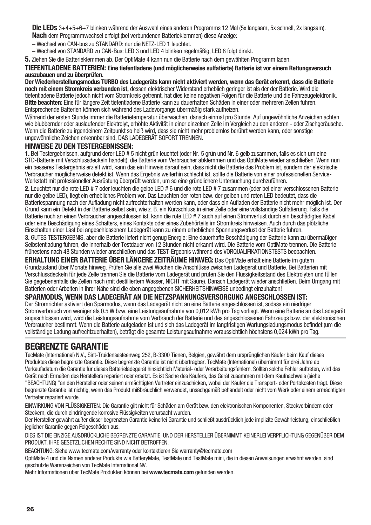**Die LEDs** 3+4+5+6+7 blinken während der Auswahl eines anderen Programms 12 Mal (5x langsam, 5x schnell, 2x langsam). **Nach** dem Programmwechsel erfolgt (bei verbundenen Batterieklemmen) diese Anzeige:

**–** Wechsel von CAN-bus zu STANDARD: nur die NETZ-LED 1 leuchtet.

**–** Wechsel von STANDARD zu CAN-Bus: LED 3 und LED 4 blinken regelmäßig, LED 8 folgt direkt.

**5.** Ziehen Sie die Batterieklemmen ab. Der OptiMate 4 kann nun die Batterie nach dem gewählten Programm laden.

#### **TIEFENTLADENE BATTERIEN: Eine tiefentladene (und möglicherweise sulfatierte) Batterie ist vor einem Rettungsversuch auszubauen und zu überprüfen.**

**Der Wiederherstellungsmodus TURBO des Ladegeräts kann nicht aktiviert werden, wenn das Gerät erkennt, dass die Batterie noch mit einem Stromkreis verbunden ist,** dessen elektrischer Widerstand erheblich geringer ist als der der Batterie. Wird die tiefentladene Batterie jedoch nicht vom Stromkreis getrennt, hat dies keine negativen Folgen für die Batterie und die Fahrzeugelektronik. **Bitte beachten:** Eine für längere Zeit tiefentladene Batterie kann zu dauerhaften Schäden in einer oder mehreren Zellen führen. Entsprechende Batterien können sich während des Ladevorgangs übermäßig stark aufheizen.

Während der ersten Stunde immer die Batterietemperatur überwachen, danach einmal pro Stunde. Auf ungewöhnliche Anzeichen achten wie blubbernder oder auslaufender Elektrolyt, erhöhte Aktivität in einer einzelnen Zelle im Vergleich zu den anderen - oder Zischgeräusche. Wenn die Batterie zu irgendeinem Zeitpunkt so heiß wird, dass sie nicht mehr problemlos berührt werden kann, oder sonstige ungewöhnliche Zeichen erkennbar sind, DAS LADEGERÄT SOFORT TRENNEN.

#### **HINWEISE ZU DEN TESTERGEBNISSEN:**

**1.** Bei Testergebnissen, aufgrund derer LED # 5 nicht grün leuchtet (oder Nr. 5 grün und Nr. 6 gelb zusammen, falls es sich um eine STD-Batterie mit Verschlussdeckeln handelt), die Batterie vom Verbraucher abklemmen und das OptiMate wieder anschließen. Wenn nun ein besseres Testergebnis erzielt wird, kann das ein Hinweis darauf sein, dass nicht die Batterie das Problem ist, sondern der elektrische Verbraucher möglicherweise defekt ist. Wenn das Ergebnis weiterhin schlecht ist, sollte die Batterie von einer professionellen Service-Werkstatt mit professioneller Ausrüstung überprüft werden, um so eine gründlichere Untersuchung durchzuführen.

**2.** Leuchtet nur die rote LED # 7 oder leuchten die gelbe LED # 6 und die rote LED # 7 zusammen (oder bei einer verschlossenen Batterie nur die gelbe LED), liegt ein erhebliches Problem vor. Das Leuchten der roten bzw. der gelben und roten LED bedeutet, dass die Batteriespannung nach der Aufladung nicht aufrechterhalten werden kann, oder dass ein Aufladen der Batterie nicht mehr möglich ist. Der Grund kann ein Defekt in der Batterie selbst sein, wie z. B. ein Kurzschluss in einer Zelle oder eine vollständige Sulfatierung. Falls die Batterie noch an einen Verbraucher angeschlossen ist, kann die rote LED # 7 auch auf einen Stromverlust durch ein beschädigtes Kabel oder eine Beschädigung eines Schalters, eines Kontakts oder eines Zubehörteils im Stromkreis hinweisen. Auch durch das plötzliche Einschalten einer Last bei angeschlossenem Ladegerät kann zu einem erheblichen Spannungsverlust der Batterie führen.

**3.** GUTES TESTERGEBNIS, aber die Batterie liefert nicht genug Energie: Eine dauerhafte Beschädigung der Batterie kann zu übermäßiger Selbstentladung führen, die innerhalb der Testdauer von 12 Stunden nicht erkannt wird. Die Batterie vom OptiMate trennen. Die Batterie frühestens nach 48 Stunden wieder anschließen und das TEST-Ergebnis während des VORQUALIFIKATIONSTESTS beobachten.

#### **ERHALTUNG EINER BATTERIE ÜBER LÄNGERE ZEITRÄUME HINWEG:** Das OptiMate erhält eine Batterie im gutem

Grundzustand über Monate hinweg. Prüfen Sie alle zwei Wochen die Anschlüsse zwischen Ladegerät und Batterie. Bei Batterien mit Verschlussdeckeln für jede Zelle trennen Sie die Batterie vom Ladegerät und prüfen Sie den Flüssigkeitsstand des Elektrolyten und füllen Sie gegebenenfalls die Zellen nach (mit destilliertem Wasser, NICHT mit Säure). Danach Ladegerät wieder anschließen. Beim Umgang mit Batterien oder Arbeiten in ihrer Nähe sind die oben angegebenen SICHERHEITSHINWEISE unbedingt einzuhalten!

#### **SPARMODUS, WENN DAS LADEGERÄT AN DIE NETZSPANNUNGSVERSORGUNG ANGESCHLOSSEN IST:**

Der Stromrichter aktiviert den Sparmodus, wenn das Ladegerät nicht an eine Batterie angeschlossen ist, sodass ein niedriger Stromverbrauch von weniger als 0.5 W bzw. eine Leistungsaufnahme von 0,012 kWh pro Tag vorliegt. Wenn eine Batterie an das Ladegerät angeschlossen wird, wird die Leistungsaufnahme vom Verbrauch der Batterie und des angeschlossenen Fahrzeugs bzw. der elektronischen Verbraucher bestimmt. Wenn die Batterie aufgeladen ist und sich das Ladegerät im langfristigen Wartungsladungsmodus befindet (um die vollständige Ladung aufrechtzuerhalten), beträgt die gesamte Leistungsaufnahme voraussichtlich höchstens 0,024 kWh pro Tag.

### **BEGRENZTE GARANTIE**

TecMate (International) N.V., Sint-Truidensesteenweg 252, B-3300 Tienen, Belgien, gewährt dem ursprünglichen Käufer beim Kauf dieses Produktes diese begrenzte Garantie. Diese begrenzte Garantie ist nicht übertragbar. TecMate (International) übernimmt für drei Jahre ab Verkaufsdatum die Garantie für dieses Batterieladegerät hinsichtlich Material- oder Verarbeitungsfehlern. Sollten solche Fehler auftreten, wird das Gerät nach Ermeßen des Herstellers repariert oder ersetzt. Es ist Sache des Käufers, das Gerät zusammen mit dem Kaufnachweis (siehe "BEACHTUNG) "an den Hersteller oder seinen ermächtigten Vertreter einzuschicken, wobei der Käufer die Transport- oder Portokosten trägt. Diese begrenzte Garantie ist nichtig, wenn das Produkt mißbräuchlich verwendet, unsachgemäß behandelt oder nicht vom Werk oder einem ermächtigten Vertreter repariert wurde.

EINWIRKUNG VON FLÜSSIGKEITEN: Die Garantie gilt nicht für Schäden am Gerät bzw. den elektronischen Komponenten, Steckverbindern oder Steckern, die durch eindringende korrosive Flüssigkeiten verursacht wurden.

Der Hersteller gewährt außer dieser begrenzten Garantie keinerlei Garantie und schließt ausdrücklich jede implizite Gewährleistung, einschließlich jeglicher Garantie gegen Folgeschäden aus.

DIES IST DIE EINZIGE AUSDRÜCKLICHE BEGRENZTE GARANTIE, UND DER HERSTELLER ÜBERNIMMT KEINERLEI VERPFLICHTUNG GEGENÜBER DEM PRODUKT. IHRE GESETZLICHEN RECHTE SIND NICHT BETROFFEN.

BEACHTUNG: Siehe www.tecmate.com/warranty oder kontaktieren Sie warranty@tecmate.com

OptiMate 4 und die Namen anderer Produkte wie BatteryMate, TestMate und TestMate mini, die in diesen Anweisungen erwähnt werden, sind geschützte Warenzeichen von TecMate International NV.

Mehr Informationen über TecMate Produkten können bei **www.tecmate.com** gefunden werden.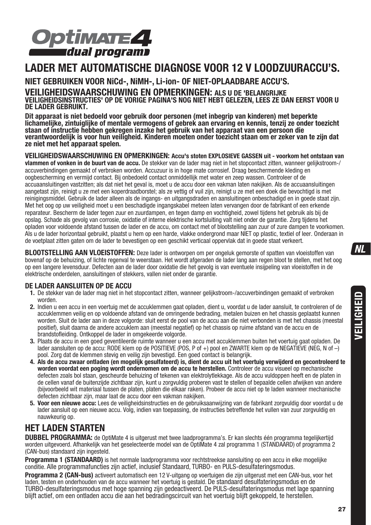

## **LADER MET AUTOMATISCHE DIAGNOSE VOOR 12 V LOODZUURACCU'S.**

**NIET GEBRUIKEN VOOR NiCd-, NiMH-, Li-ion- OF NIET-OPLAADBARE ACCU'S.** 

**VEILIGHEIDSWAARSCHUWING EN OPMERKINGEN: ALS U DE 'BELANGRIJKE VEILIGHEIDSINSTRUCTIES' OP DE VORIGE PAGINA'S NOG NIET HEBT GELEZEN, LEES ZE DAN EERST VOOR U DE LADER GEBRUIKT.** 

**Dit apparaat is niet bedoeld voor gebruik door personen (met inbegrip van kinderen) met beperkte lichamelijke, zintuiglijke of mentale vermogens of gebrek aan ervaring en kennis, tenzij ze onder toezicht staan of instructie hebben gekregen inzake het gebruik van het apparaat van een persoon die verantwoordelijk is voor hun veiligheid. Kinderen moeten onder toezicht staan om er zeker van te zijn dat ze niet met het apparaat spelen.**

**VEILIGHEIDSWAARSCHUWING EN OPMERKINGEN: Accu's stoten EXPLOSIEVE GASSEN uit - voorkom het ontstaan van vlammen of vonken in de buurt van de accu.** De stekker van de lader mag niet in het stopcontact zitten, wanneer gelijkstroom-/ accuverbindingen gemaakt of verbroken worden. Accuzuur is in hoge mate corrosief. Draag beschermende kleding en oogbescherming en vermijd contact. Bij onbedoeld contact onmiddellijk met water en zeep wassen. Controleer of de accuaansluitingen vastzitten; als dat niet het geval is, moet u de accu door een vakman laten nakijken. Als de accuaansluitingen aangetast zijn, reinigt u ze met een koperdraadborstel; als ze vettig of vuil zijn, reinigt u ze met een doek die bevochtigd is met reinigingsmiddel. Gebruik de lader alleen als de ingangs- en uitgangsdraden en aansluitingen onbeschadigd en in goede staat zijn. Met het oog op uw veiligheid moet u een beschadigde ingangskabel meteen laten vervangen door de fabrikant of een erkende reparateur. Bescherm de lader tegen zuur en zuurdampen, en tegen damp en vochtigheid, zowel tijdens het gebruik als bij de opslag. Schade als gevolg van corrosie, oxidatie of interne elektrische kortsluiting valt niet onder de garantie. Zorg tijdens het opladen voor voldoende afstand tussen de lader en de accu, om contact met of blootstelling aan zuur of zure dampen te voorkomen. Als u de lader horizontaal gebruikt, plaatst u hem op een harde, vlakke ondergrond maar NIET op plastic, textiel of leer. Onderaan in de voetplaat zitten gaten om de lader te bevestigen op een geschikt verticaal oppervlak dat in goede staat verkeert.

**BLOOTSTELLING AAN VLOEISTOFFEN:** Deze lader is ontworpen om per ongeluk gemorste of spatten van vloeistoffen van bovenaf op de behuizing, of lichte regenval te weerstaan. Het wordt afgeraden de lader lang aan regen bloot te stellen, met het oog op een langere levensduur. Defecten aan de lader door oxidatie die het gevolg is van eventuele insijpeling van vloeistoffen in de elektrische onderdelen, aansluitingen of stekkers, vallen niet onder de garantie.

#### **DE LADER AANSLUITEN OP DE ACCU**

- **1.** De stekker van de lader mag niet in het stopcontact zitten, wanneer gelijkstroom-/accuverbindingen gemaakt of verbroken worden.
- **2.** Indien u een accu in een voertuig met de accuklemmen gaat opladen, dient u, voordat u de lader aansluit, te controleren of de accuklemmen veilig en op voldoende afstand van de omringende bedrading, metalen buizen en het chassis geplaatst kunnen worden. Sluit de lader aan in deze volgorde: sluit eerst de pool van de accu aan die niet verbonden is met het chassis (meestal positief), sluit daarna de andere accuklem aan (meestal negatief) op het chassis op ruime afstand van de accu en de brandstofleiding. Ontkoppel de lader in omgekeerde volgorde.
- **3.** Plaats de accu in een goed geventileerde ruimte wanneer u een accu met accuklemmen buiten het voertuig gaat opladen. De lader aansluiten op de accu: RODE klem op de POSITIEVE (POS, P of +) pool en ZWARTE klem op de NEGATIEVE (NEG, N of –) pool. Zorg dat de klemmen stevig en veilig zijn bevestigd. Een goed contact is belangrijk.
- **4. Als de accu zwaar ontladen (en mogelijk gesulfateerd) is, dient de accu uit het voertuig verwijderd en gecontroleerd te worden voordat een poging wordt ondernomen om de accu te herstellen.** Controleer de accu visueel op mechanische defecten zoals bol staan, gescheurde behuizing of tekenen van elektrolytlekkage. Als de accu vuldoppen heeft en de platen in de cellen vanaf de buitenzijde zichtbaar zijn, kunt u zorgvuldig proberen vast te stellen of bepaalde cellen afwijken van andere (bijvoorbeeld wit materiaal tussen de platen, platen die elkaar raken). Probeer de accu niet op te laden wanneer mechanische defecten zichtbaar zijn, maar laat de accu door een vakman nakijken.
- **5. Voor een nieuwe accu:** Lees de veiligheidsinstructies en de gebruiksaanwijzing van de fabrikant zorgvuldig door voordat u de lader aansluit op een nieuwe accu. Volg, indien van toepassing, de instructies betreffende het vullen van zuur zorgvuldig en nauwkeurig op.

## **HET LADEN STARTEN**

**DUBBEL PROGRAMMA:** de OptiMate 4 is uitgerust met twee laadprogramma's. Er kan slechts één programma tegelijkertijd worden uitgevoerd. Afhankelijk van het geselecteerde model van de OptiMate 4 zal programma 1 (STANDAARD) of programma 2 (CAN-bus) standaard zijn ingesteld.

Programma 1 (STANDAARD) is het normale laadprogramma voor rechtstreekse aansluiting op een accu in elke mogelijke conditie. Alle programmafuncties zijn actief, inclusief Standaard, TURBO- en PULS-desulfateringsmodus.

**Programma 2 (CAN-bus)** activeert automatisch een 12 V-uitgang op voertuigen die zijn uitgerust met een CAN-bus, voor het laden, testen en onderhouden van de accu wanneer het voertuig is gestald. De standaard desulfateringsmodus en de TURBO-desulfateringsmodus met hoge spanning zij n gedeactiveerd. De PULS-desulfateringsmodus met lage spanning blijft actief, om een ontladen accu die aan het bedradingscircuit van het voertuig blijft gekoppeld, te herstellen.

VEILIGHEID **VEILIGHEID**

 $NL$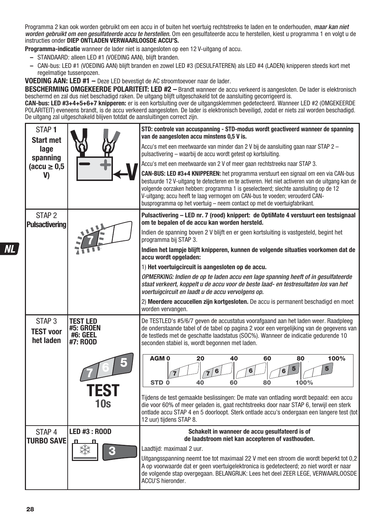Programma 2 kan ook worden gebruikt om een accu in of buiten het voertuig rechtstreeks te laden en te onderhouden. *maar kan niet* worden gebruikt om een gesulfateerde accu te herstellen. Om een gesulfateerde accu te herstellen, kiest u programma 1 en volgt u de instructies onder **DIEP ONTLADEN VERWAARLOOSDE ACCU'S.**

**Programma-indicatie** wanneer de lader niet is aangesloten op een 12 V-uitgang of accu.

- STANDAARD: alleen LED #1 (VOEDING AAN), blijft branden.
- CAN-bus: LED #1 (VOEDING AAN) blijft branden en zowel LED #3 (DESULFATEREN) als LED #4 (LADEN) knipperen steeds kort met regelmatige tussenpozen.

**VOEDING AAN: LED #1 –** Deze LED bevestigt de AC stroomtoevoer naar de lader.

**BESCHERMING OMGEKEERDE POLARITEIT: LED #2 –** Brandt wanneer de accu verkeerd is aangesloten. De lader is elektronisch beschermd en zal dus niet beschadigd raken. De uitgang blijft uitgeschakeld tot de aansluiting gecorrigeerd is.

**CAN-bus: LED #3+4+5+6+7 knipperen:** er is een kortsluiting over de uitgangsklemmen gedetecteerd. Wanneer LED #2 (OMGEKEERDE POLARITEIT) eveneens brandt, is de accu verkeerd aangesloten. De lader is elektronisch beveiligd, zodat er niets zal worden beschadigd. De uitgang zal uitgeschakeld blijven totdat de aansluitingen correct zijn.

| STAP <sub>1</sub><br><b>Start met</b>              |                                                                    | STD: controle van accuspanning - STD-modus wordt geactiveerd wanneer de spanning<br>van de aangesloten accu minstens 0,5 V is.                                                                                                                                                                                                                                                                                                          |
|----------------------------------------------------|--------------------------------------------------------------------|-----------------------------------------------------------------------------------------------------------------------------------------------------------------------------------------------------------------------------------------------------------------------------------------------------------------------------------------------------------------------------------------------------------------------------------------|
| lage<br>spanning                                   |                                                                    | Accu's met een meetwaarde van minder dan 2 V bij de aansluiting gaan naar STAP 2-<br>pulsactivering - waarbij de accu wordt getest op kortsluiting.                                                                                                                                                                                                                                                                                     |
| $(\text{accu} \geq 0.5)$                           |                                                                    | Accu's met een meetwaarde van 2 V of meer gaan rechtstreeks naar STAP 3.                                                                                                                                                                                                                                                                                                                                                                |
| V)                                                 |                                                                    | CAN-BUS: LED #3+4 KNIPPEREN: het programma verstuurt een signaal om een via CAN-bus<br>bestuurde 12 V-uitgang te detecteren en te activeren. Het niet activeren van de uitgang kan de<br>volgende oorzaken hebben: programma 1 is geselecteerd; slechte aansluiting op de 12<br>V-uitgang; accu heeft te laag vermogen om CAN-bus te voeden; verouderd CAN-<br>busprogramma op het voertuig – neem contact op met de voertuigfabrikant. |
| STAP <sub>2</sub><br><b>Pulsactivering</b>         |                                                                    | Pulsactivering - LED nr. 7 (rood) knippert: de OptiMate 4 verstuurt een testsignaal<br>om te bepalen of de accu kan worden hersteld.                                                                                                                                                                                                                                                                                                    |
|                                                    |                                                                    | Indien de spanning boven 2 V blijft en er geen kortsluiting is vastgesteld, begint het<br>programma bij STAP 3.                                                                                                                                                                                                                                                                                                                         |
|                                                    |                                                                    | Indien het lampje blijft knipperen, kunnen de volgende situaties voorkomen dat de<br>accu wordt opgeladen:                                                                                                                                                                                                                                                                                                                              |
|                                                    |                                                                    | 1) Het voertuigcircuit is aangesloten op de accu.                                                                                                                                                                                                                                                                                                                                                                                       |
|                                                    |                                                                    | OPMERKING: Indien de op te laden accu een lage spanning heeft of in gesulfateerde<br>staat verkeert, koppelt u de accu voor de beste laad- en testresultaten los van het<br>voertuigcircuit en laadt u de accu vervolgens op.                                                                                                                                                                                                           |
|                                                    |                                                                    | 2) Meerdere accucellen zijn kortgesloten. De accu is permanent beschadigd en moet<br>worden vervangen.                                                                                                                                                                                                                                                                                                                                  |
| STAP <sub>3</sub><br><b>TEST voor</b><br>het laden | <b>TEST LED</b><br><b>#5: GROEN</b><br><b>#6: GEEL</b><br>#7: ROOD | De TESTLED's #5/6/7 geven de accustatus voorafgaand aan het laden weer. Raadpleeg<br>de onderstaande tabel of de tabel op pagina 2 voor een vergelijking van de gegevens van<br>de testleds met de geschatte laadstatus (SOC%). Wanneer de indicatie gedurende 10<br>seconden stabiel is, wordt begonnen met laden.                                                                                                                     |
|                                                    |                                                                    | 100%<br>AGM <sub>0</sub><br>20<br>40<br>60<br>80<br>6<br>100%<br>STD <sub>0</sub><br>40<br>60<br>80                                                                                                                                                                                                                                                                                                                                     |
|                                                    | TEST<br>10s                                                        | Tijdens de test gemaakte beslissingen: De mate van ontlading wordt bepaald: een accu<br>die voor 60% of meer geladen is, gaat rechtstreeks door naar STAP 6, terwijl een sterk<br>ontlade accu STAP 4 en 5 doorloopt. Sterk ontlade accu's ondergaan een langere test (tot<br>12 uur) tijdens STAP 8.                                                                                                                                   |
| STAP <sub>4</sub>                                  | <b>LED #3: ROOD</b>                                                | Schakelt in wanneer de accu gesulfateerd is of                                                                                                                                                                                                                                                                                                                                                                                          |
| <b>TURBO SAVE</b>                                  |                                                                    | de laadstroom niet kan accepteren of vasthouden.<br>Laadtijd: maximaal 2 uur.                                                                                                                                                                                                                                                                                                                                                           |
|                                                    |                                                                    | Uitgangsspanning neemt toe tot maximaal 22 V met een stroom die wordt beperkt tot 0.2                                                                                                                                                                                                                                                                                                                                                   |
|                                                    |                                                                    | A op voorwaarde dat er geen voertuigelektronica is gedetecteerd; zo niet wordt er naar<br>de volgende stap overgegaan. BELANGRIJK: Lees het deel ZEER LEGE, VERWAARLOOSDE<br>ACCU'S hieronder.                                                                                                                                                                                                                                          |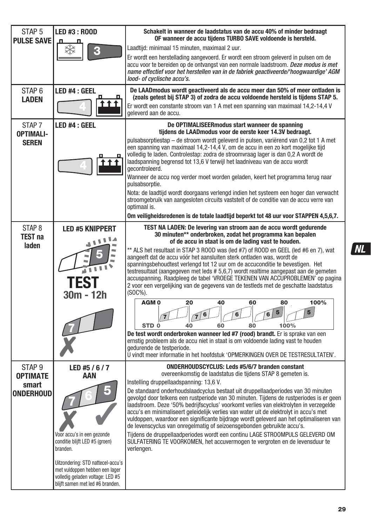| STAP <sub>5</sub><br><b>PULSE SAVE</b>                     | <b>LED #3: ROOD</b><br>п                                                                                                                                                                                                                         | Schakelt in wanneer de laadstatus van de accu 40% of minder bedraagt<br>OF wanneer de accu tiidens TURBO SAVE voldoende is hersteld.                                                                                                                                                                                                                                                                                                                                                                                                                                                                                                                                                                                                                                                                                                                                                                                                                                                                                                                                                                                |
|------------------------------------------------------------|--------------------------------------------------------------------------------------------------------------------------------------------------------------------------------------------------------------------------------------------------|---------------------------------------------------------------------------------------------------------------------------------------------------------------------------------------------------------------------------------------------------------------------------------------------------------------------------------------------------------------------------------------------------------------------------------------------------------------------------------------------------------------------------------------------------------------------------------------------------------------------------------------------------------------------------------------------------------------------------------------------------------------------------------------------------------------------------------------------------------------------------------------------------------------------------------------------------------------------------------------------------------------------------------------------------------------------------------------------------------------------|
|                                                            |                                                                                                                                                                                                                                                  | Laadtijd: minimaal 15 minuten, maximaal 2 uur.<br>Er wordt een herstellading aangevoerd. Er wordt een stroom geleverd in pulsen om de<br>accu voor te bereiden op de ontvangst van een normale laadstroom. Deze modus is met<br>name effectief voor het herstellen van in de fabriek geactiveerde/'hoogwaardige' AGM<br>lood- of cyclische accu's.                                                                                                                                                                                                                                                                                                                                                                                                                                                                                                                                                                                                                                                                                                                                                                  |
| STAP <sub>6</sub><br><b>LADEN</b>                          | LED #4 : GEEL                                                                                                                                                                                                                                    | De LAADmodus wordt geactiveerd als de accu meer dan 50% of meer ontladen is<br>(zoals getest bij STAP 3) of zodra de accu voldoende hersteld is tijdens STAP 5.<br>Er wordt een constante stroom van 1 A met een spanning van maximaal 14,2-14,4 V<br>geleverd aan de accu.                                                                                                                                                                                                                                                                                                                                                                                                                                                                                                                                                                                                                                                                                                                                                                                                                                         |
| STAP <sub>7</sub><br><b>OPTIMALI-</b><br><b>SEREN</b>      | LED #4 : GEEL                                                                                                                                                                                                                                    | De OPTIMALISEERmodus start wanneer de spanning<br>tijdens de LAADmodus voor de eerste keer 14.3V bedraagt.<br>pulsabsorptiestap – de stroom wordt geleverd in pulsen, variërend van 0,2 tot 1 A met<br>een spanning van maximaal 14,2-14,4 V, om de accu in een zo kort mogelijke tijd<br>volledig te laden. Controlestap: zodra de stroomvraag lager is dan 0,2 A wordt de                                                                                                                                                                                                                                                                                                                                                                                                                                                                                                                                                                                                                                                                                                                                         |
|                                                            |                                                                                                                                                                                                                                                  | laadspanning begrensd tot 13,6 V terwijl het laadniveau van de accu wordt<br>aecontroleerd.<br>Wanneer de accu nog verder moet worden geladen, keert het programma terug naar<br>pulsabsorptie.<br>Nota: de laadtijd wordt doorgaans verlengd indien het systeem een hoger dan verwacht<br>stroomgebruik van aangesloten circuits vaststelt of de conditie van de accu verre van<br>optimaal is.                                                                                                                                                                                                                                                                                                                                                                                                                                                                                                                                                                                                                                                                                                                    |
|                                                            |                                                                                                                                                                                                                                                  | Om veiligheidsredenen is de totale laadtijd beperkt tot 48 uur voor STAPPEN 4,5,6,7.                                                                                                                                                                                                                                                                                                                                                                                                                                                                                                                                                                                                                                                                                                                                                                                                                                                                                                                                                                                                                                |
| STAP <sub>8</sub><br><b>TEST na</b><br>laden               | <b>LED #5 KNIPPERT</b><br><b>TEST</b><br>30m - 12h                                                                                                                                                                                               | TEST NA LADEN: De levering van stroom aan de accu wordt gedurende<br>30 minuten** onderbroken, zodat het programma kan bepalen<br>of de accu in staat is om de lading vast te houden.<br>** ALS het resultaat in STAP 3 ROOD was (led #7) of ROOD en GEEL (led #6 en 7), wat<br>aangeeft dat de accu vóór het aansluiten sterk ontladen was, wordt de<br>spanningsbehoudtest verlengd tot 12 uur om de accuconditie te bevestigen. Het<br>testresultaat (aangegeven met leds # 5,6,7) wordt realtime aangepast aan de gemeten<br>accuspanning. Raadpleeg de tabel 'VROEGE TEKENEN VAN ACCUPROBLEMEN' op pagina<br>2 voor een vergelijking van de gegevens van de testleds met de geschatte laadstatus<br>$(SOC\%)$ .<br>AGM <sub>0</sub><br>100%<br>20<br>40<br>60<br>80<br>5<br>6<br>STD <sub>0</sub><br>40<br>60<br>80<br>100%<br>De test wordt onderbroken wanneer led #7 (rood) brandt. Er is sprake van een<br>ernstig probleem als de accu niet in staat is om voldoende lading vast te houden<br>gedurende de testperiode.<br>U vindt meer informatie in het hoofdstuk 'OPMERKINGEN OVER DE TESTRESULTATEN'. |
| STAP <sub>9</sub><br><b>OPTIMATE</b><br>smart<br>ONDERHOUD | LED #5 / $6/7$<br>AAN<br>Voor accu's in een gezonde<br>conditie blijft LED #5 (groen)<br>branden.<br>Uitzondering: STD nattecel-accu's<br>met vuldoppen hebben een lager<br>volledig geladen voltage: LED #5<br>blijft samen met led #6 branden. | <b>ONDERHOUDSCYCLUS: Leds #5/6/7 branden constant</b><br>overeenkomstig de laadstatus die tijdens STAP 8 gemeten is.<br>Instelling druppellaadspanning: 13,6 V.<br>De standaard onderhoudslaadcyclus bestaat uit druppellaadperiodes van 30 minuten<br>gevolgd door telkens een rustperiode van 30 minuten. Tijdens de rustperiodes is er geen<br>laadstroom. Deze '50% bedrijfscyclus' voorkomt verlies van elektrolyten in verzegelde<br>accu's en minimaliseert geleidelijk verlies van water uit de elektrolyt in accu's met<br>vuldoppen, waardoor een significante bijdrage wordt geleverd aan het optimaliseren van<br>de levenscyclus van onregelmatig of seizoensgebonden gebruikte accu's.<br>Tijdens de druppellaadperiodes wordt een continu LAGE STROOMPULS GELEVERD OM<br>SULFATERING TE VOORKOMEN, het accuvermogen te vergroten en de levensduur te<br>verlengen.                                                                                                                                                                                                                                   |

 $ML$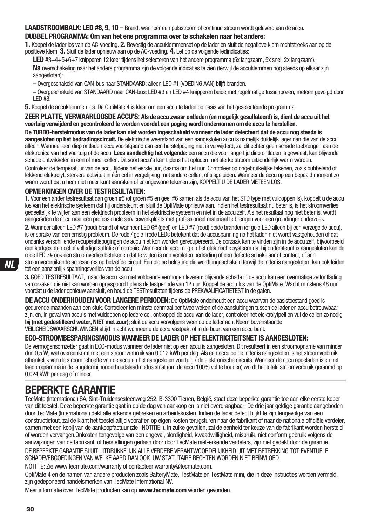**LAADSTROOMBALK: LED #8, 9, 10 –** Brandt wanneer een pulsstroom of continue stroom wordt geleverd aan de accu.

### **DUBBEL PROGRAMMA: Om van het ene programma over te schakelen naar het andere:**

**1.** Koppel de lader los van de AC-voeding. **2.** Bevestig de accuklemmenset op de lader en sluit de negatieve klem rechtstreeks aan op de positieve klem. **3.** Sluit de lader opnieuw aan op de AC-voeding. **4.** Let op de volgende ledindicaties:

**LED** #3+4+5+6+7 knipperen 12 keer tijdens het selecteren van het andere programma (5x langzaam, 5x snel, 2x langzaam).

**Na** overschakeling naar het andere programma zijn de volgende indicaties te zien (terwijl de accuklemmen nog steeds op elkaar zijn aangesloten):

**–** Overgeschakeld van CAN-bus naar STANDAARD: alleen LED #1 (VOEDING AAN) blijft branden.

**–** Overgeschakeld van STANDAARD naar CAN-bus: LED #3 en LED #4 knipperen beide met regelmatige tussenpozen, meteen gevolgd door  $IED H8$ 

**5.** Koppel de accuklemmen los. De OptiMate 4 is klaar om een accu te laden op basis van het geselecteerde programma.

**ZEER PLATTE, VERWAARLOOSDE ACCU'S: Als de accu zwaar ontladen (en mogelijk gesulfateerd) is, dient de accu uit het voertuig verwijderd en gecontroleerd te worden voordat een poging wordt ondernomen om de accu te herstellen.** 

**De TURBO-herstelmodus van de lader kan niet worden ingeschakeld wanneer de lader detecteert dat de accu nog steeds is aangesloten op het bedradingscircuit.** De elektrische weerstand van een aangesloten accu is namelijk duidelijk lager dan die van de accu alleen. Wanneer een diep ontladen accu voorafgaand aan een herstelpoging niet is verwijderd, zal dit echter geen schade toebrengen aan de elektronica van het voertuig of de accu. **Lees aandachtig het volgende:** een accu die voor lange tijd diep ontladen is geweest, kan blijvende schade ontwikkelen in een of meer cellen. Dit soort accu's kan tijdens het opladen met sterke stroom uitzonderlijk warm worden.

Controleer de temperatuur van de accu tijdens het eerste uur, daarna om het uur. Controleer op ongebruikelijke tekenen, zoals bubbelend of lekkend elektrolyt, sterkere activiteit in één cel in vergelijking met andere cellen, of sisgeluiden. Wanneer de accu op een bepaald moment zo warm wordt dat u hem niet meer kunt aanraken of er ongewone tekenen zijn, KOPPELT U DE LADER METEEN LOS.

### **OPMERKINGEN OVER DE TESTRESULTATEN:**

**1.** Voor een ander testresultaat dan groen #5 (of groen #5 en geel #6 samen als de accu van het STD type met vuldoppen is), koppelt u de accu los van het elektrische systeem dat hij ondersteunt en sluit de OptiMate opnieuw aan. Indien het testresultaat nu beter is, is het stroomverlies gedeeltelijk te wijten aan een elektrisch probleem in het elektrische systeem en niet in de accu zelf. Als het resultaat nog niet beter is, wordt aangeraden de accu naar een professionele servicewerkplaats met professioneel materiaal te brengen voor een grondinger onderzoek.

**2.** Wanneer alleen LED #7 (rood) brandt of wanneer LED 6# (geel) en LED #7 (rood) beide branden (of gele LED alleen bij een verzegelde accu), is er sprake van een ernstig probleem. De rode / gele+rode LEDs betekent dat de accuspanning na het laden niet wordt vastgehouden of dat ondanks verschillende recuperatiepogingen de accu niet kon worden gerecupereerd. De oorzaak kan te vinden zijn in de accu zelf, bijvoorbeeld een kortgesloten cel of volledige sulfatie of corrosie. Wanneer de accu nog op het elektrische systeem dat hij ondersteunt is aangesloten kan de rode LED 7# ook een stroomverlies betekenen dat te wijten is aan versleten bedrading of een defecte schakelaar of contact, of aan stroomverbruikende accessoires op hetzelfde circuit. Een plotse belasting die wordt ingeschakeld terwijl de lader is aangesloten, kan ook leiden

tot een aanzienlijk spanningsverlies van de accu. **3.** GOED TESTRESULTAAT, maar de accu kan niet voldoende vermogen leveren: blijvende schade in de accu kan een overmatige zelfontlading veroorzaken die niet kan worden opgespoord tijdens de testperiode van 12 uur. Koppel de accu los van de OptiMate. Wacht minstens 48 uur voordat u de lader opnieuw aansluit, en houd de TESTresultaten tijdens de PREKWALIFICATIETEST in de gaten.

**DE ACCU ONDERHOUDEN VOOR LANGERE PERIODEN:** De OptiMate onderhoudt een accu waarvan de basistoestand goed is gedurende maanden aan een stuk. Controleer ten minste eenmaal per twee weken of de aansluitingen tussen de lader en accu betrouwbaar zijn, en, in geval van accu's met vuldoppen op iedere cel, ontkoppel de accu van de lader, controleer het elektrolytpeil en vul de cellen zo nodig bij **(met gedestilleerd water, NIET met zuur)**; sluit de accu vervolgens weer op de lader aan. Neem bovenstaande VEILIGHEIDSWAARSCHUWINGEN altijd in acht wanneer u de accu vastpakt of in de buurt van een accu bent.

#### **ECO-STROOMBESPARINGSMODUS WANNEER DE LADER OP HET ELEKTRICITEITSNET IS AANGESLOTEN:**

De vermogensomzetter gaat in ECO-modus wanneer de lader niet op een accu is aangesloten. Dit resulteert in een stroomopname van minder dan 0,5 W, wat overeenkomt met een stroomverbruik van 0,012 kWh per dag. Als een accu op de lader is aangesloten is het stroomverbruik afhankelijk van de stroombehoefte van de accu en het aangesloten voertuig / de elektronische circuits. Wanneer de accu opgeladen is en het laadprogramma in de langetermijnonderhoudslaadmodus staat (om de accu 100% vol te houden) wordt het totale stroomverbruik geraamd op 0,024 kWh per dag of minder.

## **BEPERKTE GARANTIE**

TecMate (International) SA, Sint-Truidensesteenweg 252, B-3300 Tienen, België, staat deze beperkte garantie toe aan elke eerste koper van dit toestel. Deze beperkte garantie gaat in op de dag van aankoop en is niet overdraagbaar. De drie jaar geldige garantie aangeboden door TecMate (International) dekt alle erkende gebreken en arbeidskosten. Indien de lader defect blijkt te zijn tengevolge van een constructiefout, zal de klant het toestel altijd vooraf en op eigen kosten terugsturen naar de fabrikant of naar de nationale officiële verdeler, samen met een kopij van de aankoopfactuur (zie "NOTITIE"). In zulke gevallen, zal de eenheid ter keuze van de fabrikant worden hersteld of worden vervangen.Onkosten tengevolge van een ongeval, slordigheid, kwaadwilligheid, misbruik, niet conform gebruik volgens de aanwijzingen van de fabrikant, of herstellingen gedaan door door TecMate niet-erkende verdelers, zijn niet gedekt door de garantie.

DE BEPERKTE GARANTIE SLUIT UITDRUKKELIJK ALLE VERDERE VERANTWOORDELIJKHEID UIT MET BETREKKING TOT EVENTUELE SCHADEVERGOEDINGEN VAN WELKE AARD DAN OOK. UW STATUTAIRE RECHTEN WORDEN NIET BEÏNVLOED.

NOTITIE: Zie www.tecmate.com/warranty of contacteer warranty@tecmate.com.

OptiMate 4 en de namen van andere producten zoals BatteryMate, TestMate en TestMate mini, die in deze instructies worden vermeld, zijn gedeponeerd handelsmerken van TecMate International NV.

Meer informatie over TecMate producten kan op **www.tecmate.com** worden gevonden.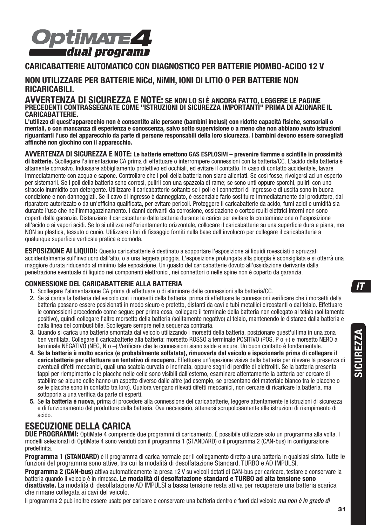

### **CARICABATTERIE AUTOMATICO CON DIAGNOSTICO PER BATTERIE PIOMBO-ACIDO 12 V**

### **NON UTILIZZARE PER BATTERIE NiCd, NiMH, IONI DI LITIO O PER BATTERIE NON RICARICABILI.**

#### **AVVERTENZA DI SICUREZZA E NOTE: SE NON LO SI È ANCORA FATTO, LEGGERE LE PAGINE PRECEDENTI CONTRASSEGNATE COME "ISTRUZIONI DI SICUREZZA IMPORTANTI" PRIMA DI AZIONARE IL CARICABATTERIE.**

**L'utilizzo di quest'apparecchio non è consentito alle persone (bambini inclusi) con ridotte capacità fisiche, sensoriali o mentali, o con mancanza di esperienza e conoscenza, salvo sotto supervisione o a meno che non abbiano avuto istruzioni riguardanti l'uso del apparecchio da parte di persone responsabili della loro sicurezza. I bambini devono essere sorvegliati affinché non giochino con il apparecchio.** 

**AVVERTENZA DI SICUREZZA E NOTE: Le batterie emettono GAS ESPLOSIVI – prevenire fiamme o scintille in prossimità di batterie.** Scollegare l'alimentazione CA prima di effettuare o interrompere connessioni con la batteria/CC. L'acido della batteria è altamente corrosivo. Indossare abbigliamento protettivo ed occhiali, ed evitare il contatto. In caso di contatto accidentale, lavare immediatamente con acqua e sapone. Controllare che i poli della batteria non siano allentati. Se così fosse, rivolgersi ad un esperto per sistemarli. Se i poli della batteria sono corrosi, pulirli con una spazzola di rame; se sono unti oppure sporchi, pulirli con uno straccio inumidito con detergente. Utilizzare il caricabatterie soltanto se i poli e i connettori di ingresso e di uscita sono in buona condizione e non danneggiati. Se il cavo di ingresso è danneggiato, è essenziale farlo sostituire immediatamente dal produttore, dal riparatore autorizzato o da un'officina qualificata, per evitare pericoli. Proteggere il caricabatterie da acido, fumi acidi e umidità sia durante l'uso che nell'immagazzinamento. I danni derivanti da corrosione, ossidazione o cortocircuiti elettrici interni non sono coperti dalla garanzia. Distanziare il caricabatterie dalla batteria durante la carica per evitare la contaminazione o l'esposizione all'acido o ai vapori acidi. Se lo si utilizza nell'orientamento orizzontale, collocare il caricabatterie su una superficie dura e piana, ma NON su plastica, tessuto o cuoio. Utilizzare i fori di fissaggio forniti nella base dell'involucro per collegare il caricabatterie a qualunque superficie verticale pratica e comoda.

**ESPOSIZIONE AI LIQUIDI:** Questo caricabatterie è destinato a sopportare l'esposizione ai liquidi rovesciati o spruzzati accidentalmente sull'involucro dall'alto, o a una leggera pioggia. L'esposizione prolungata alla pioggia è sconsigliata e si otterrà una maggiore durata riducendo al minimo tale esposizione. Un guasto del caricabatterie dovuto all'ossidazione derivante dalla penetrazione eventuale di liquido nei componenti elettronici, nei connettori o nelle spine non è coperto da garanzia.

#### **CONNESSIONE DEL CARICABATTERIE ALLA BATTERIA**

- **1.** Scollegare l'alimentazione CA prima di effettuare o di eliminare delle connessioni alla batteria/CC.
- **2.** Se si carica la batteria del veicolo con i morsetti della batteria, prima di effettuare le connessioni verificare che i morsetti della batteria possano essere posizionati in modo sicuro e protetto, distanti da cavi e tubi metallici circostanti o dal telaio. Effettuare le connessioni procedendo come segue: per prima cosa, collegare il terminale della batteria non collegato al telaio (solitamente positivo), quindi collegare l'altro morsetto della batteria (solitamente negativo) al telaio, mantenendo le distanze dalla batteria e dalla linea del combustibile. Scollegare sempre nella sequenza contraria.
- **3.** Quando si carica una batteria smontata dal veicolo utilizzando i morsetti della batteria, posizionare quest'ultima in una zona ben ventilata. Collegare il caricabatterie alla batteria: morsetto ROSSO a terminale POSITIVO (POS, P o +) e morsetto NERO a terminale NEGATIVO (NEG, N o –).Verificare che le connessioni siano salde e sicure. Un buon contatto è fondamentale.
- **4. Se la batteria è molto scarica (e probabilmente solfatata), rimuoverla dal veicolo e ispezionarla prima di collegare il caricabatterie per effettuare un tentativo di recupero.** Effettuare un'ispezione visiva della batteria per rilevare la presenza di eventuali difetti meccanici, quali una scatola curvata o incrinata, oppure segni di perdite di elettroliti. Se la batteria presenta tappi per riempimento e le placche nelle celle sono visibili dall'esterno, esaminare attentamente la batteria per cercare di stabilire se alcune celle hanno un aspetto diverso dalle altre (ad esempio, se presentano del materiale bianco tra le placche o se le placche sono in contatto tra loro). Qualora vengano rilevati difetti meccanici, non cercare di ricaricare la batteria, ma sottoporla a una verifica da parte di esperti.
- **5.** S**e la batteria è nuova**, prima di procedere alla connessione del caricabatterie, leggere attentamente le istruzioni di sicurezza e di funzionamento del produttore della batteria. Ove necessario, attenersi scrupolosamente alle istruzioni di riempimento di acido.

### **ESECUZIONE DELLA CARICA**

**DUE PROGRAMMI:** OptiMate 4 comprende due programmi di caricamento. È possibile utilizzare solo un programma alla volta. I modelli selezionati di OptiMate 4 sono venduti con il programma 1 (STANDARD) o il programma 2 (CAN-bus) in configurazione predefinita.

**Programma 1 (STANDARD)** è il programma di carica normale per il collegamento diretto a una batteria in qualsiasi stato. Tutte le funzioni del programma sono attive, tra cui la modalità di desolfatazione Standard, TURBO e AD IMPULSI.

**Programma 2 (CAN-bus)** attiva automaticamente la presa 12 V su veicoli dotati di CAN-bus per caricare, testare e conservare la batteria quando il veicolo è in rimessa. **Le modalità di desolfatazione standard e TURBO ad alta tensione sono disattivate.** La modalità di desolfatazione AD IMPULSI a bassa tensione resta attiva per recuperare una batteria scarica che rimane collegata ai cavi del veicolo.

Il programma 2 può inoltre essere usato per caricare e conservare una batteria dentro e fuori dal veicolo *ma non è in grado di*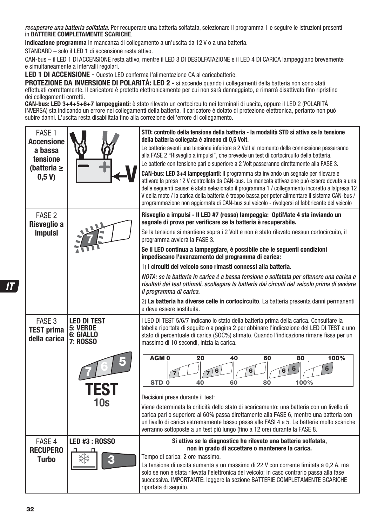recuperare una batteria solfatata. Per recuperare una batteria solfatata, selezionare il programma 1 e seguire le istruzioni presenti in **BATTERIE COMPLETAMENTE SCARICHE**.

**Indicazione programma** in mancanza di collegamento a un'uscita da 12 V o a una batteria.

STANDARD – solo il LED 1 di accensione resta attivo.

CAN-bus – il LED 1 DI ACCENSIONE resta attivo, mentre il LED 3 DI DESOLFATAZIONE e il LED 4 DI CARICA lampeggiano brevemente e simultaneamente a intervalli regolari.

**LED 1 DI ACCENSIONE -** Questo LED conferma l'alimentazione CA al caricabatterie.

**PROTEZIONE DA INVERSIONE DI POLARITÀ: LED 2 -** si accende quando i collegamenti della batteria non sono stati effettuati correttamente. Il caricatore è protetto elettronicamente per cui non sarà danneggiato, e rimarrà disattivato fino ripristino dei collegamenti corretti.

**CAN-bus: LED 3+4+5+6+7 lampeggianti:** è stato rilevato un cortocircuito nei terminali di uscita, oppure il LED 2 (POLARITÀ INVERSA) sta indicando un errore nei collegamenti della batteria. Il caricatore è dotato di protezione elettronica, pertanto non può subire danni. L'uscita resta disabilitata fino alla correzione dell'errore di collegamento.

| FASE <sub>1</sub><br><b>Accensione</b><br>a bassa<br>tensione<br>(batteria $\geq$<br>0.5 V |                                                                               | STD: controllo della tensione della batteria - la modalità STD si attiva se la tensione<br>della batteria collegata è almeno di 0,5 Volt.<br>Le batterie aventi una tensione inferiore a 2 Volt al momento della connessione passeranno<br>alla FASE 2 "Risveglio a impulsi", che prevede un test di cortocircuito della batteria.<br>Le batterie con tensione pari o superiore a 2 Volt passeranno direttamente alla FASE 3.<br>CAN-bus: LED 3+4 lampeggianti: il programma sta inviando un segnale per rilevare e<br>attivare la presa 12 V controllata da CAN-bus. La mancata attivazione può essere dovuta a una<br>delle sequenti cause: è stato selezionato il programma 1 / collegamento incoretto allalpresa 12<br>V della moto / la carica della batteria è troppo bassa per poter alimentare il sistema CAN-bus /<br>programmazione non aggiornata di CAN-bus sul veicolo - rivolgersi al fabbricante del veicolo |
|--------------------------------------------------------------------------------------------|-------------------------------------------------------------------------------|-----------------------------------------------------------------------------------------------------------------------------------------------------------------------------------------------------------------------------------------------------------------------------------------------------------------------------------------------------------------------------------------------------------------------------------------------------------------------------------------------------------------------------------------------------------------------------------------------------------------------------------------------------------------------------------------------------------------------------------------------------------------------------------------------------------------------------------------------------------------------------------------------------------------------------|
| FASE <sub>2</sub><br>Risveglio a<br><i>impulsi</i>                                         |                                                                               | Risveglio a impulsi - Il LED #7 (rosso) lampeggia: OptiMate 4 sta inviando un<br>segnale di prova per verificare se la batteria è recuperabile.<br>Se la tensione si mantiene sopra i 2 Volt e non è stato rilevato nessun cortocircuito, il<br>programma avvierà la FASE 3.<br>Se il LED continua a lampeggiare, è possibile che le seguenti condizioni<br>impediscano l'avanzamento del programma di carica:<br>1) I circuiti del veicolo sono rimasti connessi alla batteria.<br>NOTA: se la batteria in carica è a bassa tensione o solfatata per ottenere una carica e<br>risultati dei test ottimali, scollegare la batteria dai circuiti del veicolo prima di avviare<br>il programma di carica.<br>2) La batteria ha diverse celle in cortocircuito. La batteria presenta danni permanenti<br>e deve essere sostituita.                                                                                             |
| FASE 3<br><b>TEST prima</b><br>della carica                                                | <b>LED DI TEST</b><br>5: VERDE<br>6: GIALLO<br><b>7: ROSSO</b><br>TES1<br>10s | I LED DI TEST 5/6/7 indicano lo stato della batteria prima della carica. Consultare la<br>tabella riportata di seguito o a pagina 2 per abbinare l'indicazione del LED DI TEST a uno<br>stato di percentuale di carica (SOC%) stimato. Quando l'indicazione rimane fissa per un<br>massimo di 10 secondi, inizia la carica.<br>AGM <sub>0</sub><br>40<br>100%<br>20<br>60<br>80<br>5<br>5<br>100%<br>STD <sub>0</sub><br>40<br>60<br>80<br>Decisioni prese durante il test:<br>Viene determinata la criticità dello stato di scaricamento: una batteria con un livello di<br>carica pari o superiore al 60% passa direttamente alla FASE 6, mentre una batteria con<br>un livello di carica estremamente basso passa alle FASI 4 e 5. Le batterie molto scariche<br>verranno sottoposte a un test più lungo (fino a 12 ore) durante la FASE 8.                                                                              |
| FASE 4<br><b>RECUPERO</b><br><b>Turbo</b>                                                  | <b>LED #3: ROSSO</b>                                                          | Si attiva se la diagnostica ha rilevato una batteria solfatata,<br>non in grado di accettare o mantenere la carica.<br>Tempo di carica: 2 ore massimo.<br>La tensione di uscita aumenta a un massimo di 22 V con corrente limitata a 0,2 A, ma<br>solo se non è stata rilevata l'elettronica del veicolo; in caso contrario passa alla fase<br>successiva. IMPORTANTE: leggere la sezione BATTERIE COMPLETAMENTE SCARICHE<br>riportata di seguito.                                                                                                                                                                                                                                                                                                                                                                                                                                                                          |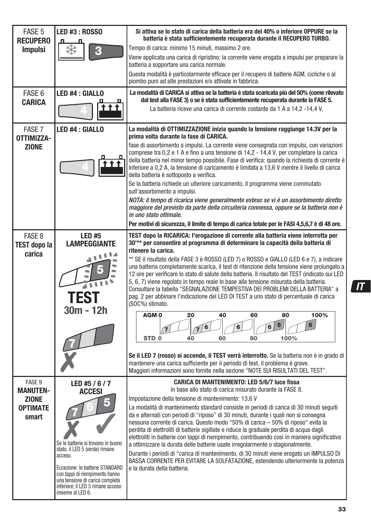| FASE <sub>5</sub><br><b>RECUPERO</b>     | LED #3 : ROSSO                                                                                                                                                                                                                                    | Si attiva se lo stato di carica della batteria era del 40% o inferiore OPPURE se la<br>batteria è stata sufficientemente recuperata durante il RECUPERO TURBO.                                                                                                                                                                                                                                                                                                                                                                                                                                                                                                                                                                                                                                                      |
|------------------------------------------|---------------------------------------------------------------------------------------------------------------------------------------------------------------------------------------------------------------------------------------------------|---------------------------------------------------------------------------------------------------------------------------------------------------------------------------------------------------------------------------------------------------------------------------------------------------------------------------------------------------------------------------------------------------------------------------------------------------------------------------------------------------------------------------------------------------------------------------------------------------------------------------------------------------------------------------------------------------------------------------------------------------------------------------------------------------------------------|
| <b>Impulsi</b>                           |                                                                                                                                                                                                                                                   | Tempo di carica: minimo 15 minuti, massimo 2 ore.<br>Viene applicata una carica di ripristino; la corrente viene erogata a impulsi per preparare la<br>batteria a sopportare una carica normale.                                                                                                                                                                                                                                                                                                                                                                                                                                                                                                                                                                                                                    |
|                                          |                                                                                                                                                                                                                                                   | Questa modalità è particolarmente efficace per il recupero di batterie AGM, cicliche o al<br>piombo puro ad alte prestazioni e/o attivate in fabbrica.                                                                                                                                                                                                                                                                                                                                                                                                                                                                                                                                                                                                                                                              |
| FASE 6<br><b>CARICA</b>                  | LED #4 : GIALLO                                                                                                                                                                                                                                   | La modalità di CARICA si attiva se la batteria è stata scaricata più del 50% (come rilevato<br>dal test alla FASE 3) o se è stata sufficientemente recuperata durante la FASE 5.                                                                                                                                                                                                                                                                                                                                                                                                                                                                                                                                                                                                                                    |
|                                          |                                                                                                                                                                                                                                                   | La batteria riceve una carica di corrente costante da 1 A a 14,2 -14,4 V.                                                                                                                                                                                                                                                                                                                                                                                                                                                                                                                                                                                                                                                                                                                                           |
| FASE 7<br>OTTIMIZZA-                     | LED #4 : GIALLO                                                                                                                                                                                                                                   | La modalità di OTTIMIZZAZIONE inizia quando la tensione raggiunge 14.3V per la<br>prima volta durante la fase di CARICA.                                                                                                                                                                                                                                                                                                                                                                                                                                                                                                                                                                                                                                                                                            |
| <b>ZIONE</b>                             |                                                                                                                                                                                                                                                   | fase di assorbimento a impulsi. La corrente viene consegnata con impulsi, con variazioni<br>comprese tra 0,2 e 1 A e fino a una tensione di 14,2 - 14,4 V, per completare la carica<br>della batteria nel minor tempo possibile. Fase di verifica: quando la richiesta di corrente è<br>inferiore a 0,2 A, la tensione di caricamento è limitata a 13,6 V mentre il livello di carica<br>della batteria è sottoposto a verifica.                                                                                                                                                                                                                                                                                                                                                                                    |
|                                          |                                                                                                                                                                                                                                                   | Se la batteria richiede un ulteriore caricamento, il programma viene commutato<br>sull'assorbimento a impulsi.                                                                                                                                                                                                                                                                                                                                                                                                                                                                                                                                                                                                                                                                                                      |
|                                          |                                                                                                                                                                                                                                                   | NOTA: il tempo di ricarica viene generalmente esteso se vi è un assorbimento diretto<br>maggiore del previsto da parte della circuiteria connessa, oppure se la batteria non è<br>in uno stato ottimale.                                                                                                                                                                                                                                                                                                                                                                                                                                                                                                                                                                                                            |
|                                          |                                                                                                                                                                                                                                                   | Per motivi di sicurezza, il limite di tempo di carica totale per le FASI 4,5,6,7 è di 48 ore.                                                                                                                                                                                                                                                                                                                                                                                                                                                                                                                                                                                                                                                                                                                       |
| FASE 8<br><b>TEST dopo la</b><br>carica  | <b>LED#5</b><br><b>LAMPEGGIANTE</b>                                                                                                                                                                                                               | TEST dopo la RICARICA: l'erogazione di corrente alla batteria viene interrotta per<br>30 <sup>**</sup> per consentire al programma di determinare la capacità della batteria di<br>ritenere la carica.                                                                                                                                                                                                                                                                                                                                                                                                                                                                                                                                                                                                              |
|                                          | TEST                                                                                                                                                                                                                                              | ** SE il risultato della FASE 3 è ROSSO (LED 7) o ROSSO e GIALLO (LED 6 e 7), a indicare<br>una batteria completamente scarica, il test di ritenzione della tensione viene prolungato a<br>12 ore per verificare lo stato di salute della batteria. Il risultato del TEST (indicato sui LED<br>5, 6, 7) viene regolato in tempo reale in base alla tensione misurata della batteria.<br>Consultare la tabella "SEGNALAZIONE TEMPESTIVA DEI PROBLEMI DELLA BATTERIA" a<br>pag. 2 per abbinare l'indicazione del LED DI TEST a uno stato di percentuale di carica<br>(SOC%) stimato.                                                                                                                                                                                                                                  |
|                                          | 30m - 12h                                                                                                                                                                                                                                         | AGM <sub>0</sub><br>100%<br>20<br>40<br>60<br>80<br>5<br>6<br>STD <sub>0</sub><br>60<br>100%<br>40<br>80                                                                                                                                                                                                                                                                                                                                                                                                                                                                                                                                                                                                                                                                                                            |
|                                          |                                                                                                                                                                                                                                                   | Se il LED 7 (rosso) si accende, il TEST verrà interrotto. Se la batteria non è in grado di<br>mantenere una carica sufficiente per il periodo di test, il problema è grave.<br>Maggiori informazioni sono fornite nella sezione "NOTE SUI RISULTATI DEL TEST".                                                                                                                                                                                                                                                                                                                                                                                                                                                                                                                                                      |
| FASE 9<br><b>MANUTEN-</b>                | LED #5 / 6 / 7<br>ACCESI                                                                                                                                                                                                                          | <b>CARICA DI MANTENIMENTO: LED 5/6/7 luce fissa</b><br>in base allo stato di carica misurato durante la FASE 8.                                                                                                                                                                                                                                                                                                                                                                                                                                                                                                                                                                                                                                                                                                     |
| <b>ZIONE</b><br><b>OPTIMATE</b><br>smart | Se le batterie si trovano in buono<br>stato, il LED 5 (verde) rimane<br>acceso.<br>Eccezione: le batterie STANDARD<br>con tappi di riempimento hanno<br>una tensione di carica completa<br>inferiore; il LED 5 rimane acceso<br>insieme al LED 6. | Impostazione della tensione di mantenimento: 13.6 V<br>La modalità di mantenimento standard consiste in periodi di carica di 30 minuti seguiti<br>da e alternati con periodi di "riposo" di 30 minuti, durante i quali non si consegna<br>nessuna corrente di carica. Questo modo "50% di carica – 50% di riposo" evita la<br>perdita di elettroliti di batterie sigillate e riduce la graduale perdita di acqua dagli<br>elettroliti in batterie con tappi di riempimento, contribuendo così in maniera significativa<br>a ottimizzare la durata delle batterie usate irregolarmente o stagionalmente.<br>Durante i periodi di "carica di mantenimento, di 30 minuti viene erogato un IMPULSO DI<br>BASSA CORRENTE PER EVITARE LA SOLFATAZIONE, estendendo ulteriormente la potenza<br>e la durata della batteria. |

**33**

 $\sqrt{1}$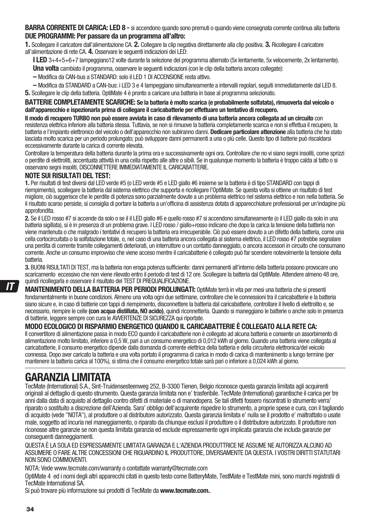**BARRA CORRENTE DI CARICA: LED 8 -** si accendono quando sono premuti o quando viene consegnata corrente continua alla batteria **DUE PROGRAMMI: Per passare da un programma all'altro:** 

**1.** Scollegare il caricatore dall'alimentazione CA. **2.** Collegare la clip negativa direttamente alla clip positiva. **3.** Ricollegare il caricatore all'alimentazione di rete CA. **4.** Osservare le seguenti indicazioni dei LED:

**I LED** 3+4+5+6+7 lampeggiano12 volte durante la selezione del programma alternato (5x lentamente, 5x velocemente, 2x lentamente).

**Una volta** cambiato il programma, osservare le seguenti indicazioni (con le clip della batteria ancora collegate):

- Modifica da CAN-bus a STANDARD: solo il LED 1 DI ACCENSIONE resta attivo.
- Modifica da STANDARD a CAN-bus: i LED 3 e 4 lampeggiano simultaneamente a intervalli regolari, seguiti immediatamente dal LED 8.
- **5.** Scollegare le clip della batteria. OptiMate 4 è pronto a caricare una batteria in base al programma selezionato.

#### **BATTERIE COMPLETAMENTE SCARICHE: Se la batteria è molto scarica (e probabilmente solfatata), rimuoverla dal veicolo o dall'apparecchio e ispezionarla prima di collegare il caricabatterie per effettuare un tentativo di recupero.**

**Il modo di recupero TURBO non può essere avviata in caso di rilevamento di una batteria ancora collegata ad un circuito** con resistenza elettrica inferiore alla batteria stessa. Tuttavia, se non si rimuove la batteria completamente scarica e non si effettua il recupero, la batteria e l'impianto elettronico del veicolo o dell'apparecchio non subiranno danni. **Dedicare particolare attenzione** alla batteria che ha stato lasciata molto scarica per un periodo prolungato; può sviluppare danni permanenti a una o più celle. Questo tipo di batterie può riscaldarsi eccessivamente durante la carica di corrente elevata.

Controllare la temperatura della batteria durante la prima ora e successivamente ogni ora. Controllare che no vi siano segni insoliti, come sprizzi o perdite di elettroliti, accentuata attività in una cella rispetto alle altre o sibili. Se in qualunque momento la batteria è troppo calda al tatto o si osservano segni insoliti, DISCONNETTERE IMMEDIATAMENTE IL CARICABATTERIE.

#### **NOTE SUI RISULTATI DEL TEST:**

**1.** Per risultati di test diversi dal LED verde #5 (o LED verde #5 e LED giallo #6 insieme se la batteria è di tipo STANDARD con tappi di riempimento), scollegare la batteria dal sistema elettrico che supporta e ricollegare l'OptiMate. Se questa volta si ottiene un risultato di test migliore, ciò suggerisce che le perdite di potenza sono parzialmente dovute a un problema elettrico nel sistema elettrico e non nella batteria. Se il risultato scarso persiste, si consiglia di portare la batteria a un'officina di assistenza dotata di apparecchiature professionali per un'indagine più approfondita.

**2.** Se il LED rosso #7 si accende da solo o se il il LED giallo #6 e quello rosso #7 si accendono simultaneamente (o il LED giallo da solo in una batteria sigillata), si è in presenza di un problema grave. I LED rosso / giallo+rosso indicano che dopo la carica la tensione della batteria non viene mantenuta o che malgrado i tentativi di recupero la batteria era irrecuperabile. Ciò può essere dovuto a un difetto della batteria, come una cella cortocircuitata o la solfatazione totale, o, nel caso di una batteria ancora collegata al sistema elettrico, il LED rosso #7 potrebbe segnalare una perdita di corrente tramite collegamenti deteriorati, un interruttore o un contatto danneggiato, o ancora accessori in circuito che consumano corrente. Anche un consumo improvviso che viene acceso mentre il caricabatterie è collegato può far scendere notevolmente la tensione della batteria.

**3.** BUONI RISULTATI DI TEST, ma la batteria non eroga potenza sufficiente: danni permanenti all'interno della batteria possono provocare uno scaricamento eccessivo che non viene rilevato entro il periodo di test di 12 ore. Scollegare la batteria dal OptiMate. Attendere almeno 48 ore, quindi ricollegarla e osservare il risultato del TEST DI PREQUALIFICAZIONE.

**MANTENIMENTO DELLA BATTERIA PER PERIODI PROLUNGATI:** OptiMate terrà in vita per mesi una batteria che si presenti fondamentalmente in buone condizioni. Almeno una volta ogni due settimane, controllare che le connessioni tra il caricabatterie e la batteria siano sicure e, in caso di batterie con tappi di riempimento, disconnettere la batteria dal caricabatterie, controllare il livello di elettrolito e, se necessario, riempire le celle **(con acqua distillata, NO acido)**, quindi riconnetterla. Quando si maneggiano le batterie o anche solo in presenza di batterie, leggere sempre con cura le AVVERTENZE DI SICUREZZA qui riportate.

#### **MODO ECOLOGICO DI RISPARMIO ENERGETICO QUANDO IL CARICABATTERIE È COLLEGATO ALLA RETE CA:**

Il convertitore di alimentazione passa in modo ECO quando il caricabatterie non è collegato ad alcuna batteria e consente un assorbimento di alimentazione molto limitato, inferiore a 0,5 W, pari a un consumo energetico di 0,012 kWh al giorno. Quando una batteria viene collegata al caricabatterie, il consumo energetico dipende dalla domanda di corrente elettrica della batteria e della circuiteria elettronica/del veicolo connessa. Dopo aver caricato la batteria e una volta portato il programma di carica in modo di carica di mantenimento a lungo termine (per mantenere la batteria carica al 100%), si stima che il consumo energetico totale sarà pari o inferiore a 0,024 kWh al giorno.

## **GARANZIA LIMITATA**

TecMate (International) S.A., Sint-Truidensesteenweg 252, B-3300 Tienen, Belgio riconosce questa garanzia limitata agli acquirenti originali al dettaglio di questo strumento. Questa garanzia limitata non e' trasferibile. TecMate (International) garantische il carica per tre anni dalla data di acquisto al dettaglio contro difetti di materiale o di manodopera. Se tali difetti fossero riscontrati lo strumento verra' riparato o sostituito a discrezione dell'Azienda. Sara' obbligo dell'acquirente rispedire lo strumento, a proprie spese e cura, con il tagliando di acquisto (vede "NOTA"), al produttore o al distributore autorizzato. Questa garanzia limitata e' nulla se il prodotto e' maltrattato o usate male, soggetto ad incuria nel maneggiamento, o riparato da chiunque esclusi il produttore o il distributore autorizzato. Il produttore non riconosse altre garanzie se non questa limitata garanzia ed esclude espressamente ogni implicata garanzia che includa garanzie per conseguenti danneggiamenti.

QUESTA È LA SOLA ED ESPRESSAMENTE LIMITATA GARANZIA E L'AZIENDA PRODUTTRICE NE ASSUME NE AUTORIZZA ALCUNO AD ASSUMERE O FARE ALTRE CONCESSIONI CHE RIGUARDINO IL PRODUTTORE, DIVERSAMENTE DA QUESTA. I VOSTRI DIRITTI STATUTARI NON SONO COMMOVENTI.

NOTA: Vede www.tecmate.com/warranty o contattate warranty@tecmate.com

OptiMate 4 ed i nomi degli altri apparecchi citati in questo testo come BatteryMate, TestMate e TestMate mini, sono marchi registratii di TecMate International SA.

Si può trovare più informazione sui prodotti di TecMate da **www.tecmate.com.**.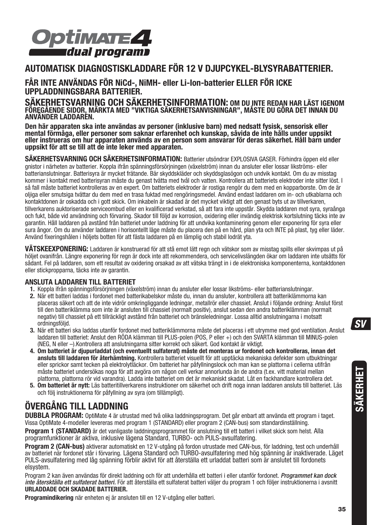

### **AUTOMATISK DIAGNOSTISKLADDARE FÖR 12 V DJUPCYKEL-BLYSYRABATTERIER.**

**FÅR INTE ANVÄNDAS FÖR NiCd-, NiMH- eller Li-Ion-batterier ELLER FÖR ICKE** 

**UPPLADDNINGSBARA BATTERIER. SÄKERHETSVARNING OCH SÄKERHETSINFORMATION: OM DU INTE REDAN HAR LÄST IGENOM FÖREGÅENDE SIDOR, MÄRKTA MED "VIKTIGA SÄKERHETSANVISNINGAR", MÅSTE DU GÖRA DET INNAN DU ANVÄNDER LADDAREN.**

**Den här apparaten ska inte användas av personer (inklusive barn) med nedsatt fysisk, sensorisk eller mental förmåga, eller personer som saknar erfarenhet och kunskap, såvida de inte hålls under uppsikt eller instrueras om hur apparaten används av en person som ansvarar för deras säkerhet. Håll barn under uppsikt för att se till att de inte leker med apparaten.** 

**SÄKERHETSVARNING OCH SÄKERHETSINFORMATION:** Batterier utsöndrar EXPLOSIVA GASER. Förhindra öppen eld eller gnistor i närheten av batterier. Koppla ifrån spänningsförsörjningen (växelström) innan du ansluter eller lossar likströms- eller batterianslutningar. Batterisyra är mycket frätande. Bär skyddskläder och skyddsglasögon och undvik kontakt. Om du av misstag kommer i kontakt med batterisyran måste du genast tvätta med tvål och vatten. Kontrollera att batteriets elektroder inte sitter löst. I så fall måste batteriet kontrolleras av en expert. Om batteriets elektroder är rostiga rengör du dem med en kopparborste. Om de är oljiga eller smutsiga tvättar du dem med en trasa fuktad med rengöringsmedel. Använd endast laddaren om in- och utkablarna och kontaktdonen är oskadda och i gott skick. Om inkabeln är skadad är det mycket viktigt att den genast byts ut av tillverkaren, tillverkarens auktoriserade serviceombud eller en kvalificerad verkstad, så att fara inte uppstår. Skydda laddaren mot syra, syraånga och fukt, både vid användning och förvaring. Skador till följd av korrosion, oxidering eller invändig elektrisk kortslutning täcks inte av garantin. Håll laddaren på avstånd från batteriet under laddning för att undvika kontaminering genom eller exponering för syra eller sura ångor. Om du använder laddaren i horisontellt läge måste du placera den på en hård, plan yta och INTE på plast, tyg eller läder. Använd fixeringshålen i höljets botten för att fästa laddaren på en lämplig och stabil lodrät yta.

**VÄTSKEEXPONERING:** Laddaren är konstruerad för att stå emot lätt regn och vätskor som av misstag spills eller skvimpas ut på höljet ovanifrån. Längre exponering för regn är dock inte att rekommendera, och servicelivslängden ökar om laddaren inte utsätts för sådant. Fel på laddaren, som ett resultat av oxidering orsakad av att vätska trängt in i de elektroniska komponenterna, kontaktdonen eller stickpropparna, täcks inte av garantin.

#### **ANSLUTA LADDAREN TILL BATTERIET**

- **1.** Koppla ifrån spänningsförsörjningen (växelström) innan du ansluter eller lossar likströms- eller batterianslutningar.
- **2.** När ett batteri laddas i fordonet med batterikabelskor måste du, innan du ansluter, kontrollera att batteriklämmorna kan placeras säkert och att de inte vidrör omkringliggande ledningar, metallrör eller chassiet. Anslut i följande ordning: Anslut först till den batteriklämma som inte är ansluten till chassiet (normalt positiv), anslut sedan den andra batteriklämman (normalt negativ) till chassiet på ett tillräckligt avstånd från batteriet och bränsleledningar. Lossa alltid anslutningarna i motsatt ordningsföljd.
- **3.** När ett batteri ska laddas utanför fordonet med batteriklämmorna måste det placeras i ett utrymme med god ventilation. Anslut laddaren till batteriet: Anslut den RÖDA klämman till PLUS-polen (POS, P eller +) och den SVARTA klämman till MINUS-polen (NEG, N eller –).Kontrollera att anslutningarna sitter korrekt och säkert. God kontakt är viktigt.
- **4. Om batteriet är djupurladdat (och eventuellt sulfaterat) måste det monteras ur fordonet och kontrolleras, innan det ansluts till laddaren för återhämtning.** Kontrollera batteriet visuellt för att upptäcka mekaniska defekter som utbuktningar eller sprickor samt tecken på elektrolytläckor. Om batteriet har påfyllningslock och man kan se plattorna i cellerna utifrån måste batteriet undersökas noga för att avgöra om någon cell verkar annorlunda än de andra (t.ex. vitt material mellan plattorna, plattorna rör vid varandra). Ladda inte batteriet om det är mekaniskt skadat. Låt en fackhandlare kontrollera det.
- **5. Om batteriet är nytt:** Läs batteritillverkarens instruktioner om säkerhet och drift noga innan laddaren ansluts till batteriet. Läs och följ instruktionerna för påfyllning av syra (om tillämpligt).

## **ÖVERGÅNG TILL LADDNING**

**DUBBLA PROGRAM:** OptiMate 4 är utrustad med två olika laddningsprogram. Det går enbart att använda ett program i taget. Vissa OptiMate 4-modeller levereras med program 1 (STANDARD) eller program 2 (CAN-bus) som standardinställning.

Program 1 (STANDARD) är det vanligaste laddningsprogrammet för anslutning till ett batteri i vilket skick som helst. Alla programfunktioner är aktiva, inklusive lägena Standard, TURBO- och PULS-avsulfatering.

**Program 2 (CAN-bus)** aktiverar automatiskt en 12 V-utgång på fordon utrustade med CAN-bus, för laddning, test och underhåll av batteriet när fordonet står i förvaring. Lägena Standard och TURBO-avsulfatering med hög spänning är inaktiverade. Läget PULS-avsulfatering med låg spänning förblir aktivt för att återställa ett urladdat batteri som är anslutet till fordonets elsystem.

Program 2 kan även användas för direkt laddning och för att underhålla ett batteri i eller utanför fordonet. Programmet kan dock inte återsktälla ett sulfaterat batteri. För att återställa ett sulfaterat batteri väljer du program 1 och följer instruktionerna i avsnitt **URLADDADE OCH SKADADE BATTERIER.**

**Programindikering** när enheten ej är ansluten till en 12 V-utgång eller batteri.

 $\mathsf{S} \mathsf{V}$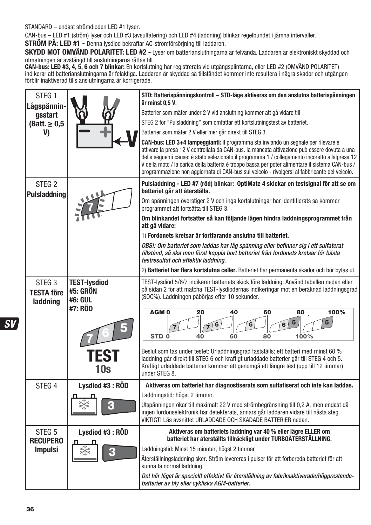STANDARD – endast strömdioden LED #1 lyser.

CAN-bus – LED #1 (ström) lyser och LED #3 (avsulfatering) och LED #4 (laddning) blinkar regelbundet i jämna intervaller.

**STRÖM PÅ: LED #1 -** Denna lysdiod bekräftar AC-strömförsörjning till laddaren.

**SKYDD MOT OMVÄND POLARITET: LED #2 -** Lyser om batterianslutningarna är felvända. Laddaren är elektroniskt skyddad och utmatningen är avstängd till anslutningarna rättas till.

**CAN-bus: LED #3, 4, 5, 6 och 7 blinkar:** En kortslutning har registrerats vid utgångsplintarna, eller LED #2 (OMVAND POLARITET)<br>indikerar att batterianslutningarna är felaktiga. Laddaren är skyddad så tillståndet kommer i

| STEG <sub>1</sub><br>Lågspännin-                   |                                            | STD: Batterispänningskontroll – STD-läge aktiveras om den anslutna batterispänningen<br>är minst 0.5 V.                                                                                                                                                                                                                                                                                                                                                                                     |
|----------------------------------------------------|--------------------------------------------|---------------------------------------------------------------------------------------------------------------------------------------------------------------------------------------------------------------------------------------------------------------------------------------------------------------------------------------------------------------------------------------------------------------------------------------------------------------------------------------------|
| qsstart                                            |                                            | Batterier som mäter under 2 V vid anslutning kommer att gå vidare till                                                                                                                                                                                                                                                                                                                                                                                                                      |
| $(Batt. \geq 0.5$                                  |                                            | STEG 2 för "Pulsladdning" som omfattar ett kortslutningstest av batteriet.                                                                                                                                                                                                                                                                                                                                                                                                                  |
| V)                                                 |                                            | Batterier som mäter 2 V eller mer går direkt till STEG 3.                                                                                                                                                                                                                                                                                                                                                                                                                                   |
|                                                    |                                            | CAN-bus: LED 3+4 lampeggianti: il programma sta inviando un segnale per rilevare e<br>attivare la presa 12 V controllata da CAN-bus. la mancata attivazione può essere dovuta a una<br>delle sequenti cause: è stato selezionato il programma 1 / collegamento incoretto allalpresa 12<br>V della moto / la carica della batteria è troppo bassa per poter alimentare il sistema CAN-bus /<br>programmazione non aggiornata di CAN-bus sul veicolo - rivolgersi al fabbricante del veicolo. |
| STEG <sub>2</sub><br><b>Pulsladdning</b>           |                                            | Pulsladdning - LED #7 (röd) blinkar: OptiMate 4 skickar en testsignal för att se om<br>batteriet går att återställa.                                                                                                                                                                                                                                                                                                                                                                        |
|                                                    |                                            | Om spänningen överstiger 2 V och inga kortslutningar har identifierats så kommer<br>programmet att fortsätta till STEG 3.                                                                                                                                                                                                                                                                                                                                                                   |
|                                                    |                                            | Om blinkandet fortsätter så kan följande lägen hindra laddningsprogrammet från<br>att gå vidare:                                                                                                                                                                                                                                                                                                                                                                                            |
|                                                    |                                            | 1) Fordonets kretsar är fortfarande anslutna till batteriet.                                                                                                                                                                                                                                                                                                                                                                                                                                |
|                                                    |                                            | OBS!: Om batteriet som laddas har låg spänning eller befinner sig i ett sulfaterat<br>tillstånd, så ska man först koppla bort batteriet från fordonets kretsar för bästa<br>testresultat och effektiv laddning.                                                                                                                                                                                                                                                                             |
|                                                    |                                            | 2) Batteriet har flera kortslutna celler. Batteriet har permanenta skador och bör bytas ut.                                                                                                                                                                                                                                                                                                                                                                                                 |
| STEG <sub>3</sub><br><b>TESTA före</b><br>laddning | <b>TEST-lysdiod</b><br>#5: GRÖN<br>#6: GUL | TEST-lysdiod 5/6/7 indikerar batteriets skick före laddning. Använd tabellen nedan eller<br>på sidan 2 för att matcha TEST-lysdiodernas indikeringar mot en beräknad laddningsgrad<br>(SOC%). Laddningen påbörjas efter 10 sekunder.                                                                                                                                                                                                                                                        |
|                                                    | #7: RÖD                                    | AGM <sub>0</sub><br>20<br>40<br>100%<br>60<br>80<br>5<br>6<br>100%<br>STD <sub>0</sub><br>40<br>60<br>80                                                                                                                                                                                                                                                                                                                                                                                    |
|                                                    | TEST<br>10s                                | Beslut som tas under testet: Urladdningsgrad fastställs; ett batteri med minst 60 %<br>laddning går direkt till STEG 6 och kraftigt urladdade batterier går till STEG 4 och 5.<br>Kraftigt urladdade batterier kommer att genomgå ett längre test (upp till 12 timmar)<br>under STEG 8.                                                                                                                                                                                                     |
| STEG <sub>4</sub>                                  | Lysdiod #3: RÖD                            | Aktiveras om batteriet har diagnostiserats som sulfatiserat och inte kan laddas.                                                                                                                                                                                                                                                                                                                                                                                                            |
|                                                    |                                            | Laddningstid: högst 2 timmar.                                                                                                                                                                                                                                                                                                                                                                                                                                                               |
|                                                    |                                            | Utspänningen ökar till maximalt 22 V med strömbegränsning till 0,2 A, men endast då<br>ingen fordonselektronik har detekterats, annars går laddaren vidare till nästa steg.<br>VIKTIGT! Läs avsnittet URLADDADE OCH SKADADE BATTERIER nedan.                                                                                                                                                                                                                                                |
| STEG <sub>5</sub><br><b>RECUPERO</b>               | Lysdiod #3: RÖD                            | Aktiveras om batteriets laddning var 40 % eller lägre ELLER om<br>batteriet har återställts tillräckligt under TURBOÅTERSTÄLLNING.                                                                                                                                                                                                                                                                                                                                                          |
| <b>Impulsi</b>                                     |                                            | Laddningstid: Minst 15 minuter, högst 2 timmar                                                                                                                                                                                                                                                                                                                                                                                                                                              |
|                                                    |                                            | Återställningsladdning sker. Ström levereras i pulser för att förbereda batteriet för att<br>kunna ta normal laddning.                                                                                                                                                                                                                                                                                                                                                                      |
|                                                    |                                            | Det här läget är speciellt effektivt för återställning av fabriksaktiverade/högprestanda-<br>batterier av bly eller cykliska AGM-batterier.                                                                                                                                                                                                                                                                                                                                                 |

 $s$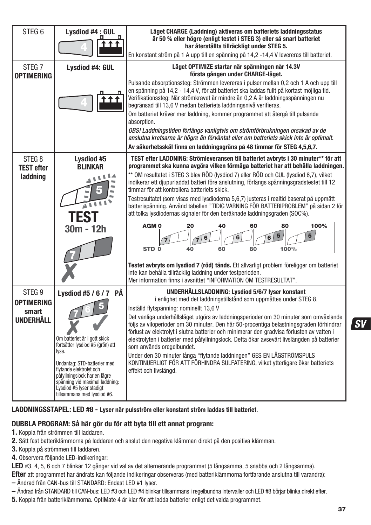| STEG <sub>6</sub>                               | Lysdiod #4 : GUL                                                                                                                                                                    | Läget CHARGE (Laddning) aktiveras om batteriets laddningsstatus<br>är 50 % eller högre (enligt testet i STEG 3) eller så snart batteriet<br>har återställts tillräckligt under STEG 5.                                                                                                                                                                                                                                                                                                                                                                                                                                                                                                    |
|-------------------------------------------------|-------------------------------------------------------------------------------------------------------------------------------------------------------------------------------------|-------------------------------------------------------------------------------------------------------------------------------------------------------------------------------------------------------------------------------------------------------------------------------------------------------------------------------------------------------------------------------------------------------------------------------------------------------------------------------------------------------------------------------------------------------------------------------------------------------------------------------------------------------------------------------------------|
|                                                 |                                                                                                                                                                                     | En konstant ström på 1 A upp till en spänning på 14,2 -14,4 V levereras till batteriet.                                                                                                                                                                                                                                                                                                                                                                                                                                                                                                                                                                                                   |
| STEG <sub>7</sub><br><b>OPTIMERING</b>          | Lysdiod #4: GUL                                                                                                                                                                     | Läget OPTIMIZE startar när spänningen når 14.3V<br>första gången under CHARGE-läget.                                                                                                                                                                                                                                                                                                                                                                                                                                                                                                                                                                                                      |
|                                                 |                                                                                                                                                                                     | Pulsande absorptionssteg: Strömmen levereras i pulser mellan 0,2 och 1 A och upp till<br>en spänning på 14,2 - 14,4 V, för att batteriet ska laddas fullt på kortast möjliga tid.<br>Verifikationssteg: När strömkravet är mindre än 0,2 A är laddningsspänningen nu<br>begränsad till 13,6 V medan batteriets laddningsnivå verifieras.<br>Om batteriet kräver mer laddning, kommer programmet att återgå till pulsande<br>absorption.<br>OBS! Laddningstiden förlängs vanligtvis om strömförbrukningen orsakad av de<br>anslutna kretsarna är högre än förväntat eller om batteriets skick inte är optimalt.<br>Av säkerhetsskäl finns en laddningsgräns på 48 timmar för STEG 4,5,6,7. |
| STEG <sub>8</sub><br><b>TEST efter</b>          | Lysdiod #5<br><b>BLINKAR</b>                                                                                                                                                        | TEST efter LADDNING: Strömleveransen till batteriet avbryts i 30 minuter** för att<br>programmet ska kunna avgöra vilken förmåga batteriet har att behålla laddningen.                                                                                                                                                                                                                                                                                                                                                                                                                                                                                                                    |
| laddning                                        | ٦<br>ا ا ا<br>≟                                                                                                                                                                     | ** OM resultatet i STEG 3 blev RÖD (lysdiod 7) eller RÖD och GUL (lysdiod 6,7), vilket<br>indikerar ett djupurladdat batteri före anslutning, förlängs spänningsgradstestet till 12<br>timmar för att kontrollera batteriets skick.<br>Testresultatet (som visas med lysdioderna 5,6,7) justeras i realtid baserat på uppmätt<br>batterispänning. Använd tabellen "TIDIG VARNING FÖR BATTERIPROBLEM" på sidan 2 för<br>att tolka lysdiodernas signaler för den beräknade laddningsgraden (SOC%).                                                                                                                                                                                          |
|                                                 | 30m - 12h                                                                                                                                                                           | 20<br>40<br>60<br>100%<br>AGM <sub>0</sub><br>80<br>5<br>6<br>STD <sub>0</sub><br>100%<br>40<br>80<br>60                                                                                                                                                                                                                                                                                                                                                                                                                                                                                                                                                                                  |
|                                                 |                                                                                                                                                                                     | Testet avbryts om lysdiod 7 (röd) tänds. Ett allvarligt problem föreligger om batteriet<br>inte kan behålla tillräcklig laddning under testperioden.<br>Mer information finns i avsnittet "INFORMATION OM TESTRESULTAT".                                                                                                                                                                                                                                                                                                                                                                                                                                                                  |
| STEG <sub>9</sub><br><b>OPTIMERING</b><br>smart | Lysdiod #5 / 6 / 7 PÅ                                                                                                                                                               | UNDERHÅLLSLADDNING: Lysdiod 5/6/7 lyser konstant<br>i enlighet med det laddningstillstånd som uppmättes under STEG 8.<br>Inställd flytspänning: nominellt 13,6 V                                                                                                                                                                                                                                                                                                                                                                                                                                                                                                                          |
| UNDERHÅLL                                       | Om batteriet är i gott skick<br>fortsätter lysdiod #5 (grön) att<br>lysa.                                                                                                           | Det vanliga underhållsläget utgörs av laddningsperioder om 30 minuter som omväxlande<br>följs av viloperioder om 30 minuter. Den här 50-procentiga belastningsgraden förhindrar<br>förlust av elektrolyt i slutna batterier och minimerar den gradvisa förlusten av vatten i<br>elektrolyten i batterier med påfyllningslock. Detta ökar avsevärt livslängden på batterier<br>som används oregelbundet.                                                                                                                                                                                                                                                                                   |
|                                                 | Undantag: STD-batterier med<br>flytande elektrolyt och<br>påfyllningslock har en lägre<br>spänning vid maximal laddning:<br>Lysdiod #5 lyser stadigt<br>tillsammans med lysdiod #6. | Under den 30 minuter långa "flytande laddningen" GES EN LÅGSTRÖMSPULS<br>KONTINUERLIGT FÖR ATT FÖRHINDRA SULFATERING, vilket ytterligare ökar batteriets<br>effekt och livslängd.                                                                                                                                                                                                                                                                                                                                                                                                                                                                                                         |

#### **LADDNINGSSTAPEL: LED #8 - Lyser när pulsström eller konstant ström laddas till batteriet.**

### **DUBBLA PROGRAM: Så här gör du för att byta till ett annat program:**

- **1.** Koppla från strömmen till laddaren.
- **2.** Sätt fast batteriklämmorna på laddaren och anslut den negativa klämman direkt på den positiva klämman.
- **3.** Koppla på strömmen till laddaren.
- **4.** Observera följande LED-indikeringar:

**LED** #3, 4, 5, 6 och 7 blinkar 12 gånger vid val av det alternerande programmet (5 långsamma, 5 snabba och 2 långsamma).

**Efter** att programmet har ändrats kan följande indikeringar observeras (med batteriklämmorna fortfarande anslutna till varandra): **–** Ändrad från CAN-bus till STANDARD: Endast LED #1 lyser.

**–** Ändrad från STANDARD till CAN-bus: LED #3 och LED #4 blinkar tillsammans i regelbundna intervaller och LED #8 börjar blinka direkt efter.

**5.** Koppla från batteriklämmorna. OptiMate 4 är klar för att ladda batterier enligt det valda programmet.

 $s$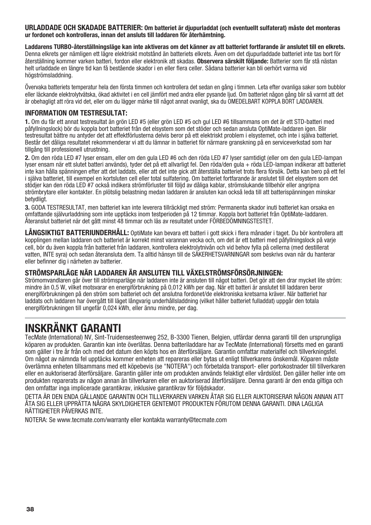**URLADDADE OCH SKADADE BATTERIER: Om batteriet är djupurladdat (och eventuellt sulfaterat) måste det monteras ur fordonet och kontrolleras, innan det ansluts till laddaren för återhämtning.** 

**Laddarens TURBO-återställningsläge kan inte aktiveras om det känner av att batteriet fortfarande är anslutet till en elkrets.** Denna elkrets ger nämligen ett lägre elektriskt motstånd än batteriets elkrets. Även om det djupurladdade batteriet inte tas bort för återställning kommer varken batteri, fordon eller elektronik att skadas. **Observera särskilt följande:** Batterier som får stå nästan helt urladdade en längre tid kan få bestående skador i en eller flera celler. Sådana batterier kan bli oerhört varma vid högströmsladdning.

Övervaka batteriets temperatur hela den första timmen och kontrollera det sedan en gång i timmen. Leta efter ovanliga saker som bubblor eller läckande elektrolytvätska, ökad aktivitet i en cell jämfört med andra eller pysande ljud. Om batteriet någon gång blir så varmt att det är obehagligt att röra vid det, eller om du lägger märke till något annat ovanligt, ska du OMEDELBART KOPPLA BORT LADDAREN.

#### **INFORMATION OM TESTRESULTAT:**

**1.** Om du får ett annat testresultat än grön LED #5 (eller grön LED #5 och gul LED #6 tillsammans om det är ett STD-batteri med påfyllningslock) bör du koppla bort batteriet från det elsystem som det stöder och sedan ansluta OptiMate-laddaren igen. Blir testresultat bättre nu antyder det att effektförlusterna delvis beror på ett elektriskt problem i elsystemet, och inte i själva batteriet. Består det dåliga resultatet rekommenderar vi att du lämnar in batteriet för närmare granskning på en serviceverkstad som har tillgång till professionell utrustning.

**2.** Om den röda LED #7 lyser ensam, eller om den gula LED #6 och den röda LED #7 lyser samtidigt (eller om den gula LED-lampan lyser ensam när ett slutet batteri används), tyder det på ett allvarligt fel. Den röda/den gula + röda LED-lampan indikerar att batteriet inte kan hålla spänningen efter att det laddats, eller att det inte gick att återställa batteriet trots flera försök. Detta kan bero på ett fel i själva batteriet, till exempel en kortsluten cell eller total sulfatering. Om batteriet fortfarande är anslutet till det elsystem som det stödjer kan den röda LED #7 också indikera strömförluster till följd av dåliga kablar, strömslukande tillbehör eller angripna strömbrytare eller kontakter. En plötslig belastning medan laddaren är ansluten kan också leda till att batterispänningen minskar betydligt.

**3.** GODA TESTRESULTAT, men batteriet kan inte leverera tillräckligt med ström: Permanenta skador inuti batteriet kan orsaka en omfattande självurladdning som inte upptäcks inom testperioden på 12 timmar. Koppla bort batteriet från OptiMate-laddaren. Återanslut batteriet när det gått minst 48 timmar och läs av resultatet under FÖRBEDÖMNINGSTESTET.

LÅNGSIKTIGT BATTERIUNDERHÅLL: OptiMate kan bevara ett batteri i gott skick i flera månader i taget. Du bör kontrollera att kopplingen mellan laddaren och batteriet är korrekt minst varannan vecka och, om det är ett batteri med påfyllningslock på varje cell, bör du även koppla från batteriet från laddaren, kontrollera elektrolytnivån och vid behov fylla på cellerna (med destillerat vatten, INTE syra) och sedan återansluta dem. Ta alltid hänsyn till de SÄKERHETSVARNINGAR som beskrivs ovan när du hanterar eller befinner dig i närheten av batterier.

#### **STRÖMSPARLÄGE NÄR LADDAREN ÄR ANSLUTEN TILL VÄXELSTRÖMSFÖRSÖRJNINGEN:**

Strömomvandlaren går över till strömsparläge när laddaren inte är ansluten till något batteri. Det gör att den drar mycket lite ström: mindre än 0,5 W, vilket motsvarar en energiförbrukning på 0,012 kWh per dag. När ett batteri är anslutet till laddaren beror energiförbrukningen på den ström som batteriet och det anslutna fordonet/de elektroniska kretsarna kräver. När batteriet har laddats och laddaren har övergått till läget långvarig underhållsladdning (vilket håller batteriet fulladdat) uppgår den totala energiförbrukningen till ungefär 0,024 kWh, eller ännu mindre, per dag.

## **INSKRÄNKT GARANTI**

TecMate (International) NV, Sint-Truidensesteenweg 252, B-3300 Tienen, Belgien, utfärdar denna garanti till den ursprungliga köparen av produkten. Garantin kan inte överlåtas. Denna batteriladdare har av TecMate (International) försetts med en garanti som gäller i tre år från och med det datum den köpts hos en återförsäljare. Garantin omfattar materialfel och tillverkningsfel. Om något av nämnda fel upptäcks kommer enheten att repareras eller bytas ut enligt tillverkarens önskemål. Köparen måste överlämna enheten tillsammans med ett köpebevis (se "NOTERA") och förbetalda transport- eller portokostnader till tillverkaren eller en auktoriserad återförsäljare. Garantin gäller inte om produkten används felaktigt eller vårdslöst. Den gäller heller inte om produkten reparerats av någon annan än tillverkaren eller en auktoriserad återförsäljare. Denna garanti är den enda giltiga och den omfattar inga implicerade garantikrav, inklusive garantikrav för följdskador.

DETTA ÄR DEN ENDA GÄLLANDE GARANTIN OCH TILLVERKAREN VARKEN ÅTAR SIG ELLER AUKTORISERAR NÅGON ANNAN ATT ÅTA SIG ELLER UPPRÄTTA NÅGRA SKYLDIGHETER GENTEMOT PRODUKTEN FÖRUTOM DENNA GARANTI. DINA LAGLIGA RÄTTIGHETER PÅVERKAS INTE.

NOTERA: Se www.tecmate.com/warranty eller kontakta warranty@tecmate.com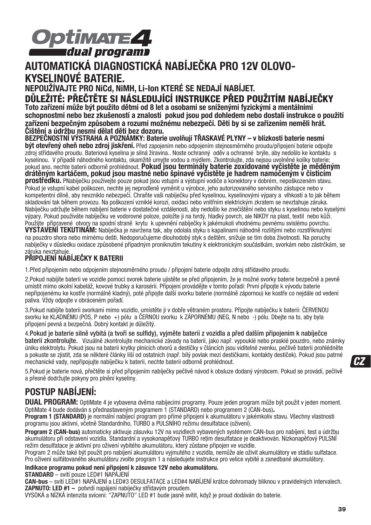

## **AUTOMATICKÁ DIAGNOSTICKÁ NABÍJEČKA PRO 12V OLOVO-KYSELINOVÉ BATERIE.**

**NEPOUŽÍVAJTE PRO NiCd, NiMH, Li-Ion KTERÉ SE NEDAJÍ NABÍJET.** 

**DŮLEŽITÉ: PŘEČTĚTE SI NÁSLEDUJÍCÍ INSTRUKCE PŘED POUŽITÍM NABÍJEČKY Toto zařízení může být použito dětmi od 8 let a osobami se sníženými fyzickými a mentálními schopnostmi nebo bez zkušeností a znalostí pokud jsou pod dohledem nebo dostali instrukce o použití** 

**zařízení bezpečným způsobem a rozumí možnému nebezpečí. Děti by si se zařízením neměli hrát. Čištění a údržbu nesmí dělat děti bez dozoru. BEZPEČNOSTNÍ VÝSTRAHA A POZNÁMKY: Baterie uvolňují TŘASKAVÉ PLYNY – v blízkosti baterie nesmí** 

**být otevřený oheň nebo zdroj jiskření.** Před zapojením nebo odpojením stejnosměrného proudu/připojení baterie odpojte zdroj střídavého proudu. Bateriová kyselina je silná žíravina.. Noste ochranný oděv a ochranné brýle, aby nedošlo ke kontaktu s kyselinou. V případě náhodného kontaktu, okamžitě umyjte vodou a mýdlem. Zkontrolujte, zda nejsou uvolněné kolíky baterie;<br>pokud ano, nechte baterii odborně prohlédnout. Pokud jsou terminály baterie zoxidované vyčistěte je pokud ano, nechte baterii odborně prohlédnout. **Pokud jsou terminály baterie zoxidované vyčistěte je měděným drátěným kartáčem, pokud jsou mastné nebo špinavé vyčistěte je hadrem namočeným v čisticím prostředku.** PNabíječku používejte pouze pokud jsou vstupní a výstupní vodiče a konektory v dobrém, nepoškozeném stavu. Pokud je vstupní kabel poškozen, nechte jej neprodleně vyměnit u výrobce, jeho autorizovaného servisního zástupce nebo v kompetentní dílně, aby nevzniklo nebezpečí. Chraňte vaši nabíječku před kyselinou, kyselinovými výpary a vlhkostí a to jak během skladování tak během provozu. Na poškození vzniklé korozí, oxidací nebo vnitřním elektrickým zkratem se nevztahuje záruka. Nabíječku udržujte během nabíjení baterie v dostatečné vzdálenosti, aby nedošlo ke znečištění nebo styku s kyselinou nebo kyselými výpary. Pokud používáte nabíječku ve vodorovné poloze, položte ji na tvrdý, hladký povrch, ale NIKDY na plast, textil nebo kůži. Použijte připravené otvory na spodní straně krytu k upevnění nabíječky k jakémukoli vhodnému pevnému svislému povrchu. **VYSTAVENÍ TEKUTINÁM:** Nabíječka je navržena tak, aby odolala styku s kapalinami náhodně rozlitými nebo rozstříknutými na pouzdro shora nebo mírnému dešti. Nedoporučujeme dlouhodobý styk s deštěm, snižuje se tím doba životnosti. Na poruchy nabíječky v důsledku oxidace způsobené případným proniknutím tekutiny k elektronickým součástkám, svorkám nebo zástrčkám, se záruka nevztahuje.

#### **PŘIPOJENÍ NABÍJEČKY K BATERII**

1.Před připojením nebo odpojením stejnosměrného proudu / připojení baterie odpojte zdroj střídavého proudu.

2.Pokud nabíjíte baterii ve vozidle pomocí svorek baterie ujistěte se před připojením, že je možné svorky baterie bezpečně a pevně umístit mimo okolní kabeláž, kovové trubky a karosérii. Připojení provádějte v tomto pořadí: První připojte k vývodu baterie nepřipojenému ke kostře (normálně kladný), poté připojte další svorku baterie (normálně zápornou) ke kostře co nejdále od vedení paliva. Vždy odpojte v obráceném pořadí.

3.Pokud nabíjíte baterii svorkami mimo vozidlo, umístěte ji v dobře větraném prostoru. Připojte nabíječku k baterii: ČERVENOU svorku ke KLADNÉMU (POS, P nebo +) pólu a ČERNOU svorku k ZÁPORNÉMU (NEG, N nebo -) pólu. Dbejte na to, aby byla připojení pevná a bezpečná. Dobrý kontakt je důležitý.

4.Pokud je baterie silně vybitá (a tvoří se sulfidy), vyjměte baterii z vozidla a před dalším připojením k nabíječce baterii zkontrolujte. Vizuálně zkontrolujte mechanické závady na baterii, jako např. vypouklé nebo prasklé pouzdro, nebo známky úniku elektrolytu. Pokud jsou na baterii krytky plnicích otvorů a destičky v článcích jsou viditelné zvenku, pečlivě baterii prohlédněte a pokuste se zjistit, zda se některé články liší od ostatních (např. bílý povlak mezi destičkami, kontakty destiček). Pokud jsou patrné mechanické vady, nepřipojujte nabíječku k baterii, nechte baterii odborně prohlédnout.

5.Pokud je baterie nová, přečtěte si před připojením nabíječky pečlivě návod k obsluze dodaný výrobcem. Pokud se provádí, pečlivě a přesně dodržujte pokyny pro plnění kyseliny.

## **POSTUP NABÍJENÍ:**

**DUAL PROGRAM:** OptiMate 4 je vybavena dvěma nabíjecími programy. Pouze jeden program může být použit v jeden moment.

Program 1 (STANDARD) je normální nabíjecí program pro přímé připojení k akumulátoru v jakémkoliv stavu. Všechny vlastnosti programu jsou aktivní, včetně Standardního, TURBO a PULSNÍHO režimu desulfatace (oživení).

**Program 2 (CAN-bus)** automaticky aktivuje zásuvku 12V na vozidlech vybavených systémem CAN-bus pro nabíjení, test a údržbu akumulátoru při odstavení vozidla. Standardní a vysokonapěťový TURBO retim desulfatace je deaktivován. Nízkonapěťový PULSNÍ režim desulfatace je aktivní pro oživení vybitého akumulátoru, který zůstane připojen ve vozidle.

Program 2 může také být použit pro nabíjení akumulátoru vyjmutého z vozidla, nemůže ale oživit akumulátory ve stádiu sulfatace. Pro oživení sulfátovaného akumulátoru zvolte program 1 a následujete instrukce pro velice vybité a zanedbané akumulátory.

#### **Indikace programu pokud není připojení k zásuvce 12V nebo akumulátoru.**

**STANDARD** – svítí pouze LED#1 NAPÁJENÍ

**CAN-bus** – svítí LED#1 NAPÁJENÍ a LED#3 DESULFATACE a LED#4 NABÍJENÍ krátce dohromady bliknou v pravidelných intervalech. **ZAPNUTO: LED #1 –** potvrdí napájení nabíječky střídavým proudem.

VYSOKÁ a NÍZKÁ intenzita svícení: "ZAPNUTO" LED #1 bude jasně svítit, když je proud dodáván do baterie.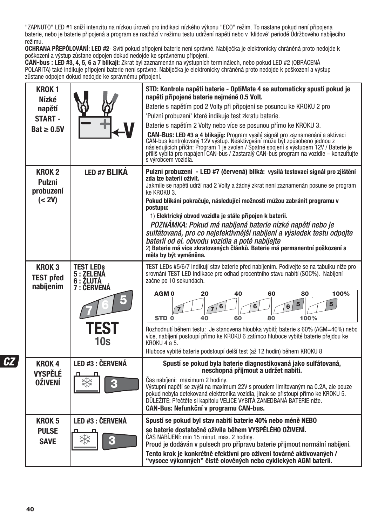"ZAPNUTO" LED #1 sníží intenzitu na nízkou úroveň pro indikaci nízkého výkonu "ECO" režim. To nastane pokud není připojena baterie, nebo je baterie připojená a program se nachází v režimu testu udržení napětí nebo v 'klidové' periodě Údržbového nabíjecího režimu.

**OCHRANA PŘEPÓLOVÁNÍ: LED #2**- Svítí pokud připojení baterie není správné. Nabíječka je elektronicky chráněná proto nedojde k

poškození a výstup zůstane odpojen dokud nedojde ke správnému připojení. **CAN-bus : LED #3, 4, 5, 6 a 7 blikají:** Zkrat byl zaznamenán na výstupních terminálech, nebo pokud LED #2 (OBRÁCENÁ POLARITA) také indikuje připojení baterie není správné. Nabíječka je elektronicky chráněná proto nedojde k poškození a výstup zůstane odpojen dokud nedojde ke správnému připojení.

| <b>KROK1</b><br><b>Nízké</b>     |                                | STD: Kontrola napětí baterie - OptiMate 4 se automaticky spustí pokud je<br>napětí připojené baterie nejméně 0.5 Volt.                                                                                                                                                                                                                             |
|----------------------------------|--------------------------------|----------------------------------------------------------------------------------------------------------------------------------------------------------------------------------------------------------------------------------------------------------------------------------------------------------------------------------------------------|
| napětí                           |                                | Baterie s napětím pod 2 Volty při připojení se posunou ke KROKU 2 pro                                                                                                                                                                                                                                                                              |
| <b>START -</b>                   |                                | 'Pulzní probuzení' které indikuje test zkratu baterie.                                                                                                                                                                                                                                                                                             |
| $Bat \geq 0.5V$                  |                                | Baterie s napětím 2 Volty nebo více se posunou přímo ke KROKU 3.                                                                                                                                                                                                                                                                                   |
|                                  |                                | CAN-Bus: LED #3 a 4 blikajíg: Program vysílá signál pro zaznamenání a aktivaci<br><b>CAN-bus kontrolovaný 12V výstup. Neaktivování může být způsobeno jednou z</b><br>následujících příčin: Program 1 je zvolen / Špatné spojení s výstupem 12V / Baterie je<br>příliš vybitá pro napájení CAN-bus / Zastaralý CAN-bus prog<br>s výrobcem vozidla. |
| KROK <sub>2</sub>                | LED #7 BLIKÁ                   | Pulzní probuzení - LED #7 (červená) bliká: vysílá testovací signál pro zjištění                                                                                                                                                                                                                                                                    |
| Pulzní<br>probuzení              |                                | zda lze baterii oživit.<br>Jakmile se napětí udrží nad 2 Volty a žádný zkrat není zaznamenán posune se program<br>ke KROKU 3.                                                                                                                                                                                                                      |
| (< 2V)                           |                                | Pokud blikání pokračuje, následující možnosti můžou zabránit programu v<br>postupu:                                                                                                                                                                                                                                                                |
|                                  |                                | 1) Elektrický obvod vozidla je stále připojen k baterii.                                                                                                                                                                                                                                                                                           |
|                                  |                                | POZNÁMKA: Pokud má nabíjená baterie nízké napětí nebo je<br>sulfátovaná, pro co nejefektivnější nabíjení a výsledek testu odpojte                                                                                                                                                                                                                  |
|                                  |                                | baterii od el. obvodu vozidla a poté nabíjejte                                                                                                                                                                                                                                                                                                     |
|                                  |                                | 2) Baterie má více zkratovaných článků. Baterie má permanentní poškození a                                                                                                                                                                                                                                                                         |
|                                  |                                | měla by být vyměněna.                                                                                                                                                                                                                                                                                                                              |
| KROK <sub>3</sub>                | <b>TEST LEDS</b><br>5 : ZELENÁ | TEST LEDs #5/6/7 indikují stav baterie před nabíjením. Podívejte se na tabulku níže pro<br>srovnání TEST LED indikace pro odhad procentního stavu nabití (SOC%). Nabíjení                                                                                                                                                                          |
| <b>TEST před</b><br>nabíjením    | 6 : ŽLUTÁ<br>7 : ĈERVENÁ       | začne po 10 sekundách.                                                                                                                                                                                                                                                                                                                             |
|                                  | 5                              | AGM <sub>0</sub><br>40<br>100%<br>20<br>60<br>80<br>5<br>5<br>6<br>6<br>STD <sub>0</sub><br>40<br>60<br>80<br>100%                                                                                                                                                                                                                                 |
|                                  | <b>TEST</b><br>10s             | Rozhodnutí během testu: Je stanovena hloubka vybití; baterie s 60% (AGM=40%) nebo<br>více, nabíjení postoupí přímo ke KROKU 6 zatímco hluboce vybité baterie přejdou ke<br>KROKU 4 a 5.<br>Hluboce vybité baterie podstoupí delší test (až 12 hodin) během KROKU 8                                                                                 |
| <b>KROK4</b>                     | LED #3 : ČERVENÁ               | Spustí se pokud byla baterie diagnostikovaná jako sulfátovaná,<br>neschopná přijmout a udržet nabití.                                                                                                                                                                                                                                              |
| <b>VYSPĚLÉ</b><br><b>OŽIVENÍ</b> | 3                              | Čas nabíjení: maximum 2 hodiny.<br>Výstupní napětí se zvýší na maximum 22V s proudem limitovaným na 0.2A, ale pouze<br>pokud nebyla detekovaná elektronika vozidla, jinak se přistoupí přímo ke KROKU 5.<br>DŮLEŽITÉ: Přečtěte si kapitolu VELICE VYBITÁ ZANEDBANÁ BATERIE níže.<br>CAN-Bus: Nefunkční v programu CAN-bus.                         |
| KROK <sub>5</sub>                | <b>LED #3 : ČERVENÁ</b>        | Spustí se pokud byl stav nabití baterie 40% nebo méně NEBO                                                                                                                                                                                                                                                                                         |
| <b>PULSE</b>                     |                                | se baterie dostatečně oživila během VYSPĚLÉHO OŽIVENÍ.                                                                                                                                                                                                                                                                                             |
| <b>SAVE</b>                      | ╬                              | ČAS NABÍJENÍ: min 15 minut, max. 2 hodiny.<br>Proud je dodáván v pulsech pro přípravu baterie přijmout normální nabíjení.                                                                                                                                                                                                                          |
|                                  |                                | Tento krok je konkrétně efektivní pro oživení továrně aktivovaných /<br>"vysoce výkonných" čistě olověných nebo cyklických AGM baterií.                                                                                                                                                                                                            |

**CZ**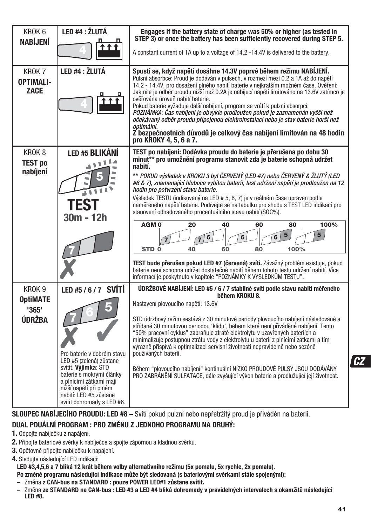| KROK <sub>6</sub><br><b>NABÍJENÍ</b><br>KROK 7          | LED #4 : ŽLUTÁ<br>LED #4 : ŽLUTÁ                                                                                                                                                                                                               | Engages if the battery state of charge was 50% or higher (as tested in<br>STEP 3) or once the battery has been sufficiently recovered during STEP 5.<br>A constant current of 1A up to a voltage of 14.2 -14.4V is delivered to the battery.<br>Spustí se, když napětí dosáhne 14.3V poprvé během režimu NABÍJENÍ.                                                                                                                                                                                                                                                                                                                                                                                                                                                                                                                                                                                                                                                               |
|---------------------------------------------------------|------------------------------------------------------------------------------------------------------------------------------------------------------------------------------------------------------------------------------------------------|----------------------------------------------------------------------------------------------------------------------------------------------------------------------------------------------------------------------------------------------------------------------------------------------------------------------------------------------------------------------------------------------------------------------------------------------------------------------------------------------------------------------------------------------------------------------------------------------------------------------------------------------------------------------------------------------------------------------------------------------------------------------------------------------------------------------------------------------------------------------------------------------------------------------------------------------------------------------------------|
| <b>OPTIMALI-</b><br><b>ZACE</b>                         |                                                                                                                                                                                                                                                | Pulsní absorbce: Proud je dodáván v pulsech, v rozmezí mezi 0.2 a 1A až do napětí<br>14.2 - 14.4V, pro dosažení plného nabití baterie v nejkratším možném čase. Ověření:<br>Jakmile je odběr proudu nižší než 0.2A je nabíjecí napětí limitováno na 13.6V zatímco je<br>ověřována úroveň nabití baterie.<br>Pokud baterie vyžaduje další nabíjení, program se vrátí k pulzní absorpci.<br>POZNÁMKA: Čas nabíjení je obvykle prodloužen pokud je zaznamenán vyšší než<br>očekávaný odběr proudu připojenou elektroinstalací nebo je stav baterie horší než<br>optimální.<br>Z bezpečnostních důvodů je celkový čas nabíjení limitován na 48 hodin<br>pro KROKY 4, 5, 6 a 7.                                                                                                                                                                                                                                                                                                       |
| KROK <sub>8</sub><br><b>TEST po</b><br>nabíjení         | <b>LED #5 BLIKÁNÍ</b><br>30m - 12h                                                                                                                                                                                                             | TEST po nabíjení: Dodávka proudu do baterie je přerušena po dobu 30<br>minut** pro umožnění programu stanovit zda je baterie schopná udržet<br>nabití.<br>** POKUD výsledek v KROKU 3 byl ČERVENÝ (LED #7) nebo ČERVENÝ & ŽLUTÝ (LED<br>#6 & 7), znamenající hluboce vybitou baterii, test udržení napětí je prodloužen na 12<br>hodin pro potvrzení stavu baterie.<br>Výsledek TESTU (indikovaný na LED # 5, 6, 7) je v reálném čase upraven podle<br>naměřeného napětí baterie. Podívejte se na tabulku pro shodu s TEST LED indikací pro<br>stanovení odhadovaného procentuálního stavu nabití (SOC%).<br>100%<br>AGM <sub>0</sub><br>20<br>40<br>60<br>80<br>5<br>6<br>6<br>6<br>STD <sub>0</sub><br>100%<br>40<br>60<br>80<br>TEST bude přerušen pokud LED #7 (červená) svítí. Závažný problém existuje, pokud<br>baterie není schopna udržet dostatečné nabití během tohoto testu udržení nabití. Více<br>informací je poskytnuto v kapitole "POZNÁMKY K VÝSLEDKŮM TESTU". |
| KROK <sub>9</sub><br><b>OptiMATE</b><br>'365'<br>ÚDRŽBA | LED #5 / 6 / 7 SVÍTÍ<br>Pro baterie y dobrém stavu<br>LED #5 (zelená) zůstane<br>svítit. Výjimka: STD<br>baterie s mokrými články<br>a plnícími zátkami mají<br>nižší napětí při plném<br>nabití: LED #5 zůstane<br>svítit dohromady s LED #6. | ÚDRŽBOVÉ NABÍJENÍ: LED #5 / 6 / 7 stabilně svítí podle stavu nabití měřeného<br>během KROKU 8.<br>Nastavení plovoucího napětí: 13.6V<br>STD údržbový režim sestává z 30 minutové periody plovoucího nabíjení následované a<br>střídané 30 minutovou periodou 'klidu', během které není přiváděné nabíjení. Tento<br>"50% pracovní cyklus" zabraňuje ztrátě elektrolytu v uzavřených bateriích a<br>minimalizuje postupnou ztrátu vody z elektrolytu u baterií z plnícími zátkami a tím<br>výrazně přispívá k optimalizaci servisní životnosti nepravidelně nebo sezóně<br>používaných baterií.<br>Během "plovoucího nabíjení" kontinuální NÍZKO PROUDOVÉ PULSY JSOU DODÁVÁNY<br>PRO ZABRÁNĚNÍ SULFATACE, dále zvyšující výkon baterie a prodlužující její životnost.                                                                                                                                                                                                             |

### **SLOUPEC NABÍJECÍHO PROUDU: LED #8 –** Svítí pokud pulzní nebo nepřetržitý proud je přiváděn na baterii.

### **DUAL PDUÁLNÍ PROGRAM : PRO ZMĚNU Z JEDNOHO PROGRAMU NA DRUHÝ:**

- **1.** Odpojte nabíječku z napájení.
- **2.** Připojte bateriové svěrky k nabíječce a spojte zápornou a kladnou svěrku.
- **3.** Opětovně připojte nabíječku k napájení.
- **4.** Sledujte následující LED indikaci:

**LED #3,4,5,6 a 7 bliká 12 krát během volby alternativního režimu (5x pomalu, 5x rychle, 2x pomalu). Po změně programu následující indikace může být sledovaná (s bateriovými svěrkami stále spojenými):**

- Změna **z CAN-bus na STANDARD : pouze POWER LED#1 zůstane svítit.**
- Změna **ze STANDARD na CAN-bus : LED #3 a LED #4 bliká dohromady v pravidelných intervalech s okamžitě následující LED #8.**

**CZ**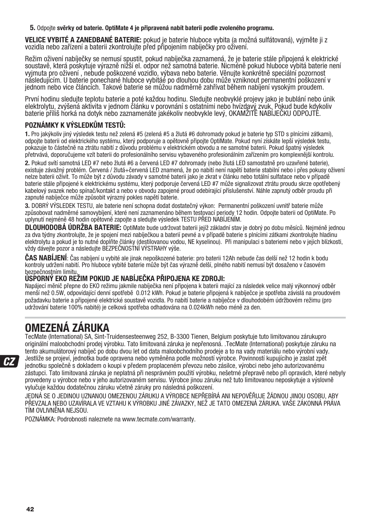**5.** Odpojte **svěrky od baterie. OptiMate 4 je připravená nabít baterii podle zvoleného programu.**

**VELICE VYBITÉ A ZANEDBANÉ BATERIE:** pokud je baterie hluboce vybita (a možná sulfátovaná), vyjměte ji z vozidla nebo zařízení a baterii zkontrolujte před připojením nabíječky pro oživení.

Režim oživení nabíječky se nemusí spustit, pokud nabíječka zaznamená, že je baterie stále připojená k elektrické soustavě, která poskytuje výrazně nižší el. odpor než samotná baterie. Nicméně pokud hluboce vybitá baterie není vyjmuta pro oživení , nebude poškozené vozidlo, výbava nebo baterie. Věnujte konkrétně speciální pozornost následujícím. U baterie ponechané hluboce vybitáé po dlouhou dobu může vzniknout permanentní poškození v jednom nebo vice článcích. Takové baterie se můžou nadměrně zahřívat během nabíjení vysokým proudem.

První hodinu sledujte teplotu baterie a poté každou hodinu. Sledujte neobvyklé projevy jako je bublání nebo únik elektrolytu, zvýšená aktivita v jednom článku v porovnání s ostatními nebo hvízdavý zvuk. Pokud bude kdykoliv baterie příliš horká na dotyk nebo zaznamenáte jakékoliv neobvykle levý, OKAMŽITĚ NABÍJEČKU ODPOJTE.

### **POZNÁMKY K VÝSLEDKŮM TESTŮ:**

**1.** Pro jakýkoliv jiný výsledek testu než zelená #5 (zelená #5 a žlutá #6 dohromady pokud je baterie typ STD s plnícími zátkami), odpojte baterii od elektrického systému, který podporuje a opětovně připojte OptiMate. Pokud nyní získáte lepší výsledek testu, pokazuje to částečně na ztrátu nabití z důvodu problému v elektrickém obvodu a ne samotné baterii. Pokud špatný výsledek přetrvává, doporučujeme vzít baterii do profesionálního servisu vybaveného profesionálním zařízením pro komplexnější kontrolu.

**2.** Pokud svítí samotná LED #7 nebo žlutá #6 a červená LED #7 dohromady (nebo žlutá LED samostatně pro uzavřené baterie), existuje závažný problém. Červená / žlutá+červená LED znamená, že po nabití není napětí baterie stabilní nebo i přes pokusy oživení nelze baterii oživit. To může být z důvodu závady v samotné baterii jako je zkrat v článku nebo totální sulfatace nebo v případě baterie stále připojené k elektrickému systému, který podporuje červená LED #7 může signalizovat ztrátu proudu skrze opotřebený kabelový svazek nebo spínač/kontakt a nebo v obvodu zapojené proud odebírající příslušenství. Náhle zapnutý odběr proudu při zapnuté nabíječce může způsobit výrazný pokles napětí baterie.

**3.** DOBRÝ VÝSLEDEK TESTU, ale baterie není schopna dodat dostatečný výkon: Permanentní poškození uvnitř baterie může způsobovat nadměrné samovybíjení, které není zaznamenáno během testovací periody 12 hodin. Odpojte baterii od OptiMate. Po uplynutí nejméně 48 hodin opětovně zapojte a sledujte výsledek TESTU PŘED NABÍJENÍM.

**DLOUHODOBÁ ÚDRŽBA BATERIE:** OptiMate bude udržovat baterii jejíž základní stav je dobrý po dobu měsíců. Nejméně jednou za dva týdny zkontrolujte, že je spojení mezi nabíječkou a baterií pevné a v případě baterie s plnícími zátkami zkontrolujte hladinu elektrolytu a pokud je to nutné doplňte články (destilovanou vodou, NE kyselinou). Při manipulaci s bateriemi nebo v jejich blízkosti, vždy dávejte pozor a následujte BEZPEČNOSTNÍ VÝSTRAHY výše.

**ČAS NABÍJENÍ**: Čas nabíjení u vybité ale jinak nepoškozené baterie: pro baterii 12Ah nebude čas delší než 12 hodin k bodu kontroly udržení nabití. Pro hluboce vybité baterie může být čas výrazně delší, plného nabití nemusí být dosaženo v časovém bezpečnostním limitu.

#### **ÚSPORNÝ EKO REŽIM POKUD JE NABÍJEČKA PŘIPOJENA KE ZDROJI:**

Napájecí měnič přepne do EKO režimu jakmile nabíječka není připojena k baterii mající za následek velice malý výkonnový odběr menší než 0.5W, odpovídající denní spotřebě 0.012 kWh. Pokud je baterie připojená k nabíječce je spotřeba závislá na proudovém požadavku baterie a připojené elektrické soustavě vozidla. Po nabití baterie a nabíječce v dlouhodobém údržbovém režimu (pro udržování baterie 100% nabité) je celková spotřeba odhadována na 0.024kWh nebo méně za den.

## **OMEZENÁ ZÁRUKA**

TecMate (International) SA, Sint-Truidensesteenweg 252, B-3300 Tienen, Belgium poskytuje tuto limitovanou zárukupro originální maloobchodní prodej výrobku. Tato limitovaná záruka je nepřenosná. .TecMate (International) poskytuje záruku na tento akumulátorový nabíječ po dobu dvou let od data maloobchodního prodeje a to na vady materiálu nebo výrobní vady. Jestliže se projeví, jednotka bude opravena nebo vyměněna podle možností výrobce. Povinností kupujícího je zaslat zpět jednotku společně s dokladem o koupi v předem proplaceném převozu nebo zásilce, výrobci nebo jeho autorizovanému zástupci. Tato limitovaná záruka je neplatná při nesprávném použití výrobku, nešetrné přepravě nebo při opravách, které nebyly provedeny u výrobce nebo v jeho autorizovaném servisu. Výrobce jinou záruku než tuto limitovanou neposkytuje a výslovně vylučuje každou dodatečnou záruku včetně záruky pro následná poškození.

JEDNÁ SE O JEDINOU UZNANOU OMEZENOU ZÁRUKU A VÝROBCE NEPŘEBÍRÁ ANI NEPOVĚŘUJE ŽÁDNOU JINOU OSOBU, ABY PŘEVZALA NEBO UZAVÍRALA VE VZTAHU K VÝROBKU JINÉ ZÁVAZKY, NEŽ JE TATO OMEZENÁ ZÁRUKA. VAŠE ZÁKONNÁ PRÁVA TÍM OVLIVNĚNA NEJSOU.

POZNÁMKA: Podrobnosti naleznete na www.tecmate.com/warranty.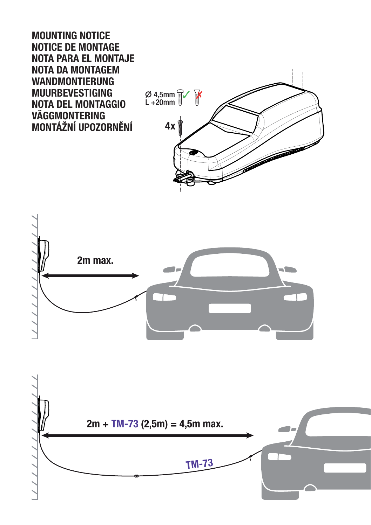**MOUNTING NOTICE NOTICE DE MONTAGE NOTA PARA EL MONTAJE NOTA DA MONTAGEM WANDMONTIERUNG MUURBEVESTIGING NOTA DEL MONTAGGIO VÄGGMONTERING MONTÁŽNÍ UPOZORNĚNÍ**